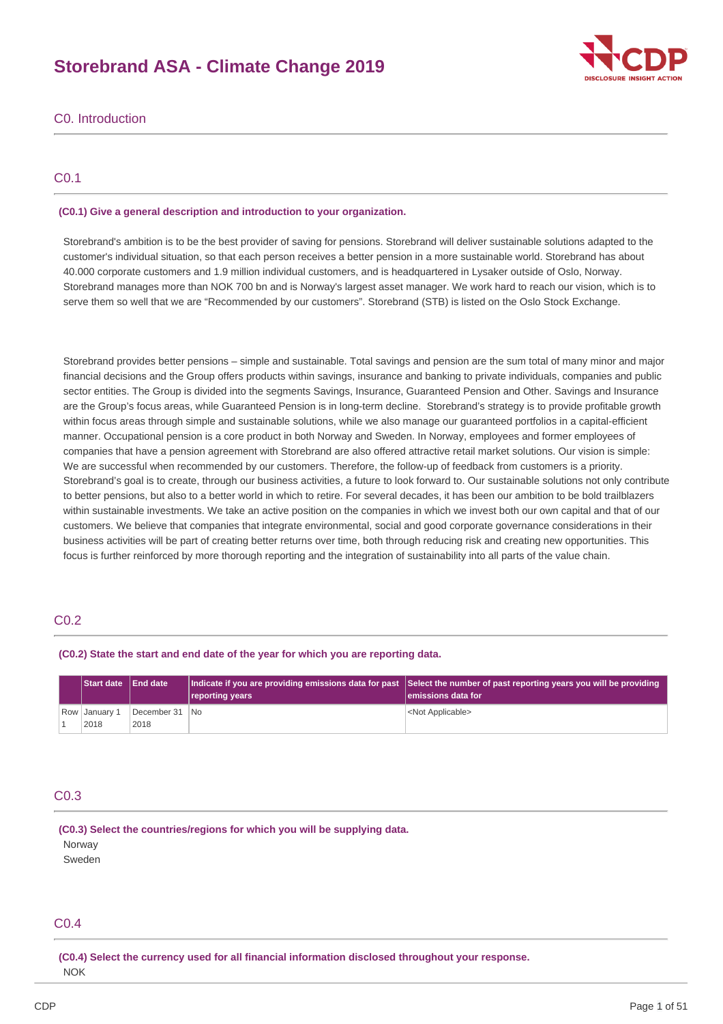# **Storebrand ASA - Climate Change 2019**



## C0. Introduction

## C0.1

### **(C0.1) Give a general description and introduction to your organization.**

Storebrand's ambition is to be the best provider of saving for pensions. Storebrand will deliver sustainable solutions adapted to the customer's individual situation, so that each person receives a better pension in a more sustainable world. Storebrand has about 40.000 corporate customers and 1.9 million individual customers, and is headquartered in Lysaker outside of Oslo, Norway. Storebrand manages more than NOK 700 bn and is Norway's largest asset manager. We work hard to reach our vision, which is to serve them so well that we are "Recommended by our customers". Storebrand (STB) is listed on the Oslo Stock Exchange.

Storebrand provides better pensions – simple and sustainable. Total savings and pension are the sum total of many minor and major financial decisions and the Group offers products within savings, insurance and banking to private individuals, companies and public sector entities. The Group is divided into the segments Savings, Insurance, Guaranteed Pension and Other. Savings and Insurance are the Group's focus areas, while Guaranteed Pension is in long-term decline. Storebrand's strategy is to provide profitable growth within focus areas through simple and sustainable solutions, while we also manage our guaranteed portfolios in a capital-efficient manner. Occupational pension is a core product in both Norway and Sweden. In Norway, employees and former employees of companies that have a pension agreement with Storebrand are also offered attractive retail market solutions. Our vision is simple: We are successful when recommended by our customers. Therefore, the follow-up of feedback from customers is a priority. Storebrand's goal is to create, through our business activities, a future to look forward to. Our sustainable solutions not only contribute to better pensions, but also to a better world in which to retire. For several decades, it has been our ambition to be bold trailblazers within sustainable investments. We take an active position on the companies in which we invest both our own capital and that of our customers. We believe that companies that integrate environmental, social and good corporate governance considerations in their business activities will be part of creating better returns over time, both through reducing risk and creating new opportunities. This focus is further reinforced by more thorough reporting and the integration of sustainability into all parts of the value chain.

## C0.2

#### **(C0.2) State the start and end date of the year for which you are reporting data.**

| <b>Start date IEnd date</b> |                        | reporting years | Indicate if you are providing emissions data for past Select the number of past reporting years you will be providing<br>lemissions data for |
|-----------------------------|------------------------|-----------------|----------------------------------------------------------------------------------------------------------------------------------------------|
| Row January 1<br>2018       | December 31 No<br>2018 |                 | <not applicable=""></not>                                                                                                                    |

## C0.3

**(C0.3) Select the countries/regions for which you will be supplying data. Norway** 

Sweden

## C0.4

**(C0.4) Select the currency used for all financial information disclosed throughout your response.** NOK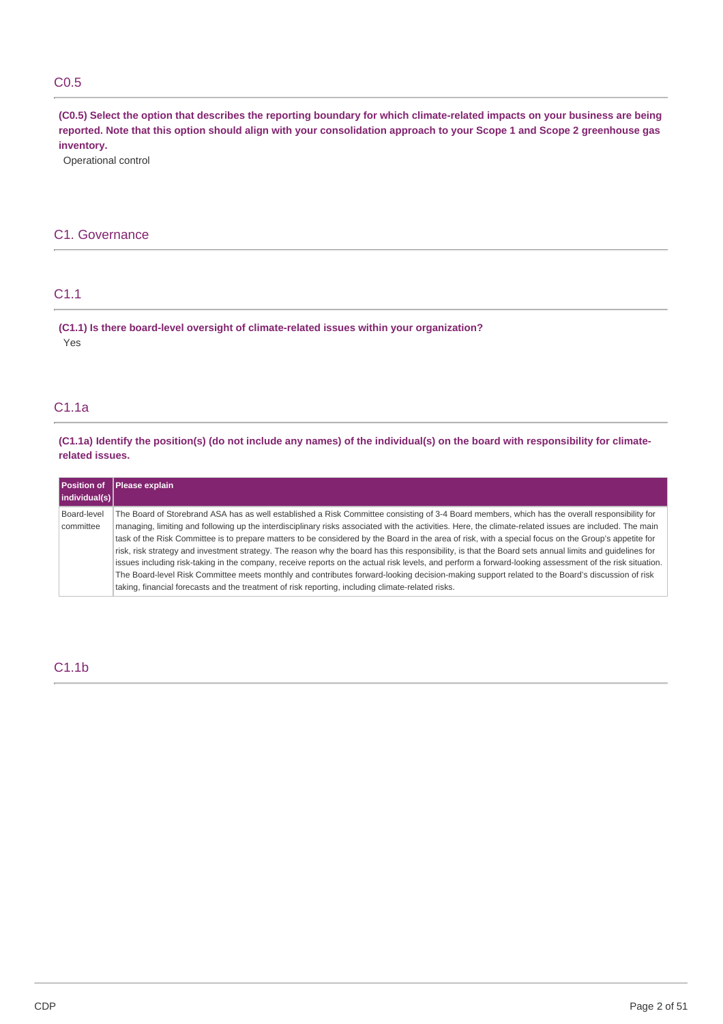## C0.5

(C0.5) Select the option that describes the reporting boundary for which climate-related impacts on your business are being reported. Note that this option should align with your consolidation approach to your Scope 1 and Scope 2 greenhouse gas **inventory.**

Operational control

## C1. Governance

## C1.1

**(C1.1) Is there board-level oversight of climate-related issues within your organization?** Yes

## C1.1a

(C1.1a) Identify the position(s) (do not include any names) of the individual(s) on the board with responsibility for climate**related issues.**

| Position of<br>$ $ individual(s) $ $ | Please explain                                                                                                                                                                                                                                                                                                                                                                                                                                                                                                                                                                                                                                                                                                                                                                                                                                                                                                                                                                                                                                |
|--------------------------------------|-----------------------------------------------------------------------------------------------------------------------------------------------------------------------------------------------------------------------------------------------------------------------------------------------------------------------------------------------------------------------------------------------------------------------------------------------------------------------------------------------------------------------------------------------------------------------------------------------------------------------------------------------------------------------------------------------------------------------------------------------------------------------------------------------------------------------------------------------------------------------------------------------------------------------------------------------------------------------------------------------------------------------------------------------|
| Board-level<br>committee             | The Board of Storebrand ASA has as well established a Risk Committee consisting of 3-4 Board members, which has the overall responsibility for<br>managing, limiting and following up the interdisciplinary risks associated with the activities. Here, the climate-related issues are included. The main<br>task of the Risk Committee is to prepare matters to be considered by the Board in the area of risk, with a special focus on the Group's appetite for<br>risk, risk strategy and investment strategy. The reason why the board has this responsibility, is that the Board sets annual limits and quidelines for<br>issues including risk-taking in the company, receive reports on the actual risk levels, and perform a forward-looking assessment of the risk situation.<br>The Board-level Risk Committee meets monthly and contributes forward-looking decision-making support related to the Board's discussion of risk<br>taking, financial forecasts and the treatment of risk reporting, including climate-related risks. |

## C1.1b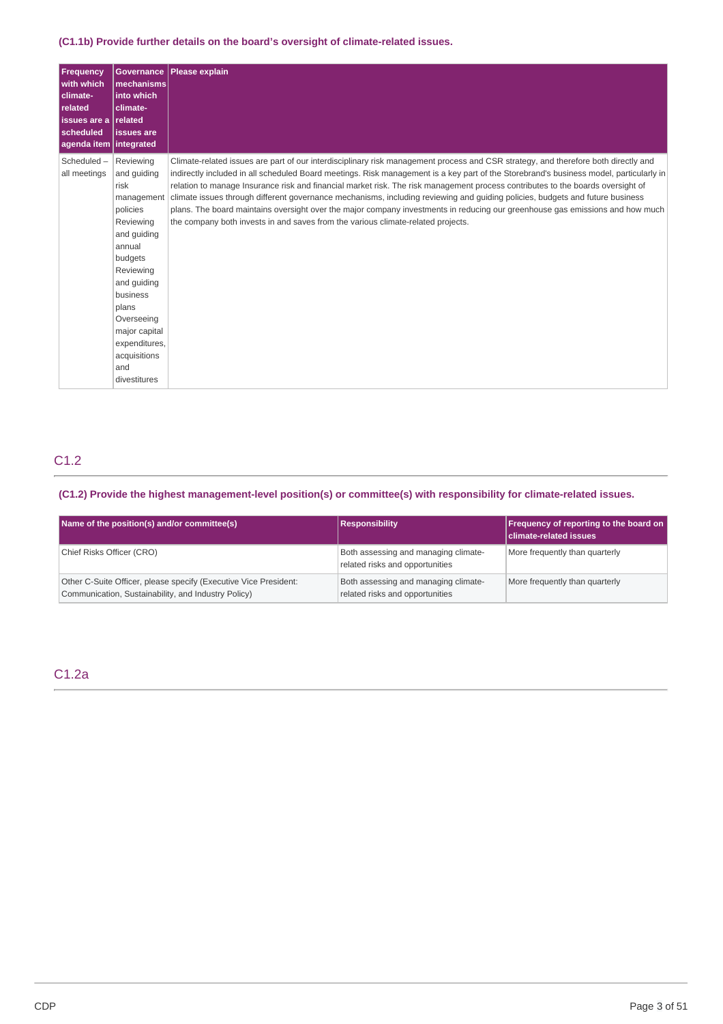## **(C1.1b) Provide further details on the board's oversight of climate-related issues.**

| <b>Frequency</b><br>with which<br>climate-<br>related<br>issues are a related<br>scheduled<br>agenda item   integrated | <b>Governance</b><br>mechanisms<br>into which<br>climate-<br><b>issues</b> are                                                                                                                                                                      | Please explain                                                                                                                                                                                                                                                                                                                                                                                                                                                                                                                                                                                                                                                                                                                                                        |
|------------------------------------------------------------------------------------------------------------------------|-----------------------------------------------------------------------------------------------------------------------------------------------------------------------------------------------------------------------------------------------------|-----------------------------------------------------------------------------------------------------------------------------------------------------------------------------------------------------------------------------------------------------------------------------------------------------------------------------------------------------------------------------------------------------------------------------------------------------------------------------------------------------------------------------------------------------------------------------------------------------------------------------------------------------------------------------------------------------------------------------------------------------------------------|
| Scheduled-<br>all meetings                                                                                             | Reviewing<br>and guiding<br>risk<br>management<br>policies<br>Reviewing<br>and guiding<br>annual<br>budgets<br>Reviewing<br>and quiding<br>business<br>plans<br>Overseeing<br>major capital<br>expenditures,<br>acquisitions<br>and<br>divestitures | Climate-related issues are part of our interdisciplinary risk management process and CSR strategy, and therefore both directly and<br>indirectly included in all scheduled Board meetings. Risk management is a key part of the Storebrand's business model, particularly in<br>relation to manage Insurance risk and financial market risk. The risk management process contributes to the boards oversight of<br>climate issues through different governance mechanisms, including reviewing and guiding policies, budgets and future business<br>plans. The board maintains oversight over the major company investments in reducing our greenhouse gas emissions and how much<br>the company both invests in and saves from the various climate-related projects. |

# C1.2

## **(C1.2) Provide the highest management-level position(s) or committee(s) with responsibility for climate-related issues.**

| Name of the position(s) and/or committee(s)                                                                             | <b>Responsibility</b>                                                   | Frequency of reporting to the board on<br><b>climate-related issues</b> |
|-------------------------------------------------------------------------------------------------------------------------|-------------------------------------------------------------------------|-------------------------------------------------------------------------|
| Chief Risks Officer (CRO)                                                                                               | Both assessing and managing climate-<br>related risks and opportunities | More frequently than quarterly                                          |
| Other C-Suite Officer, please specify (Executive Vice President:<br>Communication, Sustainability, and Industry Policy) | Both assessing and managing climate-<br>related risks and opportunities | More frequently than quarterly                                          |

## C1.2a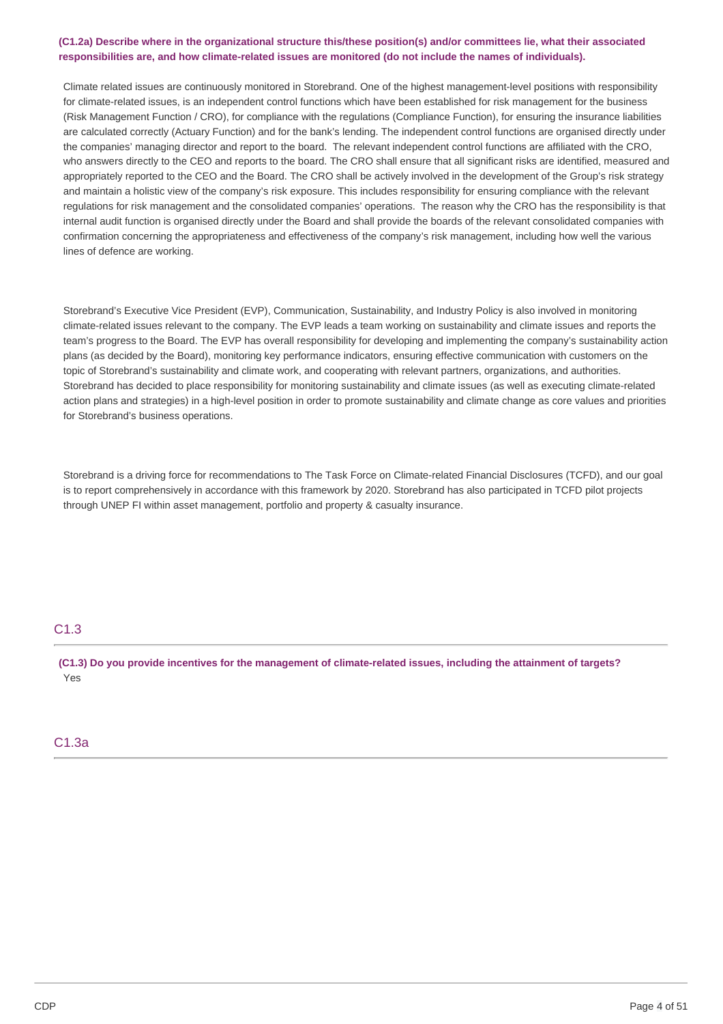## (C1.2a) Describe where in the organizational structure this/these position(s) and/or committees lie, what their associated **responsibilities are, and how climate-related issues are monitored (do not include the names of individuals).**

Climate related issues are continuously monitored in Storebrand. One of the highest management-level positions with responsibility for climate-related issues, is an independent control functions which have been established for risk management for the business (Risk Management Function / CRO), for compliance with the regulations (Compliance Function), for ensuring the insurance liabilities are calculated correctly (Actuary Function) and for the bank's lending. The independent control functions are organised directly under the companies' managing director and report to the board. The relevant independent control functions are affiliated with the CRO, who answers directly to the CEO and reports to the board. The CRO shall ensure that all significant risks are identified, measured and appropriately reported to the CEO and the Board. The CRO shall be actively involved in the development of the Group's risk strategy and maintain a holistic view of the company's risk exposure. This includes responsibility for ensuring compliance with the relevant regulations for risk management and the consolidated companies' operations. The reason why the CRO has the responsibility is that internal audit function is organised directly under the Board and shall provide the boards of the relevant consolidated companies with confirmation concerning the appropriateness and effectiveness of the company's risk management, including how well the various lines of defence are working.

Storebrand's Executive Vice President (EVP), Communication, Sustainability, and Industry Policy is also involved in monitoring climate-related issues relevant to the company. The EVP leads a team working on sustainability and climate issues and reports the team's progress to the Board. The EVP has overall responsibility for developing and implementing the company's sustainability action plans (as decided by the Board), monitoring key performance indicators, ensuring effective communication with customers on the topic of Storebrand's sustainability and climate work, and cooperating with relevant partners, organizations, and authorities. Storebrand has decided to place responsibility for monitoring sustainability and climate issues (as well as executing climate-related action plans and strategies) in a high-level position in order to promote sustainability and climate change as core values and priorities for Storebrand's business operations.

Storebrand is a driving force for recommendations to The Task Force on Climate-related Financial Disclosures (TCFD), and our goal is to report comprehensively in accordance with this framework by 2020. Storebrand has also participated in TCFD pilot projects through UNEP FI within asset management, portfolio and property & casualty insurance.

## C1.3

(C1.3) Do you provide incentives for the management of climate-related issues, including the attainment of targets? Yes

## C1.3a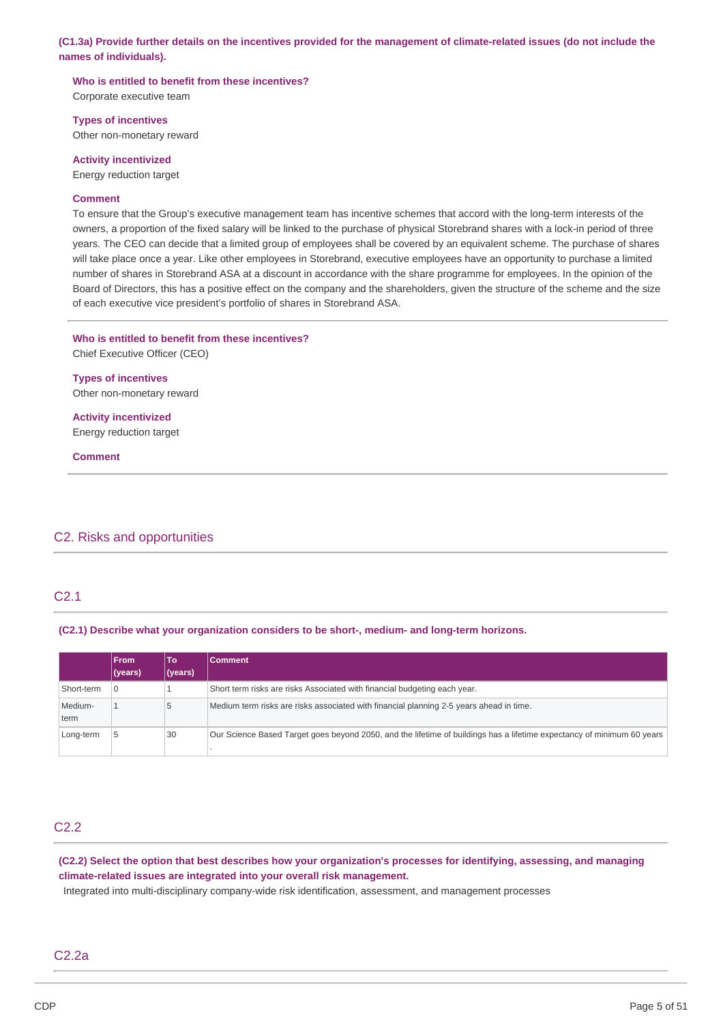(C1.3a) Provide further details on the incentives provided for the management of climate-related issues (do not include the **names of individuals).**

**Who is entitled to benefit from these incentives?** Corporate executive team

**Types of incentives**

Other non-monetary reward

**Activity incentivized** Energy reduction target

### **Comment**

To ensure that the Group's executive management team has incentive schemes that accord with the long-term interests of the owners, a proportion of the fixed salary will be linked to the purchase of physical Storebrand shares with a lock-in period of three years. The CEO can decide that a limited group of employees shall be covered by an equivalent scheme. The purchase of shares will take place once a year. Like other employees in Storebrand, executive employees have an opportunity to purchase a limited number of shares in Storebrand ASA at a discount in accordance with the share programme for employees. In the opinion of the Board of Directors, this has a positive effect on the company and the shareholders, given the structure of the scheme and the size of each executive vice president's portfolio of shares in Storebrand ASA.

**Who is entitled to benefit from these incentives?** Chief Executive Officer (CEO)

**Types of incentives** Other non-monetary reward

**Activity incentivized** Energy reduction target

**Comment**

## C2. Risks and opportunities

## C2.1

**(C2.1) Describe what your organization considers to be short-, medium- and long-term horizons.**

|                 | <b>From</b> | To      | Comment                                                                                                                |
|-----------------|-------------|---------|------------------------------------------------------------------------------------------------------------------------|
|                 | (years)     | (years) |                                                                                                                        |
| Short-term      | 0           |         | Short term risks are risks Associated with financial budgeting each year.                                              |
| Medium-<br>term |             | 5       | Medium term risks are risks associated with financial planning 2-5 years ahead in time.                                |
| Long-term       |             | 30      | Our Science Based Target goes beyond 2050, and the lifetime of buildings has a lifetime expectancy of minimum 60 years |

## C2.2

(C2.2) Select the option that best describes how your organization's processes for identifying, assessing, and managing **climate-related issues are integrated into your overall risk management.**

Integrated into multi-disciplinary company-wide risk identification, assessment, and management processes

## C2.2a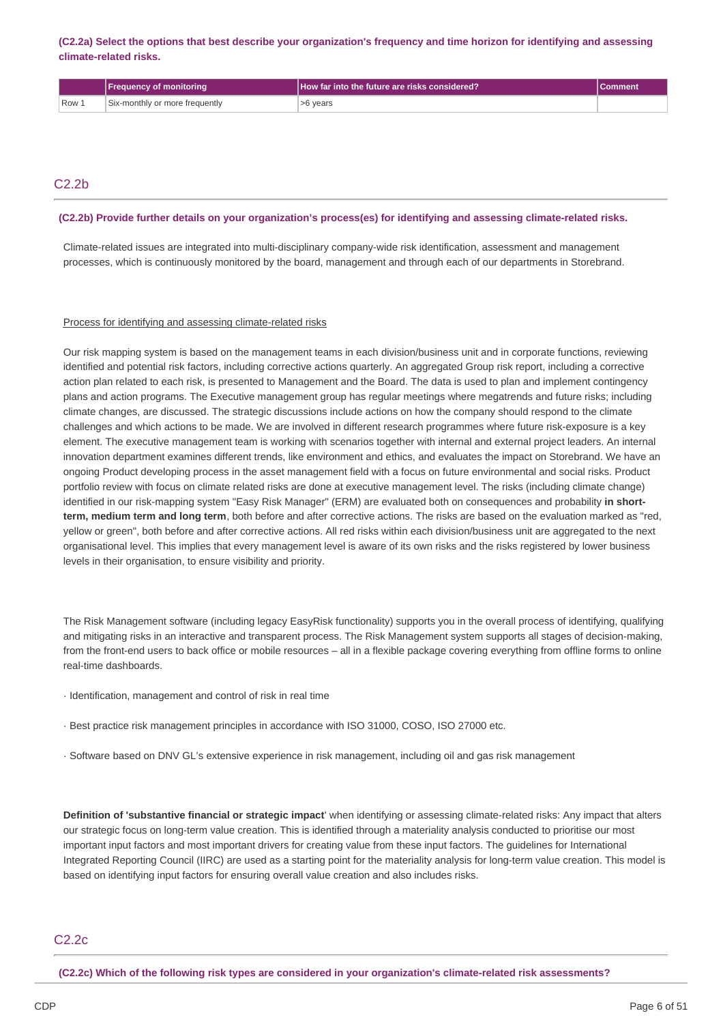(C2.2a) Select the options that best describe your organization's frequency and time horizon for identifying and assessing **climate-related risks.**

|       | <b> Frequency of monitoring</b> | How far into the future are risks considered? |  |
|-------|---------------------------------|-----------------------------------------------|--|
| Row 1 | Six-monthly or more frequently  | >6 years                                      |  |

## C2.2b

#### **(C2.2b) Provide further details on your organization's process(es) for identifying and assessing climate-related risks.**

Climate-related issues are integrated into multi-disciplinary company-wide risk identification, assessment and management processes, which is continuously monitored by the board, management and through each of our departments in Storebrand.

#### Process for identifying and assessing climate-related risks

Our risk mapping system is based on the management teams in each division/business unit and in corporate functions, reviewing identified and potential risk factors, including corrective actions quarterly. An aggregated Group risk report, including a corrective action plan related to each risk, is presented to Management and the Board. The data is used to plan and implement contingency plans and action programs. The Executive management group has regular meetings where megatrends and future risks; including climate changes, are discussed. The strategic discussions include actions on how the company should respond to the climate challenges and which actions to be made. We are involved in different research programmes where future risk-exposure is a key element. The executive management team is working with scenarios together with internal and external project leaders. An internal innovation department examines different trends, like environment and ethics, and evaluates the impact on Storebrand. We have an ongoing Product developing process in the asset management field with a focus on future environmental and social risks. Product portfolio review with focus on climate related risks are done at executive management level. The risks (including climate change) identified in our risk-mapping system "Easy Risk Manager" (ERM) are evaluated both on consequences and probability **in shortterm, medium term and long term**, both before and after corrective actions. The risks are based on the evaluation marked as "red, yellow or green", both before and after corrective actions. All red risks within each division/business unit are aggregated to the next organisational level. This implies that every management level is aware of its own risks and the risks registered by lower business levels in their organisation, to ensure visibility and priority.

The Risk Management software (including legacy EasyRisk functionality) supports you in the overall process of identifying, qualifying and mitigating risks in an interactive and transparent process. The Risk Management system supports all stages of decision-making, from the front-end users to back office or mobile resources – all in a flexible package covering everything from offline forms to online real-time dashboards.

- · Identification, management and control of risk in real time
- · Best practice risk management principles in accordance with ISO 31000, COSO, ISO 27000 etc.
- · Software based on DNV GL's extensive experience in risk management, including oil and gas risk management

**Definition of 'substantive financial or strategic impact**' when identifying or assessing climate-related risks: Any impact that alters our strategic focus on long-term value creation. This is identified through a materiality analysis conducted to prioritise our most important input factors and most important drivers for creating value from these input factors. The guidelines for International Integrated Reporting Council (IIRC) are used as a starting point for the materiality analysis for long-term value creation. This model is based on identifying input factors for ensuring overall value creation and also includes risks.

## C2.2c

**(C2.2c) Which of the following risk types are considered in your organization's climate-related risk assessments?**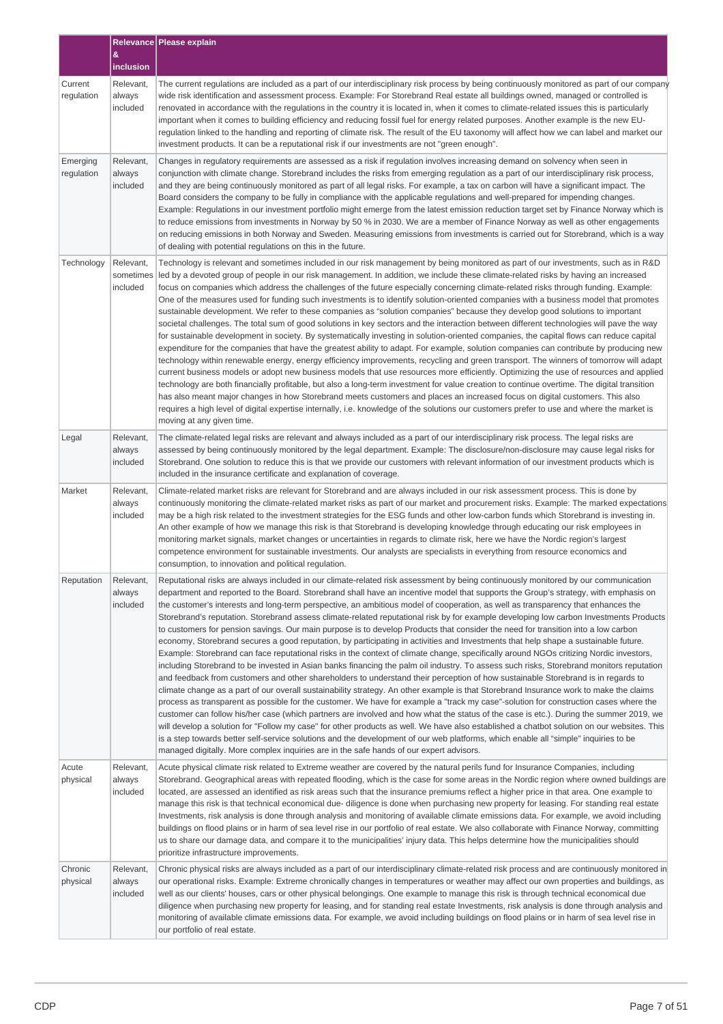|                        |                                                                                                                                                                                                                                                                                                                                                                                                                                                                                                                                | <b>Relevance   Please explain</b>                                                                                                                                                                                                                                                                                                                                                                                                                                                                                                                                                                                                                                                                                                                                                                                                                                                                                                                                                                                                                                                                                                                                                                                                                                                                                                                                                                                                                                                                                                                                                                                                                                                                                                                                                                                                                                                                                                                                                                                                                                         |  |
|------------------------|--------------------------------------------------------------------------------------------------------------------------------------------------------------------------------------------------------------------------------------------------------------------------------------------------------------------------------------------------------------------------------------------------------------------------------------------------------------------------------------------------------------------------------|---------------------------------------------------------------------------------------------------------------------------------------------------------------------------------------------------------------------------------------------------------------------------------------------------------------------------------------------------------------------------------------------------------------------------------------------------------------------------------------------------------------------------------------------------------------------------------------------------------------------------------------------------------------------------------------------------------------------------------------------------------------------------------------------------------------------------------------------------------------------------------------------------------------------------------------------------------------------------------------------------------------------------------------------------------------------------------------------------------------------------------------------------------------------------------------------------------------------------------------------------------------------------------------------------------------------------------------------------------------------------------------------------------------------------------------------------------------------------------------------------------------------------------------------------------------------------------------------------------------------------------------------------------------------------------------------------------------------------------------------------------------------------------------------------------------------------------------------------------------------------------------------------------------------------------------------------------------------------------------------------------------------------------------------------------------------------|--|
|                        | &<br>inclusion                                                                                                                                                                                                                                                                                                                                                                                                                                                                                                                 |                                                                                                                                                                                                                                                                                                                                                                                                                                                                                                                                                                                                                                                                                                                                                                                                                                                                                                                                                                                                                                                                                                                                                                                                                                                                                                                                                                                                                                                                                                                                                                                                                                                                                                                                                                                                                                                                                                                                                                                                                                                                           |  |
| Current<br>regulation  | Relevant,<br>always<br>included                                                                                                                                                                                                                                                                                                                                                                                                                                                                                                | The current regulations are included as a part of our interdisciplinary risk process by being continuously monitored as part of our company<br>wide risk identification and assessment process. Example: For Storebrand Real estate all buildings owned, managed or controlled is<br>renovated in accordance with the regulations in the country it is located in, when it comes to climate-related issues this is particularly<br>important when it comes to building efficiency and reducing fossil fuel for energy related purposes. Another example is the new EU-<br>regulation linked to the handling and reporting of climate risk. The result of the EU taxonomy will affect how we can label and market our<br>investment products. It can be a reputational risk if our investments are not "green enough".                                                                                                                                                                                                                                                                                                                                                                                                                                                                                                                                                                                                                                                                                                                                                                                                                                                                                                                                                                                                                                                                                                                                                                                                                                                     |  |
| Emerging<br>regulation | Relevant,<br>always<br>included                                                                                                                                                                                                                                                                                                                                                                                                                                                                                                | Changes in regulatory requirements are assessed as a risk if regulation involves increasing demand on solvency when seen in<br>conjunction with climate change. Storebrand includes the risks from emerging regulation as a part of our interdisciplinary risk process,<br>and they are being continuously monitored as part of all legal risks. For example, a tax on carbon will have a significant impact. The<br>Board considers the company to be fully in compliance with the applicable regulations and well-prepared for impending changes.<br>Example: Regulations in our investment portfolio might emerge from the latest emission reduction target set by Finance Norway which is<br>to reduce emissions from investments in Norway by 50 % in 2030. We are a member of Finance Norway as well as other engagements<br>on reducing emissions in both Norway and Sweden. Measuring emissions from investments is carried out for Storebrand, which is a way<br>of dealing with potential regulations on this in the future.                                                                                                                                                                                                                                                                                                                                                                                                                                                                                                                                                                                                                                                                                                                                                                                                                                                                                                                                                                                                                                    |  |
| Technology             | Relevant,<br>sometimes<br>included                                                                                                                                                                                                                                                                                                                                                                                                                                                                                             | Technology is relevant and sometimes included in our risk management by being monitored as part of our investments, such as in R&D<br>led by a devoted group of people in our risk management. In addition, we include these climate-related risks by having an increased<br>focus on companies which address the challenges of the future especially concerning climate-related risks through funding. Example:<br>One of the measures used for funding such investments is to identify solution-oriented companies with a business model that promotes<br>sustainable development. We refer to these companies as "solution companies" because they develop good solutions to important<br>societal challenges. The total sum of good solutions in key sectors and the interaction between different technologies will pave the way<br>for sustainable development in society. By systematically investing in solution-oriented companies, the capital flows can reduce capital<br>expenditure for the companies that have the greatest ability to adapt. For example, solution companies can contribute by producing new<br>technology within renewable energy, energy efficiency improvements, recycling and green transport. The winners of tomorrow will adapt<br>current business models or adopt new business models that use resources more efficiently. Optimizing the use of resources and applied<br>technology are both financially profitable, but also a long-term investment for value creation to continue overtime. The digital transition<br>has also meant major changes in how Storebrand meets customers and places an increased focus on digital customers. This also<br>requires a high level of digital expertise internally, i.e. knowledge of the solutions our customers prefer to use and where the market is<br>moving at any given time.                                                                                                                                                                                                   |  |
| Legal                  | The climate-related legal risks are relevant and always included as a part of our interdisciplinary risk process. The legal risks are<br>Relevant,<br>assessed by being continuously monitored by the legal department. Example: The disclosure/non-disclosure may cause legal risks for<br>always<br>included<br>Storebrand. One solution to reduce this is that we provide our customers with relevant information of our investment products which is<br>included in the insurance certificate and explanation of coverage. |                                                                                                                                                                                                                                                                                                                                                                                                                                                                                                                                                                                                                                                                                                                                                                                                                                                                                                                                                                                                                                                                                                                                                                                                                                                                                                                                                                                                                                                                                                                                                                                                                                                                                                                                                                                                                                                                                                                                                                                                                                                                           |  |
| Market                 | Relevant,<br>always<br>included                                                                                                                                                                                                                                                                                                                                                                                                                                                                                                | Climate-related market risks are relevant for Storebrand and are always included in our risk assessment process. This is done by<br>continuously monitoring the climate-related market risks as part of our market and procurement risks. Example: The marked expectations<br>may be a high risk related to the investment strategies for the ESG funds and other low-carbon funds which Storebrand is investing in.<br>An other example of how we manage this risk is that Storebrand is developing knowledge through educating our risk employees in<br>monitoring market signals, market changes or uncertainties in regards to climate risk, here we have the Nordic region's largest<br>competence environment for sustainable investments. Our analysts are specialists in everything from resource economics and<br>consumption, to innovation and political regulation.                                                                                                                                                                                                                                                                                                                                                                                                                                                                                                                                                                                                                                                                                                                                                                                                                                                                                                                                                                                                                                                                                                                                                                                           |  |
| Reputation             | Relevant,<br>always<br>included                                                                                                                                                                                                                                                                                                                                                                                                                                                                                                | Reputational risks are always included in our climate-related risk assessment by being continuously monitored by our communication<br>department and reported to the Board. Storebrand shall have an incentive model that supports the Group's strategy, with emphasis on<br>the customer's interests and long-term perspective, an ambitious model of cooperation, as well as transparency that enhances the<br>Storebrand's reputation. Storebrand assess climate-related reputational risk by for example developing low carbon Investments Products<br>to customers for pension savings. Our main purpose is to develop Products that consider the need for transition into a low carbon<br>economy, Storebrand secures a good reputation, by participating in activities and Investments that help shape a sustainable future.<br>Example: Storebrand can face reputational risks in the context of climate change, specifically around NGOs critizing Nordic investors,<br>including Storebrand to be invested in Asian banks financing the palm oil industry. To assess such risks, Storebrand monitors reputation<br>and feedback from customers and other shareholders to understand their perception of how sustainable Storebrand is in regards to<br>climate change as a part of our overall sustainability strategy. An other example is that Storebrand Insurance work to make the claims<br>process as transparent as possible for the customer. We have for example a "track my case"-solution for construction cases where the<br>customer can follow his/her case (which partners are involved and how what the status of the case is etc.). During the summer 2019, we<br>will develop a solution for "Follow my case" for other products as well. We have also established a chatbot solution on our websites. This<br>is a step towards better self-service solutions and the development of our web platforms, which enable all "simple" inquiries to be<br>managed digitally. More complex inquiries are in the safe hands of our expert advisors. |  |
| Acute<br>physical      | Relevant,<br>always<br>included                                                                                                                                                                                                                                                                                                                                                                                                                                                                                                | Acute physical climate risk related to Extreme weather are covered by the natural perils fund for Insurance Companies, including<br>Storebrand. Geographical areas with repeated flooding, which is the case for some areas in the Nordic region where owned buildings are<br>located, are assessed an identified as risk areas such that the insurance premiums reflect a higher price in that area. One example to<br>manage this risk is that technical economical due- diligence is done when purchasing new property for leasing. For standing real estate<br>Investments, risk analysis is done through analysis and monitoring of available climate emissions data. For example, we avoid including<br>buildings on flood plains or in harm of sea level rise in our portfolio of real estate. We also collaborate with Finance Norway, committing<br>us to share our damage data, and compare it to the municipalities' injury data. This helps determine how the municipalities should<br>prioritize infrastructure improvements.                                                                                                                                                                                                                                                                                                                                                                                                                                                                                                                                                                                                                                                                                                                                                                                                                                                                                                                                                                                                                                |  |
| Chronic<br>physical    | Relevant,<br>always<br>included                                                                                                                                                                                                                                                                                                                                                                                                                                                                                                | Chronic physical risks are always included as a part of our interdisciplinary climate-related risk process and are continuously monitored in<br>our operational risks. Example: Extreme chronically changes in temperatures or weather may affect our own properties and buildings, as<br>well as our clients' houses, cars or other physical belongings. One example to manage this risk is through technical economical due<br>diligence when purchasing new property for leasing, and for standing real estate Investments, risk analysis is done through analysis and<br>monitoring of available climate emissions data. For example, we avoid including buildings on flood plains or in harm of sea level rise in<br>our portfolio of real estate.                                                                                                                                                                                                                                                                                                                                                                                                                                                                                                                                                                                                                                                                                                                                                                                                                                                                                                                                                                                                                                                                                                                                                                                                                                                                                                                   |  |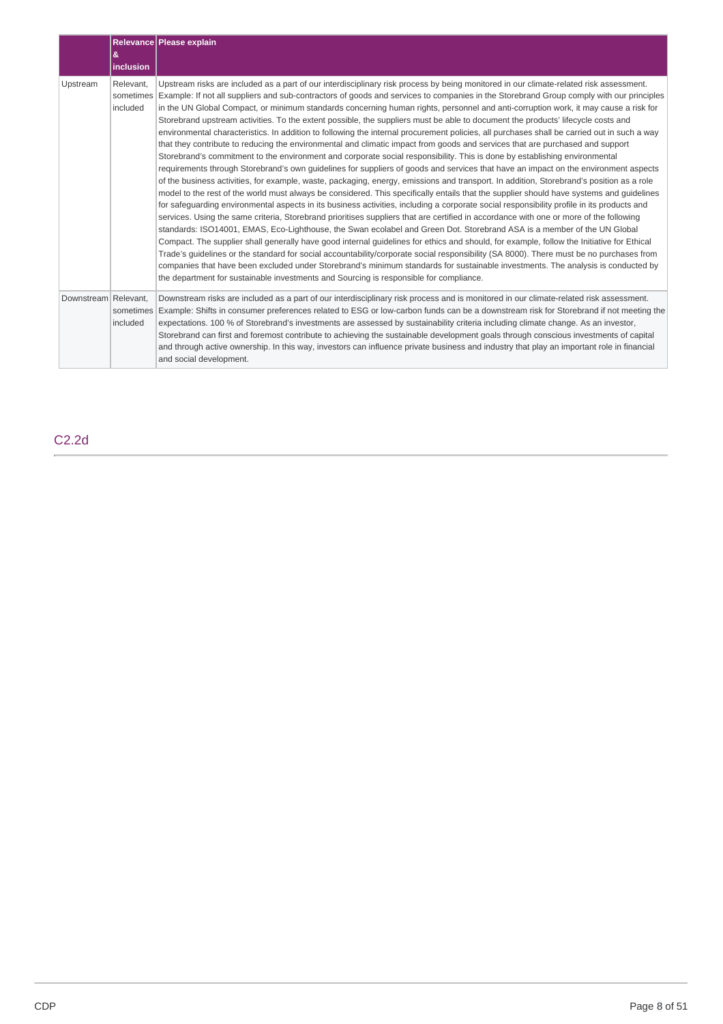|                      | &<br>inclusion        | Relevance Please explain                                                                                                                                                                                                                                                                                                                                                                                                                                                                                                                                                                                                                                                                                                                                                                                                                                                                                                                                                                                                                                                                                                                                                                                                                                                                                                                                                                                                                                                                                                                                                                                                                                                                                                                                                                                                                                                                                                                                                                                                                                                                                                                                                                                                                                                                                                                                     |
|----------------------|-----------------------|--------------------------------------------------------------------------------------------------------------------------------------------------------------------------------------------------------------------------------------------------------------------------------------------------------------------------------------------------------------------------------------------------------------------------------------------------------------------------------------------------------------------------------------------------------------------------------------------------------------------------------------------------------------------------------------------------------------------------------------------------------------------------------------------------------------------------------------------------------------------------------------------------------------------------------------------------------------------------------------------------------------------------------------------------------------------------------------------------------------------------------------------------------------------------------------------------------------------------------------------------------------------------------------------------------------------------------------------------------------------------------------------------------------------------------------------------------------------------------------------------------------------------------------------------------------------------------------------------------------------------------------------------------------------------------------------------------------------------------------------------------------------------------------------------------------------------------------------------------------------------------------------------------------------------------------------------------------------------------------------------------------------------------------------------------------------------------------------------------------------------------------------------------------------------------------------------------------------------------------------------------------------------------------------------------------------------------------------------------------|
| Upstream             | Relevant,<br>included | Upstream risks are included as a part of our interdisciplinary risk process by being monitored in our climate-related risk assessment.<br>sometimes Example: If not all suppliers and sub-contractors of goods and services to companies in the Storebrand Group comply with our principles<br>in the UN Global Compact, or minimum standards concerning human rights, personnel and anti-corruption work, it may cause a risk for<br>Storebrand upstream activities. To the extent possible, the suppliers must be able to document the products' lifecycle costs and<br>environmental characteristics. In addition to following the internal procurement policies, all purchases shall be carried out in such a way<br>that they contribute to reducing the environmental and climatic impact from goods and services that are purchased and support<br>Storebrand's commitment to the environment and corporate social responsibility. This is done by establishing environmental<br>requirements through Storebrand's own quidelines for suppliers of goods and services that have an impact on the environment aspects<br>of the business activities, for example, waste, packaging, energy, emissions and transport. In addition, Storebrand's position as a role<br>model to the rest of the world must always be considered. This specifically entails that the supplier should have systems and guidelines<br>for safeguarding environmental aspects in its business activities, including a corporate social responsibility profile in its products and<br>services. Using the same criteria, Storebrand prioritises suppliers that are certified in accordance with one or more of the following<br>standards: ISO14001, EMAS, Eco-Lighthouse, the Swan ecolabel and Green Dot. Storebrand ASA is a member of the UN Global<br>Compact. The supplier shall generally have good internal guidelines for ethics and should, for example, follow the Initiative for Ethical<br>Trade's quidelines or the standard for social accountability/corporate social responsibility (SA 8000). There must be no purchases from<br>companies that have been excluded under Storebrand's minimum standards for sustainable investments. The analysis is conducted by<br>the department for sustainable investments and Sourcing is responsible for compliance. |
| Downstream Relevant, | included              | Downstream risks are included as a part of our interdisciplinary risk process and is monitored in our climate-related risk assessment.<br>sometimes Example: Shifts in consumer preferences related to ESG or low-carbon funds can be a downstream risk for Storebrand if not meeting the<br>expectations. 100 % of Storebrand's investments are assessed by sustainability criteria including climate change. As an investor,<br>Storebrand can first and foremost contribute to achieving the sustainable development goals through conscious investments of capital<br>and through active ownership. In this way, investors can influence private business and industry that play an important role in financial<br>and social development.                                                                                                                                                                                                                                                                                                                                                                                                                                                                                                                                                                                                                                                                                                                                                                                                                                                                                                                                                                                                                                                                                                                                                                                                                                                                                                                                                                                                                                                                                                                                                                                                               |

C2.2d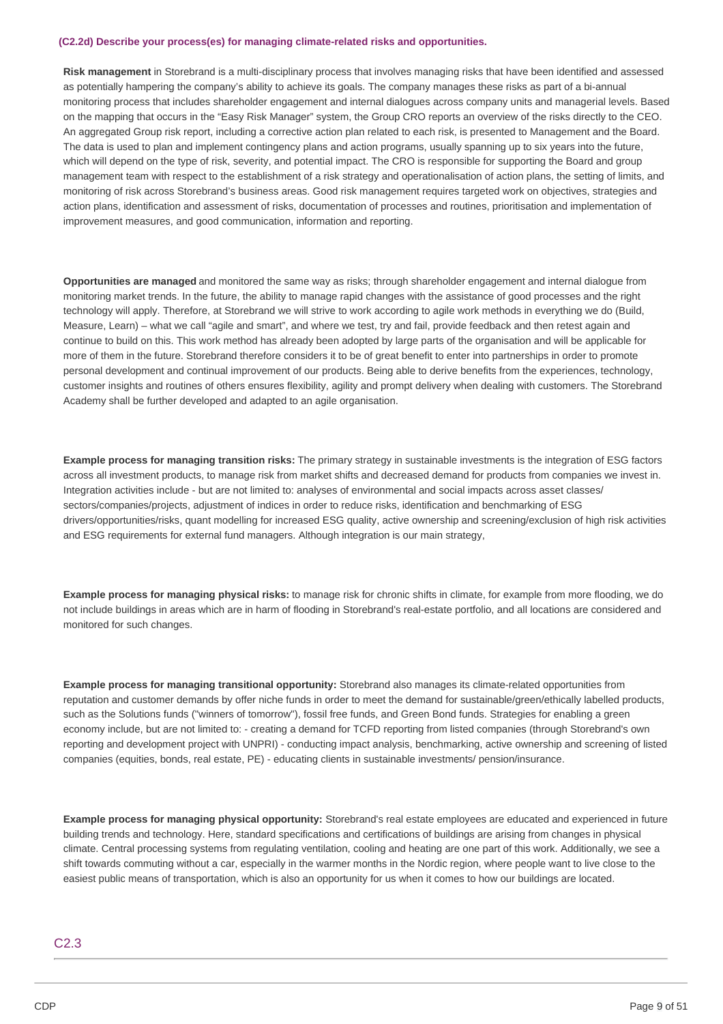#### **(C2.2d) Describe your process(es) for managing climate-related risks and opportunities.**

**Risk management** in Storebrand is a multi-disciplinary process that involves managing risks that have been identified and assessed as potentially hampering the company's ability to achieve its goals. The company manages these risks as part of a bi-annual monitoring process that includes shareholder engagement and internal dialogues across company units and managerial levels. Based on the mapping that occurs in the "Easy Risk Manager" system, the Group CRO reports an overview of the risks directly to the CEO. An aggregated Group risk report, including a corrective action plan related to each risk, is presented to Management and the Board. The data is used to plan and implement contingency plans and action programs, usually spanning up to six years into the future, which will depend on the type of risk, severity, and potential impact. The CRO is responsible for supporting the Board and group management team with respect to the establishment of a risk strategy and operationalisation of action plans, the setting of limits, and monitoring of risk across Storebrand's business areas. Good risk management requires targeted work on objectives, strategies and action plans, identification and assessment of risks, documentation of processes and routines, prioritisation and implementation of improvement measures, and good communication, information and reporting.

**Opportunities are managed** and monitored the same way as risks; through shareholder engagement and internal dialogue from monitoring market trends. In the future, the ability to manage rapid changes with the assistance of good processes and the right technology will apply. Therefore, at Storebrand we will strive to work according to agile work methods in everything we do (Build, Measure, Learn) – what we call "agile and smart", and where we test, try and fail, provide feedback and then retest again and continue to build on this. This work method has already been adopted by large parts of the organisation and will be applicable for more of them in the future. Storebrand therefore considers it to be of great benefit to enter into partnerships in order to promote personal development and continual improvement of our products. Being able to derive benefits from the experiences, technology, customer insights and routines of others ensures flexibility, agility and prompt delivery when dealing with customers. The Storebrand Academy shall be further developed and adapted to an agile organisation.

**Example process for managing transition risks:** The primary strategy in sustainable investments is the integration of ESG factors across all investment products, to manage risk from market shifts and decreased demand for products from companies we invest in. Integration activities include - but are not limited to: analyses of environmental and social impacts across asset classes/ sectors/companies/projects, adjustment of indices in order to reduce risks, identification and benchmarking of ESG drivers/opportunities/risks, quant modelling for increased ESG quality, active ownership and screening/exclusion of high risk activities and ESG requirements for external fund managers. Although integration is our main strategy,

**Example process for managing physical risks:** to manage risk for chronic shifts in climate, for example from more flooding, we do not include buildings in areas which are in harm of flooding in Storebrand's real-estate portfolio, and all locations are considered and monitored for such changes.

**Example process for managing transitional opportunity:** Storebrand also manages its climate-related opportunities from reputation and customer demands by offer niche funds in order to meet the demand for sustainable/green/ethically labelled products, such as the Solutions funds ("winners of tomorrow"), fossil free funds, and Green Bond funds. Strategies for enabling a green economy include, but are not limited to: - creating a demand for TCFD reporting from listed companies (through Storebrand's own reporting and development project with UNPRI) - conducting impact analysis, benchmarking, active ownership and screening of listed companies (equities, bonds, real estate, PE) - educating clients in sustainable investments/ pension/insurance.

**Example process for managing physical opportunity:** Storebrand's real estate employees are educated and experienced in future building trends and technology. Here, standard specifications and certifications of buildings are arising from changes in physical climate. Central processing systems from regulating ventilation, cooling and heating are one part of this work. Additionally, we see a shift towards commuting without a car, especially in the warmer months in the Nordic region, where people want to live close to the easiest public means of transportation, which is also an opportunity for us when it comes to how our buildings are located.

#### C2.3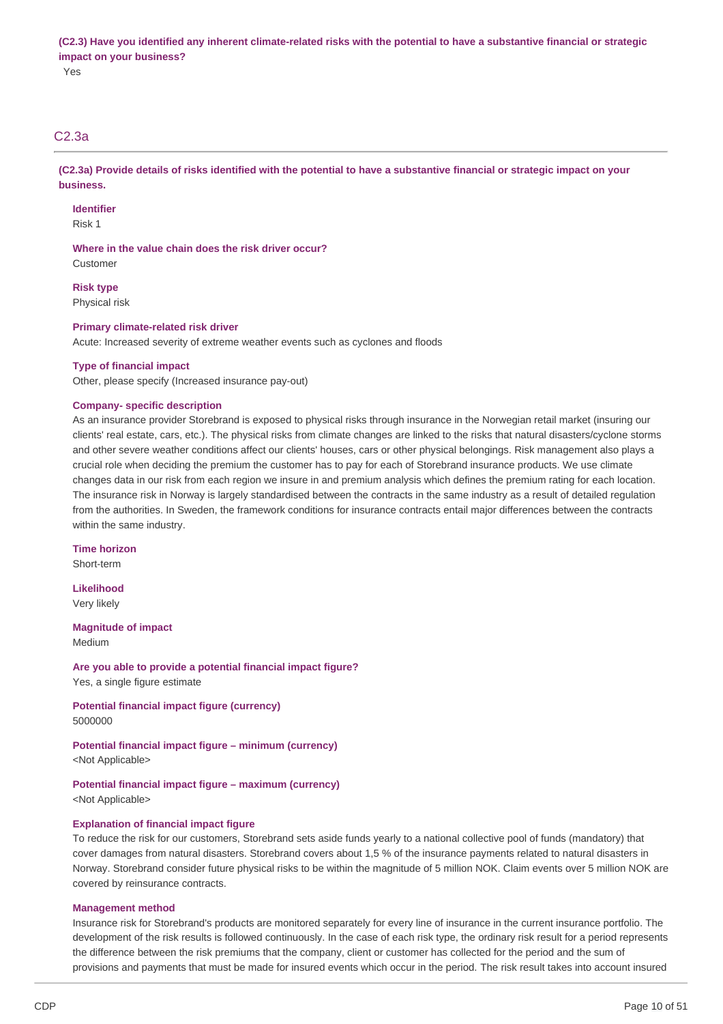Yes

## C2.3a

(C2.3a) Provide details of risks identified with the potential to have a substantive financial or strategic impact on your **business.**

#### **Identifier**

Risk 1

### **Where in the value chain does the risk driver occur?**

Customer

**Risk type** Physical risk

### **Primary climate-related risk driver**

Acute: Increased severity of extreme weather events such as cyclones and floods

### **Type of financial impact**

Other, please specify (Increased insurance pay-out)

### **Company- specific description**

As an insurance provider Storebrand is exposed to physical risks through insurance in the Norwegian retail market (insuring our clients' real estate, cars, etc.). The physical risks from climate changes are linked to the risks that natural disasters/cyclone storms and other severe weather conditions affect our clients' houses, cars or other physical belongings. Risk management also plays a crucial role when deciding the premium the customer has to pay for each of Storebrand insurance products. We use climate changes data in our risk from each region we insure in and premium analysis which defines the premium rating for each location. The insurance risk in Norway is largely standardised between the contracts in the same industry as a result of detailed regulation from the authorities. In Sweden, the framework conditions for insurance contracts entail major differences between the contracts within the same industry.

## **Time horizon**

Short-term

**Likelihood** Very likely

#### **Magnitude of impact**

Medium

**Are you able to provide a potential financial impact figure?** Yes, a single figure estimate

### **Potential financial impact figure (currency)** 5000000

**Potential financial impact figure – minimum (currency)** <Not Applicable>

# **Potential financial impact figure – maximum (currency)**

<Not Applicable>

### **Explanation of financial impact figure**

To reduce the risk for our customers, Storebrand sets aside funds yearly to a national collective pool of funds (mandatory) that cover damages from natural disasters. Storebrand covers about 1,5 % of the insurance payments related to natural disasters in Norway. Storebrand consider future physical risks to be within the magnitude of 5 million NOK. Claim events over 5 million NOK are covered by reinsurance contracts.

#### **Management method**

Insurance risk for Storebrand's products are monitored separately for every line of insurance in the current insurance portfolio. The development of the risk results is followed continuously. In the case of each risk type, the ordinary risk result for a period represents the difference between the risk premiums that the company, client or customer has collected for the period and the sum of provisions and payments that must be made for insured events which occur in the period. The risk result takes into account insured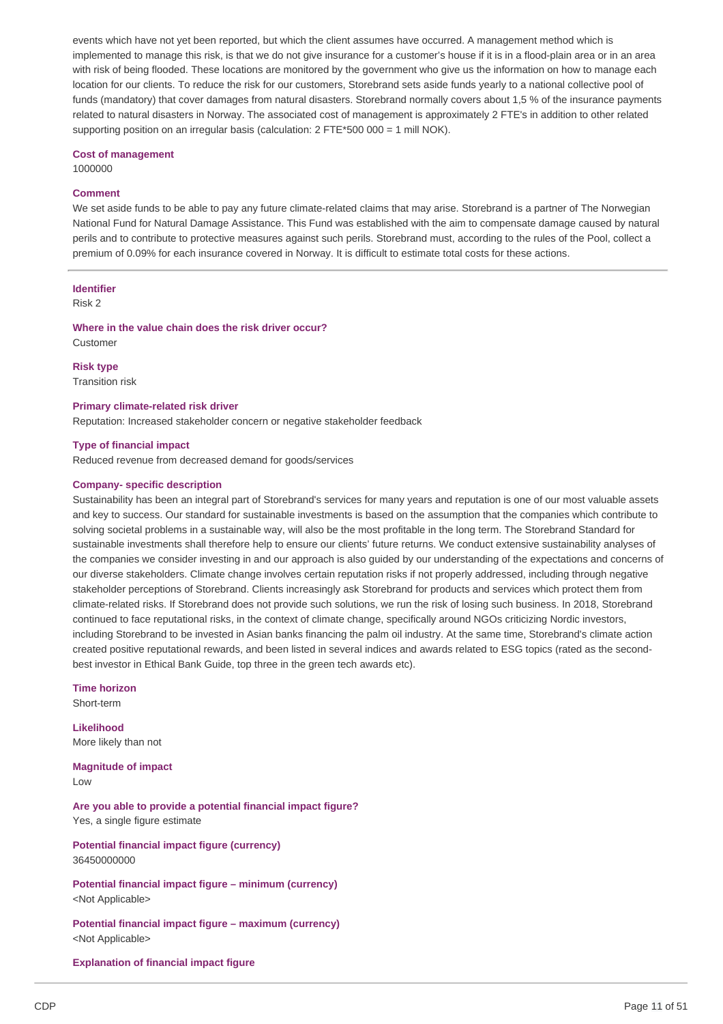events which have not yet been reported, but which the client assumes have occurred. A management method which is implemented to manage this risk, is that we do not give insurance for a customer's house if it is in a flood-plain area or in an area with risk of being flooded. These locations are monitored by the government who give us the information on how to manage each location for our clients. To reduce the risk for our customers, Storebrand sets aside funds yearly to a national collective pool of funds (mandatory) that cover damages from natural disasters. Storebrand normally covers about 1,5 % of the insurance payments related to natural disasters in Norway. The associated cost of management is approximately 2 FTE's in addition to other related supporting position on an irregular basis (calculation:  $2$  FTE\*500 000 = 1 mill NOK).

#### **Cost of management**

1000000

#### **Comment**

We set aside funds to be able to pay any future climate-related claims that may arise. Storebrand is a partner of The Norwegian National Fund for Natural Damage Assistance. This Fund was established with the aim to compensate damage caused by natural perils and to contribute to protective measures against such perils. Storebrand must, according to the rules of the Pool, collect a premium of 0.09% for each insurance covered in Norway. It is difficult to estimate total costs for these actions.

### **Identifier**

#### Risk 2

**Where in the value chain does the risk driver occur?** Customer

**Risk type**

Transition risk

**Primary climate-related risk driver**

Reputation: Increased stakeholder concern or negative stakeholder feedback

#### **Type of financial impact**

Reduced revenue from decreased demand for goods/services

### **Company- specific description**

Sustainability has been an integral part of Storebrand's services for many years and reputation is one of our most valuable assets and key to success. Our standard for sustainable investments is based on the assumption that the companies which contribute to solving societal problems in a sustainable way, will also be the most profitable in the long term. The Storebrand Standard for sustainable investments shall therefore help to ensure our clients' future returns. We conduct extensive sustainability analyses of the companies we consider investing in and our approach is also guided by our understanding of the expectations and concerns of our diverse stakeholders. Climate change involves certain reputation risks if not properly addressed, including through negative stakeholder perceptions of Storebrand. Clients increasingly ask Storebrand for products and services which protect them from climate-related risks. If Storebrand does not provide such solutions, we run the risk of losing such business. In 2018, Storebrand continued to face reputational risks, in the context of climate change, specifically around NGOs criticizing Nordic investors, including Storebrand to be invested in Asian banks financing the palm oil industry. At the same time, Storebrand's climate action created positive reputational rewards, and been listed in several indices and awards related to ESG topics (rated as the secondbest investor in Ethical Bank Guide, top three in the green tech awards etc).

#### **Time horizon**

Short-term

**Likelihood** More likely than not

**Magnitude of impact** Low

**Are you able to provide a potential financial impact figure?** Yes, a single figure estimate

**Potential financial impact figure (currency)** 36450000000

**Potential financial impact figure – minimum (currency)** <Not Applicable>

**Potential financial impact figure – maximum (currency)** <Not Applicable>

**Explanation of financial impact figure**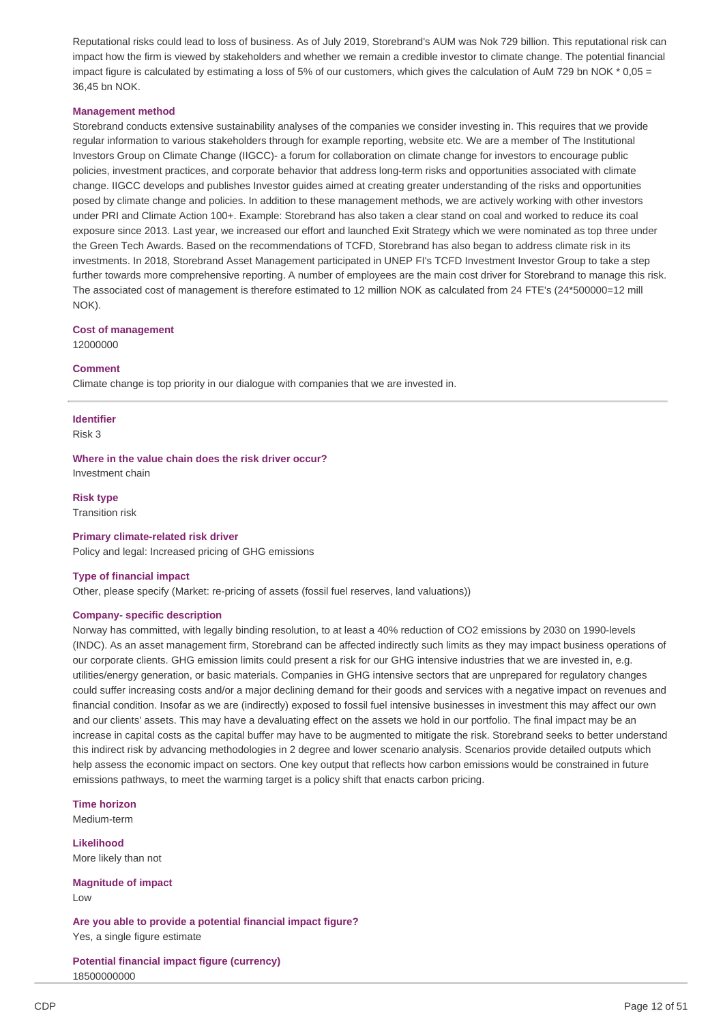Reputational risks could lead to loss of business. As of July 2019, Storebrand's AUM was Nok 729 billion. This reputational risk can impact how the firm is viewed by stakeholders and whether we remain a credible investor to climate change. The potential financial impact figure is calculated by estimating a loss of 5% of our customers, which gives the calculation of AuM 729 bn NOK  $*$  0,05 = 36,45 bn NOK.

#### **Management method**

Storebrand conducts extensive sustainability analyses of the companies we consider investing in. This requires that we provide regular information to various stakeholders through for example reporting, website etc. We are a member of The Institutional Investors Group on Climate Change (IIGCC)- a forum for collaboration on climate change for investors to encourage public policies, investment practices, and corporate behavior that address long-term risks and opportunities associated with climate change. IIGCC develops and publishes Investor guides aimed at creating greater understanding of the risks and opportunities posed by climate change and policies. In addition to these management methods, we are actively working with other investors under PRI and Climate Action 100+. Example: Storebrand has also taken a clear stand on coal and worked to reduce its coal exposure since 2013. Last year, we increased our effort and launched Exit Strategy which we were nominated as top three under the Green Tech Awards. Based on the recommendations of TCFD, Storebrand has also began to address climate risk in its investments. In 2018, Storebrand Asset Management participated in UNEP FI's TCFD Investment Investor Group to take a step further towards more comprehensive reporting. A number of employees are the main cost driver for Storebrand to manage this risk. The associated cost of management is therefore estimated to 12 million NOK as calculated from 24 FTE's (24\*500000=12 mill NOK).

#### **Cost of management**

12000000

### **Comment**

Climate change is top priority in our dialogue with companies that we are invested in.

#### **Identifier**

Risk 3

**Where in the value chain does the risk driver occur?** Investment chain

**Risk type**

Transition risk

### **Primary climate-related risk driver**

Policy and legal: Increased pricing of GHG emissions

#### **Type of financial impact**

Other, please specify (Market: re-pricing of assets (fossil fuel reserves, land valuations))

#### **Company- specific description**

Norway has committed, with legally binding resolution, to at least a 40% reduction of CO2 emissions by 2030 on 1990-levels (INDC). As an asset management firm, Storebrand can be affected indirectly such limits as they may impact business operations of our corporate clients. GHG emission limits could present a risk for our GHG intensive industries that we are invested in, e.g. utilities/energy generation, or basic materials. Companies in GHG intensive sectors that are unprepared for regulatory changes could suffer increasing costs and/or a major declining demand for their goods and services with a negative impact on revenues and financial condition. Insofar as we are (indirectly) exposed to fossil fuel intensive businesses in investment this may affect our own and our clients' assets. This may have a devaluating effect on the assets we hold in our portfolio. The final impact may be an increase in capital costs as the capital buffer may have to be augmented to mitigate the risk. Storebrand seeks to better understand this indirect risk by advancing methodologies in 2 degree and lower scenario analysis. Scenarios provide detailed outputs which help assess the economic impact on sectors. One key output that reflects how carbon emissions would be constrained in future emissions pathways, to meet the warming target is a policy shift that enacts carbon pricing.

**Time horizon** Medium-term

**Likelihood** More likely than not

**Magnitude of impact** Low

**Are you able to provide a potential financial impact figure?** Yes, a single figure estimate

**Potential financial impact figure (currency)** 18500000000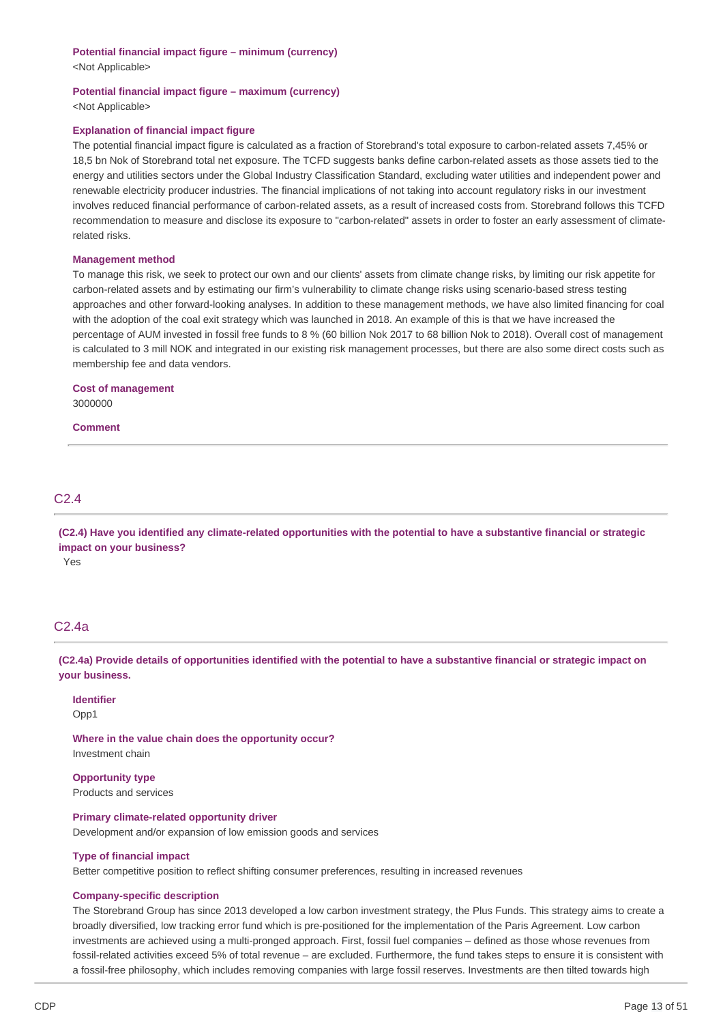#### **Potential financial impact figure – minimum (currency)**

<Not Applicable>

#### **Potential financial impact figure – maximum (currency)**

<Not Applicable>

### **Explanation of financial impact figure**

The potential financial impact figure is calculated as a fraction of Storebrand's total exposure to carbon-related assets 7,45% or 18,5 bn Nok of Storebrand total net exposure. The TCFD suggests banks define carbon-related assets as those assets tied to the energy and utilities sectors under the Global Industry Classification Standard, excluding water utilities and independent power and renewable electricity producer industries. The financial implications of not taking into account regulatory risks in our investment involves reduced financial performance of carbon-related assets, as a result of increased costs from. Storebrand follows this TCFD recommendation to measure and disclose its exposure to "carbon-related" assets in order to foster an early assessment of climaterelated risks.

#### **Management method**

To manage this risk, we seek to protect our own and our clients' assets from climate change risks, by limiting our risk appetite for carbon-related assets and by estimating our firm's vulnerability to climate change risks using scenario-based stress testing approaches and other forward-looking analyses. In addition to these management methods, we have also limited financing for coal with the adoption of the coal exit strategy which was launched in 2018. An example of this is that we have increased the percentage of AUM invested in fossil free funds to 8 % (60 billion Nok 2017 to 68 billion Nok to 2018). Overall cost of management is calculated to 3 mill NOK and integrated in our existing risk management processes, but there are also some direct costs such as membership fee and data vendors.

**Cost of management** 3000000

**Comment**

## C2.4

(C2.4) Have you identified any climate-related opportunities with the potential to have a substantive financial or strategic **impact on your business?**

Yes

## C2.4a

(C2.4a) Provide details of opportunities identified with the potential to have a substantive financial or strategic impact on **your business.**

#### **Identifier**

Opp1

**Where in the value chain does the opportunity occur?** Investment chain

**Opportunity type** Products and services

## **Primary climate-related opportunity driver**

Development and/or expansion of low emission goods and services

#### **Type of financial impact**

Better competitive position to reflect shifting consumer preferences, resulting in increased revenues

#### **Company-specific description**

The Storebrand Group has since 2013 developed a low carbon investment strategy, the Plus Funds. This strategy aims to create a broadly diversified, low tracking error fund which is pre-positioned for the implementation of the Paris Agreement. Low carbon investments are achieved using a multi-pronged approach. First, fossil fuel companies – defined as those whose revenues from fossil-related activities exceed 5% of total revenue – are excluded. Furthermore, the fund takes steps to ensure it is consistent with a fossil-free philosophy, which includes removing companies with large fossil reserves. Investments are then tilted towards high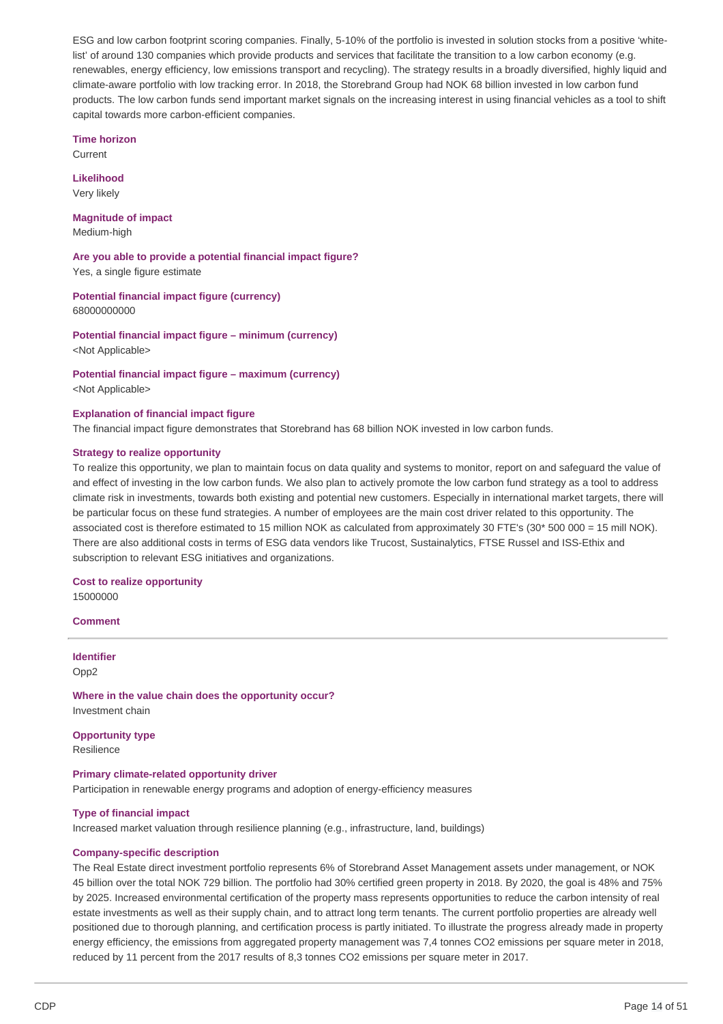ESG and low carbon footprint scoring companies. Finally, 5-10% of the portfolio is invested in solution stocks from a positive 'whitelist' of around 130 companies which provide products and services that facilitate the transition to a low carbon economy (e.g. renewables, energy efficiency, low emissions transport and recycling). The strategy results in a broadly diversified, highly liquid and climate-aware portfolio with low tracking error. In 2018, the Storebrand Group had NOK 68 billion invested in low carbon fund products. The low carbon funds send important market signals on the increasing interest in using financial vehicles as a tool to shift capital towards more carbon-efficient companies.

#### **Time horizon**

Current

**Likelihood** Very likely

# **Magnitude of impact**

Medium-high

**Are you able to provide a potential financial impact figure?** Yes, a single figure estimate

**Potential financial impact figure (currency)** 68000000000

**Potential financial impact figure – minimum (currency)** <Not Applicable>

**Potential financial impact figure – maximum (currency)** <Not Applicable>

#### **Explanation of financial impact figure**

The financial impact figure demonstrates that Storebrand has 68 billion NOK invested in low carbon funds.

#### **Strategy to realize opportunity**

To realize this opportunity, we plan to maintain focus on data quality and systems to monitor, report on and safeguard the value of and effect of investing in the low carbon funds. We also plan to actively promote the low carbon fund strategy as a tool to address climate risk in investments, towards both existing and potential new customers. Especially in international market targets, there will be particular focus on these fund strategies. A number of employees are the main cost driver related to this opportunity. The associated cost is therefore estimated to 15 million NOK as calculated from approximately 30 FTE's (30\* 500 000 = 15 mill NOK). There are also additional costs in terms of ESG data vendors like Trucost, Sustainalytics, FTSE Russel and ISS-Ethix and subscription to relevant ESG initiatives and organizations.

### **Cost to realize opportunity**

15000000

### **Comment**

## **Identifier**

Opp2

**Where in the value chain does the opportunity occur?** Investment chain

**Opportunity type** Resilience

#### **Primary climate-related opportunity driver**

Participation in renewable energy programs and adoption of energy-efficiency measures

### **Type of financial impact**

Increased market valuation through resilience planning (e.g., infrastructure, land, buildings)

#### **Company-specific description**

The Real Estate direct investment portfolio represents 6% of Storebrand Asset Management assets under management, or NOK 45 billion over the total NOK 729 billion. The portfolio had 30% certified green property in 2018. By 2020, the goal is 48% and 75% by 2025. Increased environmental certification of the property mass represents opportunities to reduce the carbon intensity of real estate investments as well as their supply chain, and to attract long term tenants. The current portfolio properties are already well positioned due to thorough planning, and certification process is partly initiated. To illustrate the progress already made in property energy efficiency, the emissions from aggregated property management was 7.4 tonnes CO2 emissions per square meter in 2018. reduced by 11 percent from the 2017 results of 8,3 tonnes CO2 emissions per square meter in 2017.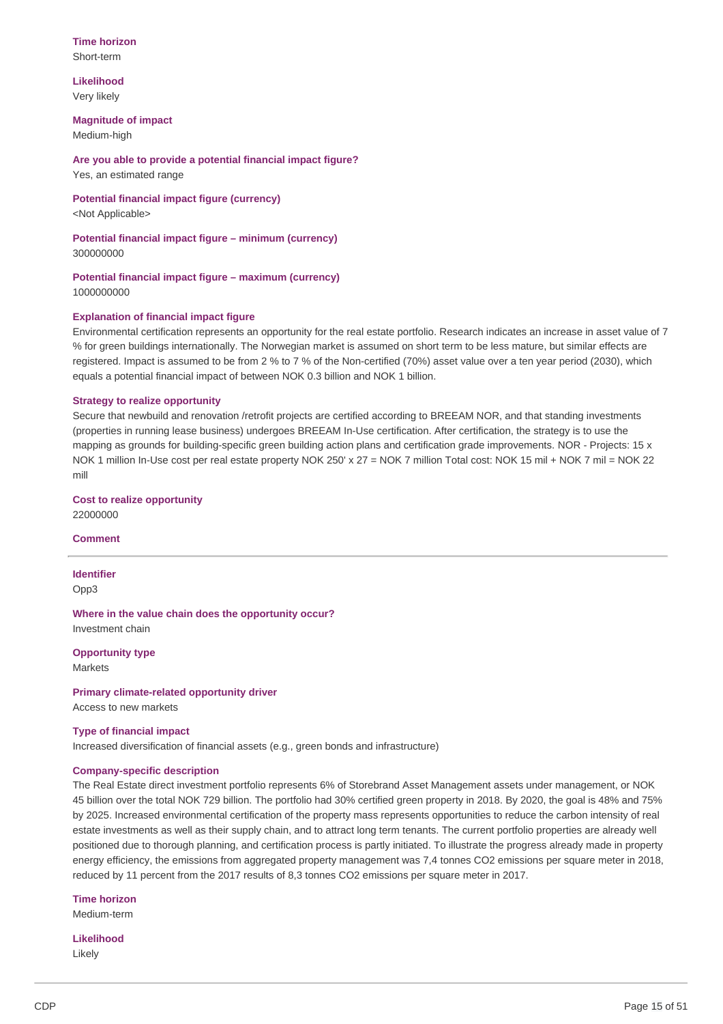### **Time horizon** Short-term

**Likelihood** Very likely

### **Magnitude of impact**

Medium-high

**Are you able to provide a potential financial impact figure?** Yes, an estimated range

**Potential financial impact figure (currency)**

<Not Applicable>

**Potential financial impact figure – minimum (currency)** 300000000

**Potential financial impact figure – maximum (currency)** 1000000000

### **Explanation of financial impact figure**

Environmental certification represents an opportunity for the real estate portfolio. Research indicates an increase in asset value of 7 % for green buildings internationally. The Norwegian market is assumed on short term to be less mature, but similar effects are registered. Impact is assumed to be from 2 % to 7 % of the Non-certified (70%) asset value over a ten year period (2030), which equals a potential financial impact of between NOK 0.3 billion and NOK 1 billion.

### **Strategy to realize opportunity**

Secure that newbuild and renovation /retrofit projects are certified according to BREEAM NOR, and that standing investments (properties in running lease business) undergoes BREEAM In-Use certification. After certification, the strategy is to use the mapping as grounds for building-specific green building action plans and certification grade improvements. NOR - Projects: 15 x NOK 1 million In-Use cost per real estate property NOK 250' x 27 = NOK 7 million Total cost: NOK 15 mil + NOK 7 mil = NOK 22 mill

**Cost to realize opportunity** 22000000

#### **Comment**

**Identifier** Opp3

**Where in the value chain does the opportunity occur?** Investment chain

**Opportunity type** Markets

**Primary climate-related opportunity driver**

Access to new markets

### **Type of financial impact**

Increased diversification of financial assets (e.g., green bonds and infrastructure)

### **Company-specific description**

The Real Estate direct investment portfolio represents 6% of Storebrand Asset Management assets under management, or NOK 45 billion over the total NOK 729 billion. The portfolio had 30% certified green property in 2018. By 2020, the goal is 48% and 75% by 2025. Increased environmental certification of the property mass represents opportunities to reduce the carbon intensity of real estate investments as well as their supply chain, and to attract long term tenants. The current portfolio properties are already well positioned due to thorough planning, and certification process is partly initiated. To illustrate the progress already made in property energy efficiency, the emissions from aggregated property management was 7.4 tonnes CO2 emissions per square meter in 2018, reduced by 11 percent from the 2017 results of 8,3 tonnes CO2 emissions per square meter in 2017.

**Time horizon** Medium-term

**Likelihood** Likely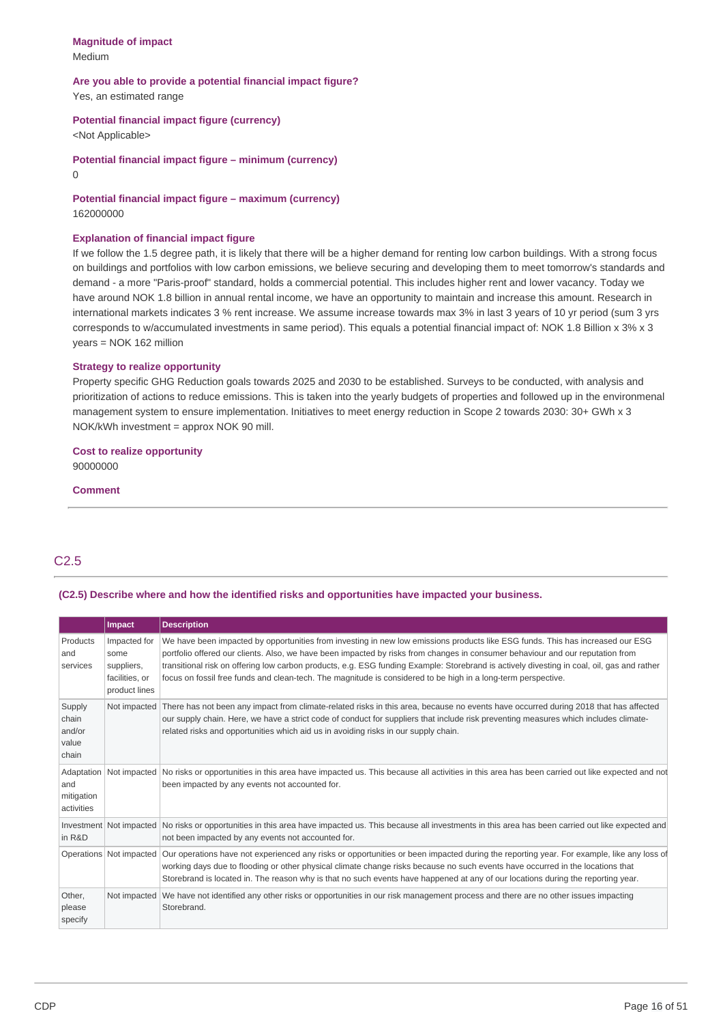### **Magnitude of impact** Medium

### **Are you able to provide a potential financial impact figure?** Yes, an estimated range

## **Potential financial impact figure (currency)**

<Not Applicable>

**Potential financial impact figure – minimum (currency)** 0

## **Potential financial impact figure – maximum (currency)** 162000000

### **Explanation of financial impact figure**

If we follow the 1.5 degree path, it is likely that there will be a higher demand for renting low carbon buildings. With a strong focus on buildings and portfolios with low carbon emissions, we believe securing and developing them to meet tomorrow's standards and demand - a more "Paris-proof" standard, holds a commercial potential. This includes higher rent and lower vacancy. Today we have around NOK 1.8 billion in annual rental income, we have an opportunity to maintain and increase this amount. Research in international markets indicates 3 % rent increase. We assume increase towards max 3% in last 3 years of 10 yr period (sum 3 yrs corresponds to w/accumulated investments in same period). This equals a potential financial impact of: NOK 1.8 Billion x 3% x 3 years = NOK 162 million

### **Strategy to realize opportunity**

Property specific GHG Reduction goals towards 2025 and 2030 to be established. Surveys to be conducted, with analysis and prioritization of actions to reduce emissions. This is taken into the yearly budgets of properties and followed up in the environmenal management system to ensure implementation. Initiatives to meet energy reduction in Scope 2 towards 2030: 30+ GWh x 3 NOK/kWh investment = approx NOK 90 mill.

# **Cost to realize opportunity**

90000000

### **Comment**

## C2.5

## **(C2.5) Describe where and how the identified risks and opportunities have impacted your business.**

|                                               | <b>Impact</b>                                                         | <b>Description</b>                                                                                                                                                                                                                                                                                                                                                                                                                                                                                                              |
|-----------------------------------------------|-----------------------------------------------------------------------|---------------------------------------------------------------------------------------------------------------------------------------------------------------------------------------------------------------------------------------------------------------------------------------------------------------------------------------------------------------------------------------------------------------------------------------------------------------------------------------------------------------------------------|
| Products<br>and<br>services                   | Impacted for<br>some<br>suppliers,<br>facilities, or<br>product lines | We have been impacted by opportunities from investing in new low emissions products like ESG funds. This has increased our ESG<br>portfolio offered our clients. Also, we have been impacted by risks from changes in consumer behaviour and our reputation from<br>transitional risk on offering low carbon products, e.g. ESG funding Example: Storebrand is actively divesting in coal, oil, gas and rather<br>focus on fossil free funds and clean-tech. The magnitude is considered to be high in a long-term perspective. |
| Supply<br>chain<br>and/or<br>value<br>chain   | Not impacted                                                          | There has not been any impact from climate-related risks in this area, because no events have occurred during 2018 that has affected<br>our supply chain. Here, we have a strict code of conduct for suppliers that include risk preventing measures which includes climate-<br>related risks and opportunities which aid us in avoiding risks in our supply chain.                                                                                                                                                             |
| Adaptation<br>and<br>mitigation<br>activities |                                                                       | Not impacted No risks or opportunities in this area have impacted us. This because all activities in this area has been carried out like expected and not<br>been impacted by any events not accounted for.                                                                                                                                                                                                                                                                                                                     |
| in R&D                                        |                                                                       | Investment Not impacted No risks or opportunities in this area have impacted us. This because all investments in this area has been carried out like expected and<br>not been impacted by any events not accounted for.                                                                                                                                                                                                                                                                                                         |
|                                               | Operations Not impacted                                               | Our operations have not experienced any risks or opportunities or been impacted during the reporting year. For example, like any loss of<br>working days due to flooding or other physical climate change risks because no such events have occurred in the locations that<br>Storebrand is located in. The reason why is that no such events have happened at any of our locations during the reporting year.                                                                                                                  |
| Other,<br>please<br>specify                   |                                                                       | Not impacted We have not identified any other risks or opportunities in our risk management process and there are no other issues impacting<br>Storebrand.                                                                                                                                                                                                                                                                                                                                                                      |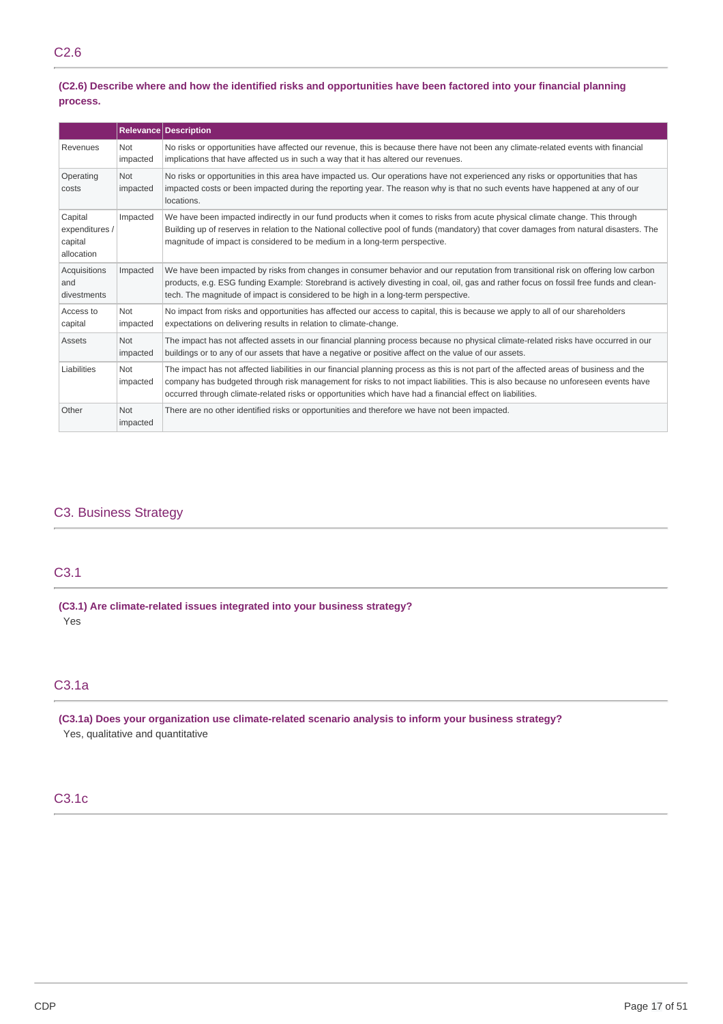## (C2.6) Describe where and how the identified risks and opportunities have been factored into your financial planning **process.**

|                                                    |                        | <b>Relevance Description</b>                                                                                                                                                                                                                                                                                                                                                             |
|----------------------------------------------------|------------------------|------------------------------------------------------------------------------------------------------------------------------------------------------------------------------------------------------------------------------------------------------------------------------------------------------------------------------------------------------------------------------------------|
| Revenues                                           | Not<br>impacted        | No risks or opportunities have affected our revenue, this is because there have not been any climate-related events with financial<br>implications that have affected us in such a way that it has altered our revenues.                                                                                                                                                                 |
| Operating<br>costs                                 | Not<br>impacted        | No risks or opportunities in this area have impacted us. Our operations have not experienced any risks or opportunities that has<br>impacted costs or been impacted during the reporting year. The reason why is that no such events have happened at any of our<br>locations.                                                                                                           |
| Capital<br>expenditures /<br>capital<br>allocation | Impacted               | We have been impacted indirectly in our fund products when it comes to risks from acute physical climate change. This through<br>Building up of reserves in relation to the National collective pool of funds (mandatory) that cover damages from natural disasters. The<br>magnitude of impact is considered to be medium in a long-term perspective.                                   |
| Acquisitions<br>and<br>divestments                 | Impacted               | We have been impacted by risks from changes in consumer behavior and our reputation from transitional risk on offering low carbon<br>products, e.g. ESG funding Example: Storebrand is actively divesting in coal, oil, gas and rather focus on fossil free funds and clean-<br>tech. The magnitude of impact is considered to be high in a long-term perspective.                       |
| Access to<br>capital                               | Not<br>impacted        | No impact from risks and opportunities has affected our access to capital, this is because we apply to all of our shareholders<br>expectations on delivering results in relation to climate-change.                                                                                                                                                                                      |
| Assets                                             | <b>Not</b><br>impacted | The impact has not affected assets in our financial planning process because no physical climate-related risks have occurred in our<br>buildings or to any of our assets that have a negative or positive affect on the value of our assets.                                                                                                                                             |
| Liabilities                                        | Not<br>impacted        | The impact has not affected liabilities in our financial planning process as this is not part of the affected areas of business and the<br>company has budgeted through risk management for risks to not impact liabilities. This is also because no unforeseen events have<br>occurred through climate-related risks or opportunities which have had a financial effect on liabilities. |
| Other                                              | Not<br>impacted        | There are no other identified risks or opportunities and therefore we have not been impacted.                                                                                                                                                                                                                                                                                            |

## C3. Business Strategy

## C3.1

**(C3.1) Are climate-related issues integrated into your business strategy?** Yes

## C3.1a

**(C3.1a) Does your organization use climate-related scenario analysis to inform your business strategy?** Yes, qualitative and quantitative

## C3.1c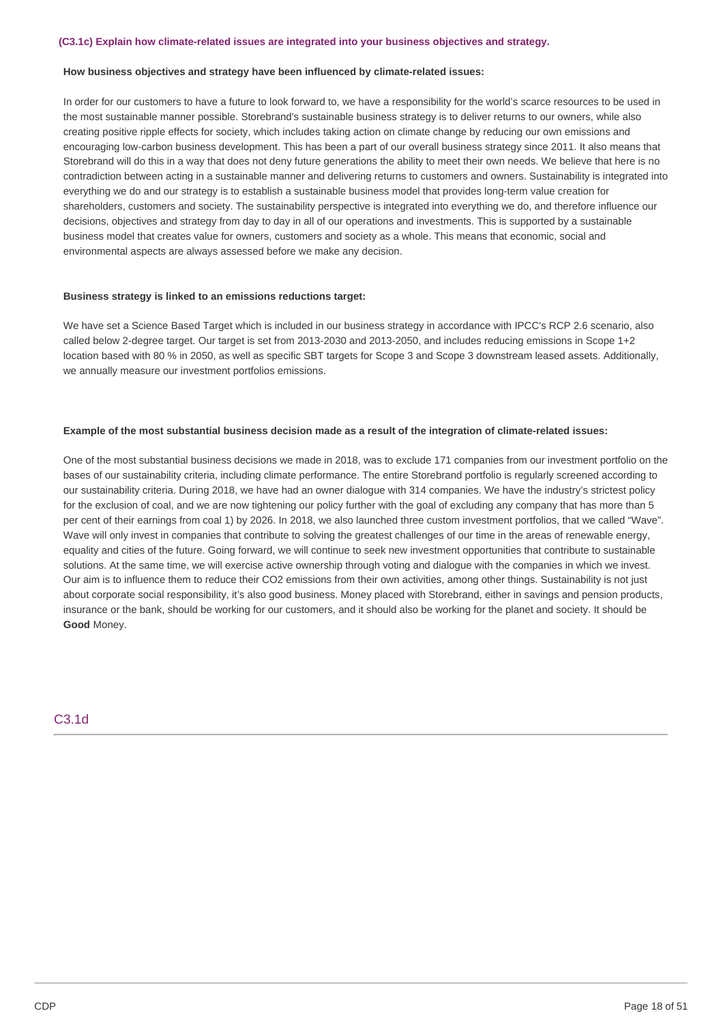#### **How business objectives and strategy have been influenced by climate-related issues:**

In order for our customers to have a future to look forward to, we have a responsibility for the world's scarce resources to be used in the most sustainable manner possible. Storebrand's sustainable business strategy is to deliver returns to our owners, while also creating positive ripple effects for society, which includes taking action on climate change by reducing our own emissions and encouraging low-carbon business development. This has been a part of our overall business strategy since 2011. It also means that Storebrand will do this in a way that does not deny future generations the ability to meet their own needs. We believe that here is no contradiction between acting in a sustainable manner and delivering returns to customers and owners. Sustainability is integrated into everything we do and our strategy is to establish a sustainable business model that provides long-term value creation for shareholders, customers and society. The sustainability perspective is integrated into everything we do, and therefore influence our decisions, objectives and strategy from day to day in all of our operations and investments. This is supported by a sustainable business model that creates value for owners, customers and society as a whole. This means that economic, social and environmental aspects are always assessed before we make any decision.

#### **Business strategy is linked to an emissions reductions target:**

We have set a Science Based Target which is included in our business strategy in accordance with IPCC's RCP 2.6 scenario, also called below 2-degree target. Our target is set from 2013-2030 and 2013-2050, and includes reducing emissions in Scope 1+2 location based with 80 % in 2050, as well as specific SBT targets for Scope 3 and Scope 3 downstream leased assets. Additionally, we annually measure our investment portfolios emissions.

### Example of the most substantial business decision made as a result of the integration of climate-related issues:

One of the most substantial business decisions we made in 2018, was to exclude 171 companies from our investment portfolio on the bases of our sustainability criteria, including climate performance. The entire Storebrand portfolio is regularly screened according to our sustainability criteria. During 2018, we have had an owner dialogue with 314 companies. We have the industry's strictest policy for the exclusion of coal, and we are now tightening our policy further with the goal of excluding any company that has more than 5 per cent of their earnings from coal 1) by 2026. In 2018, we also launched three custom investment portfolios, that we called "Wave". Wave will only invest in companies that contribute to solving the greatest challenges of our time in the areas of renewable energy, equality and cities of the future. Going forward, we will continue to seek new investment opportunities that contribute to sustainable solutions. At the same time, we will exercise active ownership through voting and dialogue with the companies in which we invest. Our aim is to influence them to reduce their CO2 emissions from their own activities, among other things. Sustainability is not just about corporate social responsibility, it's also good business. Money placed with Storebrand, either in savings and pension products, insurance or the bank, should be working for our customers, and it should also be working for the planet and society. It should be **Good** Money.

### C3.1d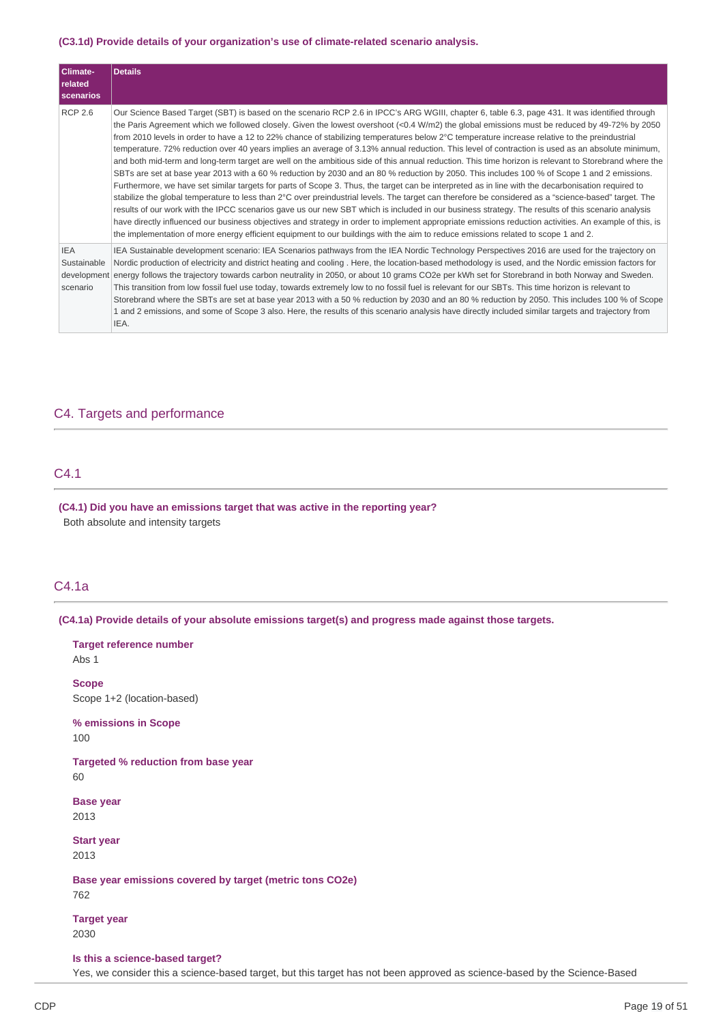### **(C3.1d) Provide details of your organization's use of climate-related scenario analysis.**

| Climate-<br><b>related</b><br><b>scenarios</b> | <b>Details</b>                                                                                                                                                                                                                                                                                                                                                                                                                                                                                                                                                                                                                                                                                                                                                                                                                                                                                                                                                                                                                                                                                                                                                                                                                                                                                                                                                                                                                                                                                                                                                                                                                                                                |
|------------------------------------------------|-------------------------------------------------------------------------------------------------------------------------------------------------------------------------------------------------------------------------------------------------------------------------------------------------------------------------------------------------------------------------------------------------------------------------------------------------------------------------------------------------------------------------------------------------------------------------------------------------------------------------------------------------------------------------------------------------------------------------------------------------------------------------------------------------------------------------------------------------------------------------------------------------------------------------------------------------------------------------------------------------------------------------------------------------------------------------------------------------------------------------------------------------------------------------------------------------------------------------------------------------------------------------------------------------------------------------------------------------------------------------------------------------------------------------------------------------------------------------------------------------------------------------------------------------------------------------------------------------------------------------------------------------------------------------------|
| <b>RCP 2.6</b>                                 | Our Science Based Target (SBT) is based on the scenario RCP 2.6 in IPCC's ARG WGIII, chapter 6, table 6.3, page 431. It was identified through<br>the Paris Agreement which we followed closely. Given the lowest overshoot (<0.4 W/m2) the global emissions must be reduced by 49-72% by 2050<br>from 2010 levels in order to have a 12 to 22% chance of stabilizing temperatures below 2°C temperature increase relative to the preindustrial<br>temperature. 72% reduction over 40 years implies an average of 3.13% annual reduction. This level of contraction is used as an absolute minimum,<br>and both mid-term and long-term target are well on the ambitious side of this annual reduction. This time horizon is relevant to Storebrand where the<br>SBTs are set at base year 2013 with a 60 % reduction by 2030 and an 80 % reduction by 2050. This includes 100 % of Scope 1 and 2 emissions.<br>Furthermore, we have set similar targets for parts of Scope 3. Thus, the target can be interpreted as in line with the decarbonisation required to<br>stabilize the global temperature to less than 2°C over preindustrial levels. The target can therefore be considered as a "science-based" target. The<br>results of our work with the IPCC scenarios gave us our new SBT which is included in our business strategy. The results of this scenario analysis<br>have directly influenced our business objectives and strategy in order to implement appropriate emissions reduction activities. An example of this, is<br>the implementation of more energy efficient equipment to our buildings with the aim to reduce emissions related to scope 1 and 2. |
| <b>IEA</b><br>Sustainable<br>scenario          | IEA Sustainable development scenario: IEA Scenarios pathways from the IEA Nordic Technology Perspectives 2016 are used for the trajectory on<br>Nordic production of electricity and district heating and cooling. Here, the location-based methodology is used, and the Nordic emission factors for<br>development energy follows the trajectory towards carbon neutrality in 2050, or about 10 grams CO2e per kWh set for Storebrand in both Norway and Sweden.<br>This transition from low fossil fuel use today, towards extremely low to no fossil fuel is relevant for our SBTs. This time horizon is relevant to<br>Storebrand where the SBTs are set at base year 2013 with a 50 % reduction by 2030 and an 80 % reduction by 2050. This includes 100 % of Scope<br>1 and 2 emissions, and some of Scope 3 also. Here, the results of this scenario analysis have directly included similar targets and trajectory from<br>IEA.                                                                                                                                                                                                                                                                                                                                                                                                                                                                                                                                                                                                                                                                                                                                       |

## C4. Targets and performance

## C4.1

**(C4.1) Did you have an emissions target that was active in the reporting year?** Both absolute and intensity targets

## C4.1a

**(C4.1a) Provide details of your absolute emissions target(s) and progress made against those targets.**

Abs 1 **Scope**

**Target reference number**

Scope 1+2 (location-based)

**% emissions in Scope** 100

**Targeted % reduction from base year** 60

**Base year** 2013

**Start year** 2013

**Base year emissions covered by target (metric tons CO2e)** 762

**Target year** 2030

#### **Is this a science-based target?**

Yes, we consider this a science-based target, but this target has not been approved as science-based by the Science-Based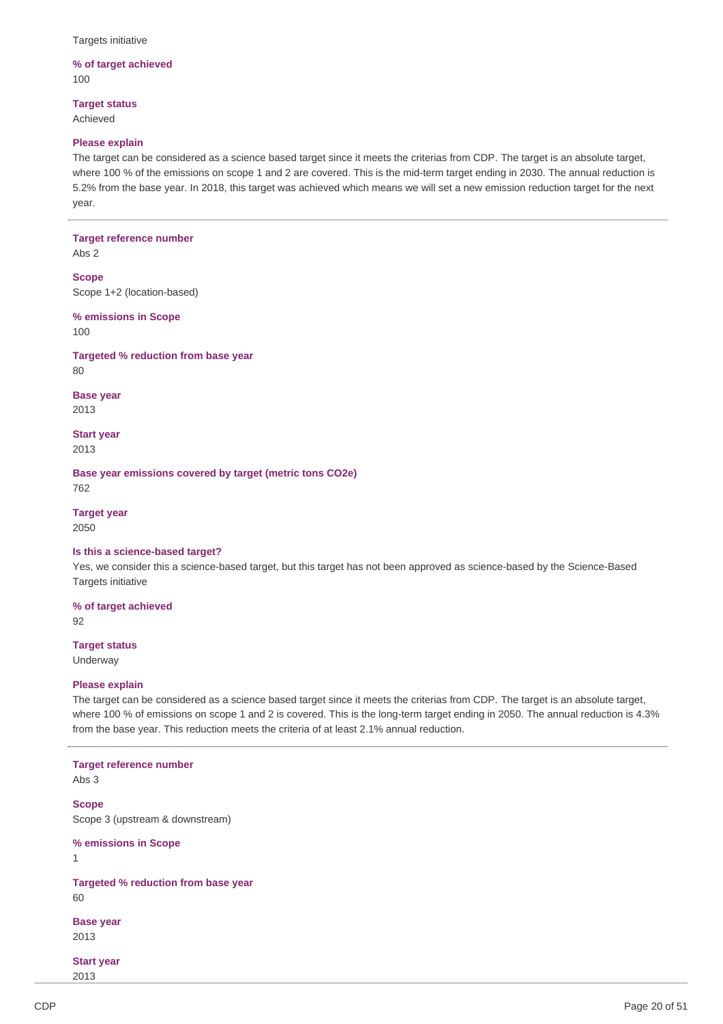Targets initiative

### **% of target achieved** 100

**Target status** Achieved

#### **Please explain**

The target can be considered as a science based target since it meets the criterias from CDP. The target is an absolute target, where 100 % of the emissions on scope 1 and 2 are covered. This is the mid-term target ending in 2030. The annual reduction is 5.2% from the base year. In 2018, this target was achieved which means we will set a new emission reduction target for the next year.

#### **Target reference number**

Abs 2

**Scope** Scope 1+2 (location-based)

**% emissions in Scope** 100

**Targeted % reduction from base year** 80

**Base year** 2013

**Start year** 2013

**Base year emissions covered by target (metric tons CO2e)** 762

**Target year** 2050

#### **Is this a science-based target?**

Yes, we consider this a science-based target, but this target has not been approved as science-based by the Science-Based Targets initiative

**% of target achieved**

92

## **Target status**

Underway

### **Please explain**

The target can be considered as a science based target since it meets the criterias from CDP. The target is an absolute target, where 100 % of emissions on scope 1 and 2 is covered. This is the long-term target ending in 2050. The annual reduction is 4.3% from the base year. This reduction meets the criteria of at least 2.1% annual reduction.

### **Target reference number** Abs 3

**Scope** Scope 3 (upstream & downstream)

**% emissions in Scope**

1

**Targeted % reduction from base year** 60

**Base year** 2013

**Start year** 2013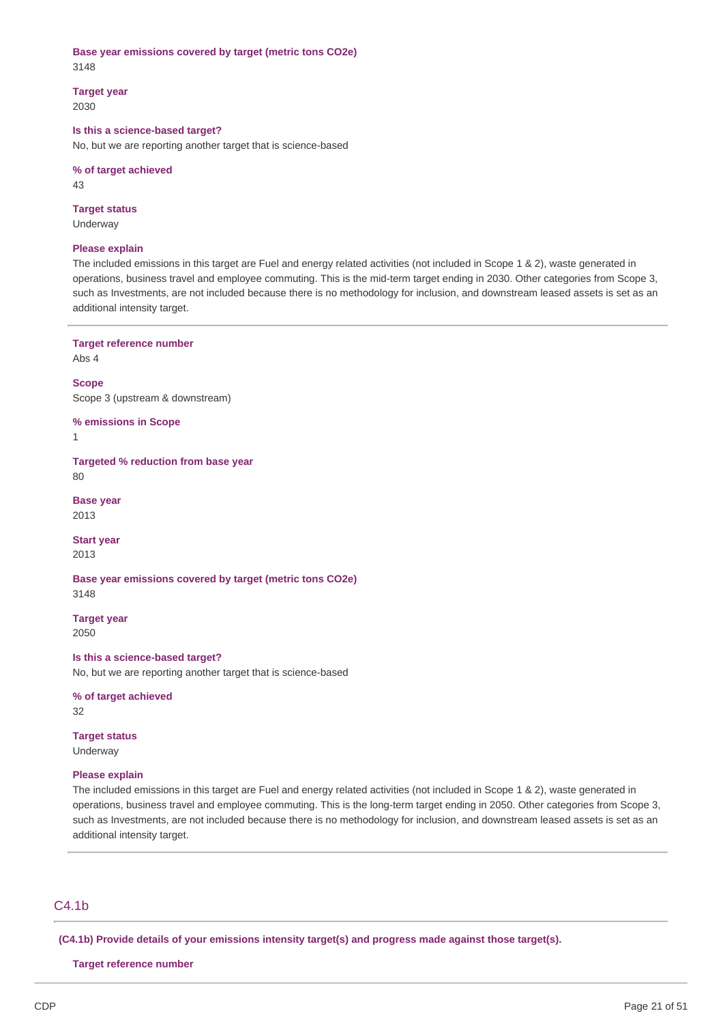## **Base year emissions covered by target (metric tons CO2e)** 3148

**Target year**

2030

## **Is this a science-based target?**

No, but we are reporting another target that is science-based

### **% of target achieved**

43

### **Target status**

Underway

### **Please explain**

The included emissions in this target are Fuel and energy related activities (not included in Scope 1 & 2), waste generated in operations, business travel and employee commuting. This is the mid-term target ending in 2030. Other categories from Scope 3, such as Investments, are not included because there is no methodology for inclusion, and downstream leased assets is set as an additional intensity target.

**Target reference number**

Abs 4

**Scope** Scope 3 (upstream & downstream)

**% emissions in Scope**

1

**Targeted % reduction from base year** 80

**Base year** 2013

**Start year** 2013

**Base year emissions covered by target (metric tons CO2e)** 3148

**Target year** 2050

## **Is this a science-based target?**

No, but we are reporting another target that is science-based

**% of target achieved** 32

**Target status** Underway

### **Please explain**

The included emissions in this target are Fuel and energy related activities (not included in Scope 1 & 2), waste generated in operations, business travel and employee commuting. This is the long-term target ending in 2050. Other categories from Scope 3, such as Investments, are not included because there is no methodology for inclusion, and downstream leased assets is set as an additional intensity target.

## C4.1b

**(C4.1b) Provide details of your emissions intensity target(s) and progress made against those target(s).**

**Target reference number**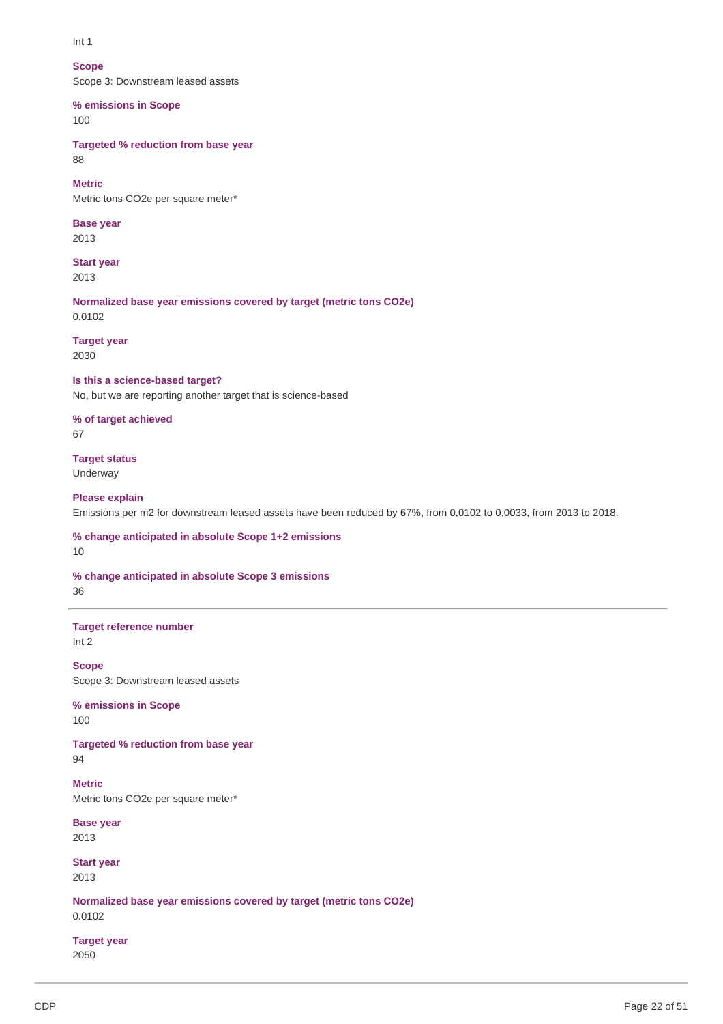Int 1

## **Scope**

Scope 3: Downstream leased assets

## **% emissions in Scope**

100

**Targeted % reduction from base year** 88

### **Metric**

Metric tons CO2e per square meter\*

## **Base year**

2013

## **Start year**

2013

**Normalized base year emissions covered by target (metric tons CO2e)** 0.0102

### **Target year** 2030

**Is this a science-based target?**

No, but we are reporting another target that is science-based

## **% of target achieved** 67

# **Target status**

Underway

## **Please explain**

Emissions per m2 for downstream leased assets have been reduced by 67%, from 0,0102 to 0,0033, from 2013 to 2018.

## **% change anticipated in absolute Scope 1+2 emissions** 10

**% change anticipated in absolute Scope 3 emissions** 36

## **Target reference number** Int 2

**Scope**

Scope 3: Downstream leased assets

**% emissions in Scope** 100

## **Targeted % reduction from base year**

94

**Metric** Metric tons CO2e per square meter\*

**Base year** 2013

**Start year** 2013

**Normalized base year emissions covered by target (metric tons CO2e)** 0.0102

## **Target year** 2050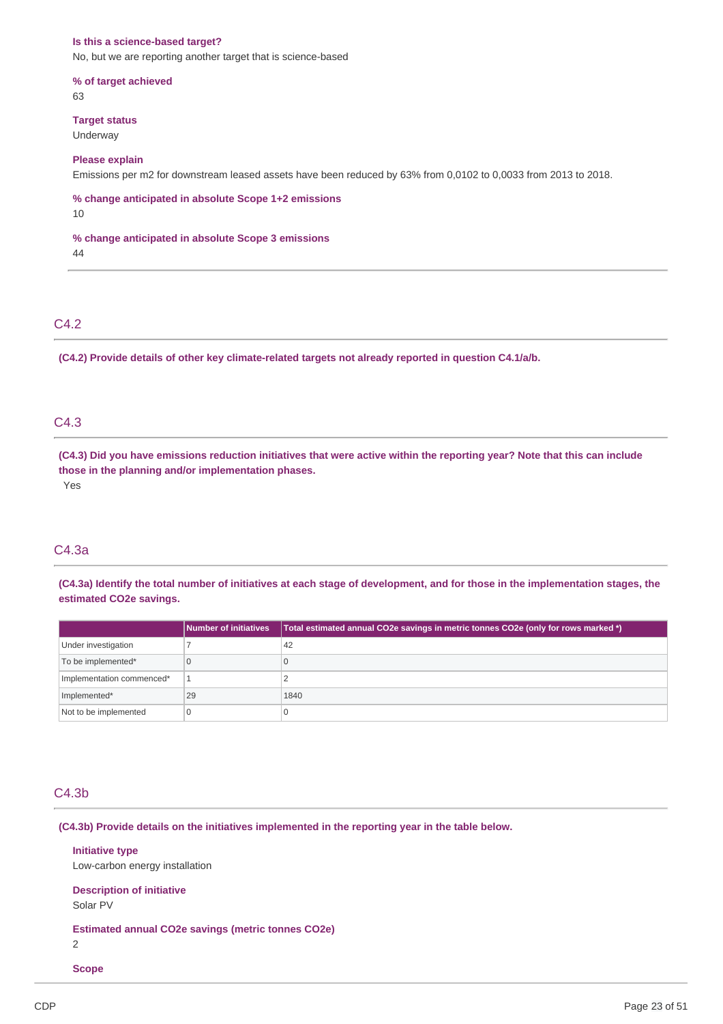#### **Is this a science-based target?**

No, but we are reporting another target that is science-based

**% of target achieved** 63

**Target status**

Underway

### **Please explain**

Emissions per m2 for downstream leased assets have been reduced by 63% from 0,0102 to 0,0033 from 2013 to 2018.

**% change anticipated in absolute Scope 1+2 emissions** 10

**% change anticipated in absolute Scope 3 emissions**

44

## C4.2

**(C4.2) Provide details of other key climate-related targets not already reported in question C4.1/a/b.**

## C4.3

(C4.3) Did you have emissions reduction initiatives that were active within the reporting year? Note that this can include **those in the planning and/or implementation phases.** Yes

### C4.3a

(C4.3a) Identify the total number of initiatives at each stage of development, and for those in the implementation stages, the **estimated CO2e savings.**

|                           | <b>Number of initiatives</b> | Total estimated annual CO2e savings in metric tonnes CO2e (only for rows marked *) |
|---------------------------|------------------------------|------------------------------------------------------------------------------------|
| Under investigation       |                              | 42                                                                                 |
| To be implemented*        |                              |                                                                                    |
| Implementation commenced* |                              |                                                                                    |
| Implemented*              | 29                           | 1840                                                                               |
| Not to be implemented     |                              |                                                                                    |

## C4.3b

**(C4.3b) Provide details on the initiatives implemented in the reporting year in the table below.**

#### **Initiative type**

Low-carbon energy installation

#### **Description of initiative**

Solar PV

**Estimated annual CO2e savings (metric tonnes CO2e)**

2

## **Scope**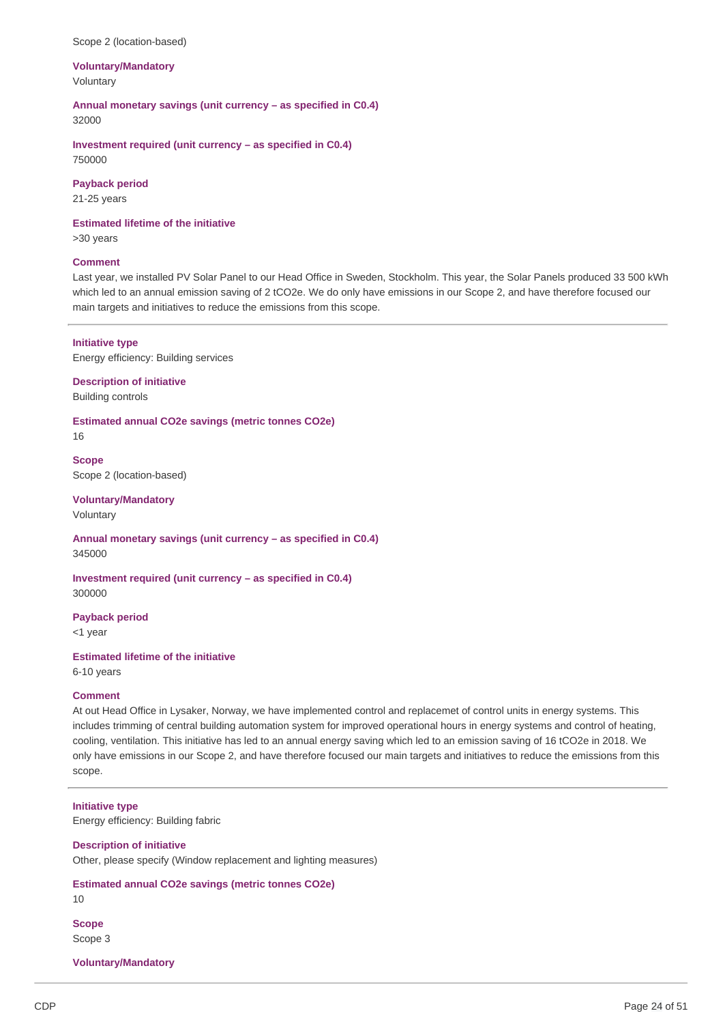#### Scope 2 (location-based)

### **Voluntary/Mandatory** Voluntary

**Annual monetary savings (unit currency – as specified in C0.4)** 32000

**Investment required (unit currency – as specified in C0.4)** 750000

**Payback period**

21-25 years

## **Estimated lifetime of the initiative**

>30 years

#### **Comment**

Last year, we installed PV Solar Panel to our Head Office in Sweden, Stockholm. This year, the Solar Panels produced 33 500 kWh which led to an annual emission saving of 2 tCO2e. We do only have emissions in our Scope 2, and have therefore focused our main targets and initiatives to reduce the emissions from this scope.

### **Initiative type**

Energy efficiency: Building services

### **Description of initiative** Building controls

**Estimated annual CO2e savings (metric tonnes CO2e)** 16

**Scope** Scope 2 (location-based)

### **Voluntary/Mandatory** Voluntary

**Annual monetary savings (unit currency – as specified in C0.4)** 345000

**Investment required (unit currency – as specified in C0.4)** 300000

## **Payback period**

<1 year

### **Estimated lifetime of the initiative**

6-10 years

### **Comment**

At out Head Office in Lysaker, Norway, we have implemented control and replacemet of control units in energy systems. This includes trimming of central building automation system for improved operational hours in energy systems and control of heating, cooling, ventilation. This initiative has led to an annual energy saving which led to an emission saving of 16 tCO2e in 2018. We only have emissions in our Scope 2, and have therefore focused our main targets and initiatives to reduce the emissions from this scope.

#### **Initiative type**

Energy efficiency: Building fabric

### **Description of initiative**

Other, please specify (Window replacement and lighting measures)

### **Estimated annual CO2e savings (metric tonnes CO2e)** 10

**Scope** Scope 3

**Voluntary/Mandatory**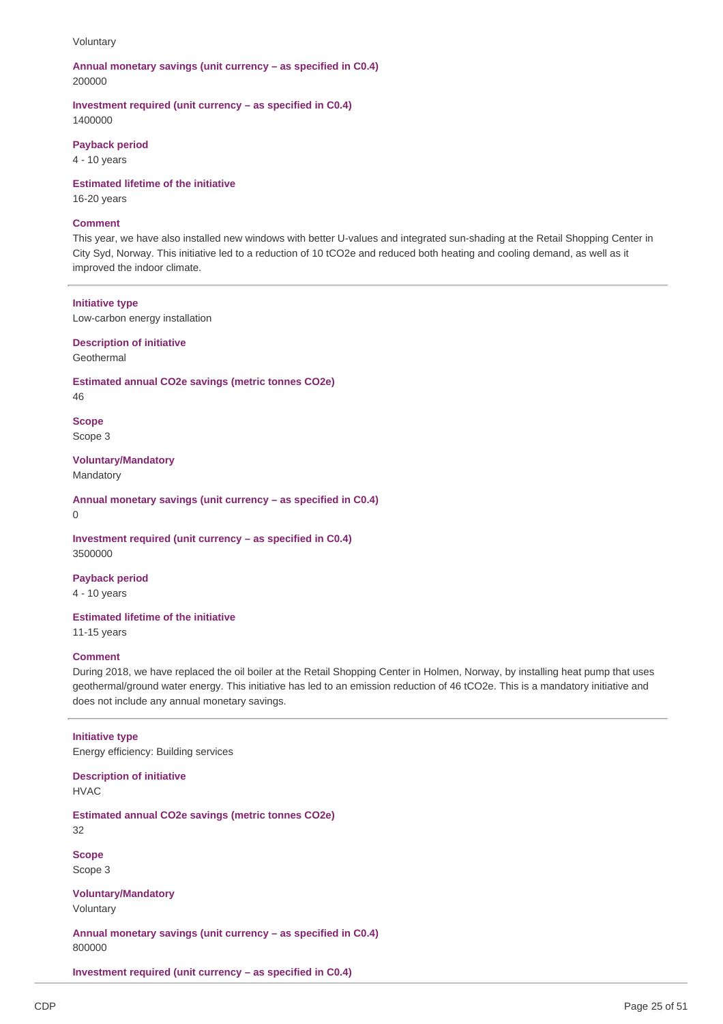#### Voluntary

### **Annual monetary savings (unit currency – as specified in C0.4)** 200000

**Investment required (unit currency – as specified in C0.4)** 1400000

#### **Payback period**

4 - 10 years

**Estimated lifetime of the initiative**

16-20 years

### **Comment**

This year, we have also installed new windows with better U-values and integrated sun-shading at the Retail Shopping Center in City Syd, Norway. This initiative led to a reduction of 10 tCO2e and reduced both heating and cooling demand, as well as it improved the indoor climate.

### **Initiative type**

Low-carbon energy installation

**Description of initiative**

Geothermal

**Estimated annual CO2e savings (metric tonnes CO2e)**

46

**Scope** Scope 3

**Voluntary/Mandatory**

Mandatory

**Annual monetary savings (unit currency – as specified in C0.4)**

0

**Investment required (unit currency – as specified in C0.4)** 3500000

**Payback period**

4 - 10 years

**Estimated lifetime of the initiative** 11-15 years

#### **Comment**

During 2018, we have replaced the oil boiler at the Retail Shopping Center in Holmen, Norway, by installing heat pump that uses geothermal/ground water energy. This initiative has led to an emission reduction of 46 tCO2e. This is a mandatory initiative and does not include any annual monetary savings.

### **Initiative type**

Energy efficiency: Building services

**Description of initiative**

HVAC

**Estimated annual CO2e savings (metric tonnes CO2e)**

32

**Scope** Scope 3

**Voluntary/Mandatory**

Voluntary

**Annual monetary savings (unit currency – as specified in C0.4)** 800000

**Investment required (unit currency – as specified in C0.4)**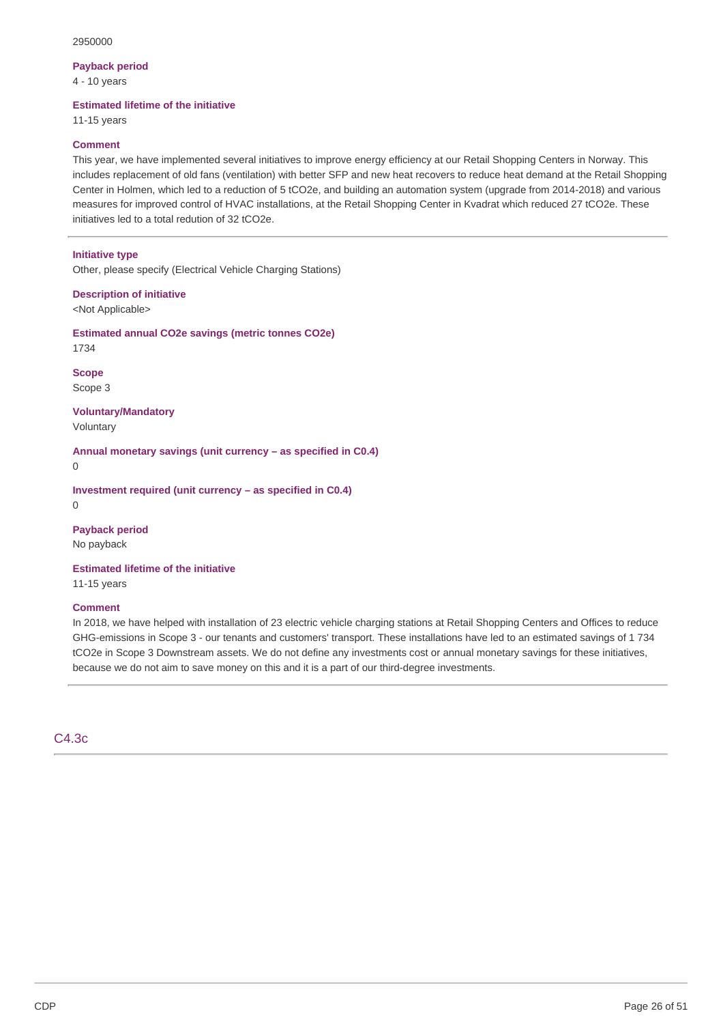### **Payback period**

4 - 10 years

#### **Estimated lifetime of the initiative**

11-15 years

#### **Comment**

This year, we have implemented several initiatives to improve energy efficiency at our Retail Shopping Centers in Norway. This includes replacement of old fans (ventilation) with better SFP and new heat recovers to reduce heat demand at the Retail Shopping Center in Holmen, which led to a reduction of 5 tCO2e, and building an automation system (upgrade from 2014-2018) and various measures for improved control of HVAC installations, at the Retail Shopping Center in Kvadrat which reduced 27 tCO2e. These initiatives led to a total redution of 32 tCO2e.

#### **Initiative type**

Other, please specify (Electrical Vehicle Charging Stations)

**Description of initiative**

<Not Applicable>

**Estimated annual CO2e savings (metric tonnes CO2e)** 1734

**Scope** Scope 3

**Voluntary/Mandatory** Voluntary

**Annual monetary savings (unit currency – as specified in C0.4)**

 $\Omega$ 

**Investment required (unit currency – as specified in C0.4)**  $\Omega$ 

**Payback period**

No payback

## **Estimated lifetime of the initiative**

11-15 years

### **Comment**

In 2018, we have helped with installation of 23 electric vehicle charging stations at Retail Shopping Centers and Offices to reduce GHG-emissions in Scope 3 - our tenants and customers' transport. These installations have led to an estimated savings of 1 734 tCO2e in Scope 3 Downstream assets. We do not define any investments cost or annual monetary savings for these initiatives, because we do not aim to save money on this and it is a part of our third-degree investments.

C4.3c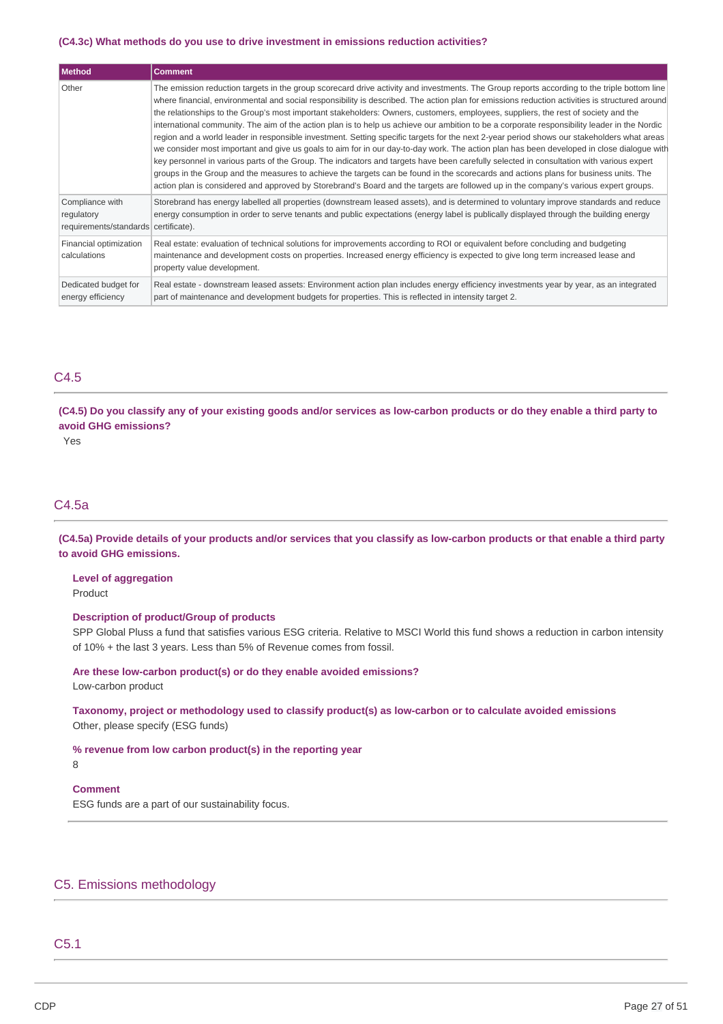#### **(C4.3c) What methods do you use to drive investment in emissions reduction activities?**

| Method                                                                | <b>Comment</b>                                                                                                                                                                                                                                                                                                                                                                                                                                                                                                                                                                                                                                                                                                                                                                                                                                                                                                                                                                                                                                                                                                                                                                                                                                                                                             |
|-----------------------------------------------------------------------|------------------------------------------------------------------------------------------------------------------------------------------------------------------------------------------------------------------------------------------------------------------------------------------------------------------------------------------------------------------------------------------------------------------------------------------------------------------------------------------------------------------------------------------------------------------------------------------------------------------------------------------------------------------------------------------------------------------------------------------------------------------------------------------------------------------------------------------------------------------------------------------------------------------------------------------------------------------------------------------------------------------------------------------------------------------------------------------------------------------------------------------------------------------------------------------------------------------------------------------------------------------------------------------------------------|
| Other                                                                 | The emission reduction targets in the group scorecard drive activity and investments. The Group reports according to the triple bottom line<br>where financial, environmental and social responsibility is described. The action plan for emissions reduction activities is structured around<br>the relationships to the Group's most important stakeholders: Owners, customers, employees, suppliers, the rest of society and the<br>international community. The aim of the action plan is to help us achieve our ambition to be a corporate responsibility leader in the Nordic<br>region and a world leader in responsible investment. Setting specific targets for the next 2-year period shows our stakeholders what areas<br>we consider most important and give us goals to aim for in our day-to-day work. The action plan has been developed in close dialogue with<br>key personnel in various parts of the Group. The indicators and targets have been carefully selected in consultation with various expert<br>groups in the Group and the measures to achieve the targets can be found in the scorecards and actions plans for business units. The<br>action plan is considered and approved by Storebrand's Board and the targets are followed up in the company's various expert groups. |
| Compliance with<br>regulatory<br>requirements/standards certificate). | Storebrand has energy labelled all properties (downstream leased assets), and is determined to voluntary improve standards and reduce<br>energy consumption in order to serve tenants and public expectations (energy label is publically displayed through the building energy                                                                                                                                                                                                                                                                                                                                                                                                                                                                                                                                                                                                                                                                                                                                                                                                                                                                                                                                                                                                                            |
| Financial optimization<br>calculations                                | Real estate: evaluation of technical solutions for improvements according to ROI or equivalent before concluding and budgeting<br>maintenance and development costs on properties. Increased energy efficiency is expected to give long term increased lease and<br>property value development.                                                                                                                                                                                                                                                                                                                                                                                                                                                                                                                                                                                                                                                                                                                                                                                                                                                                                                                                                                                                            |
| Dedicated budget for<br>energy efficiency                             | Real estate - downstream leased assets: Environment action plan includes energy efficiency investments year by year, as an integrated<br>part of maintenance and development budgets for properties. This is reflected in intensity target 2.                                                                                                                                                                                                                                                                                                                                                                                                                                                                                                                                                                                                                                                                                                                                                                                                                                                                                                                                                                                                                                                              |

## C4.5

(C4.5) Do you classify any of your existing goods and/or services as low-carbon products or do they enable a third party to **avoid GHG emissions?**

Yes

## C4.5a

(C4.5a) Provide details of your products and/or services that you classify as low-carbon products or that enable a third party **to avoid GHG emissions.**

**Level of aggregation** Product

#### **Description of product/Group of products**

SPP Global Pluss a fund that satisfies various ESG criteria. Relative to MSCI World this fund shows a reduction in carbon intensity of 10% + the last 3 years. Less than 5% of Revenue comes from fossil.

### **Are these low-carbon product(s) or do they enable avoided emissions?**

Low-carbon product

**Taxonomy, project or methodology used to classify product(s) as low-carbon or to calculate avoided emissions** Other, please specify (ESG funds)

**% revenue from low carbon product(s) in the reporting year**

8

## **Comment**

ESG funds are a part of our sustainability focus.

## C5. Emissions methodology

## C5.1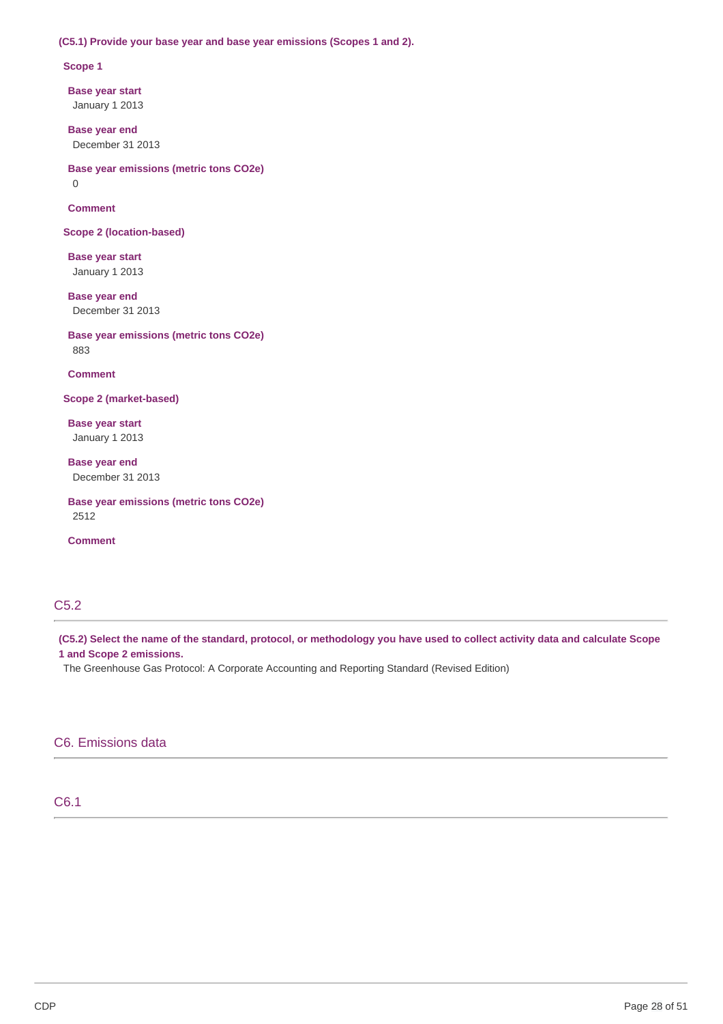### **(C5.1) Provide your base year and base year emissions (Scopes 1 and 2).**

#### **Scope 1**

**Base year start** January 1 2013

**Base year end** December 31 2013

**Base year emissions (metric tons CO2e)**

0

**Comment**

**Scope 2 (location-based)**

**Base year start** January 1 2013

**Base year end** December 31 2013

**Base year emissions (metric tons CO2e)** 883

**Comment**

**Scope 2 (market-based)**

**Base year start** January 1 2013

**Base year end** December 31 2013

**Base year emissions (metric tons CO2e)** 2512

**Comment**

# C5.2

(C5.2) Select the name of the standard, protocol, or methodology you have used to collect activity data and calculate Scope **1 and Scope 2 emissions.**

The Greenhouse Gas Protocol: A Corporate Accounting and Reporting Standard (Revised Edition)

## C6. Emissions data

## C6.1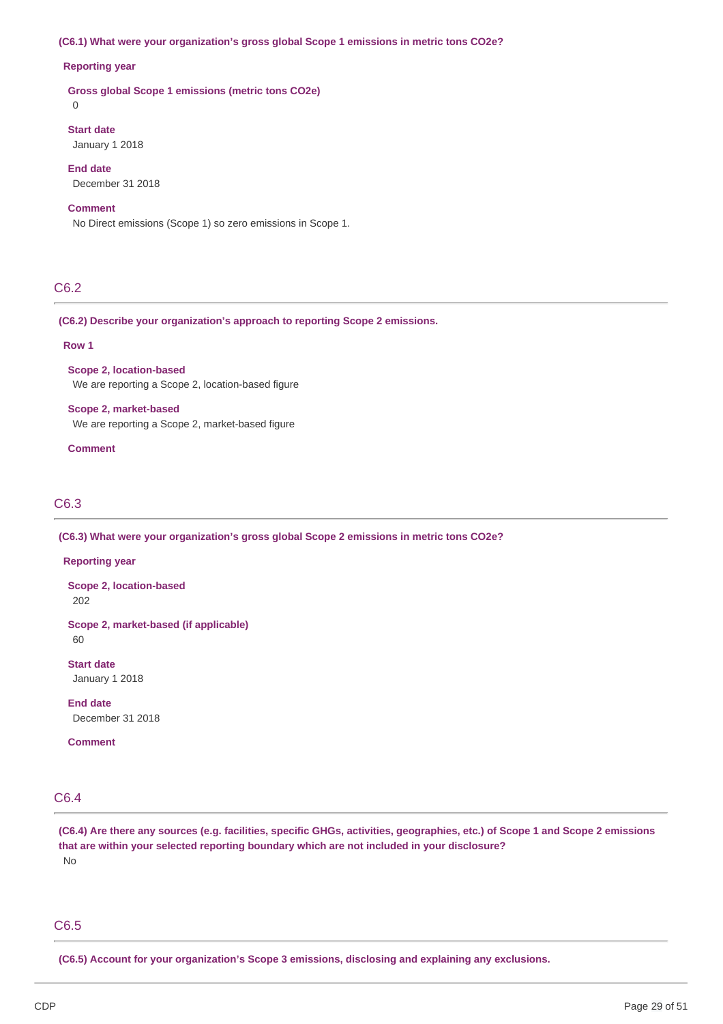## **(C6.1) What were your organization's gross global Scope 1 emissions in metric tons CO2e?**

### **Reporting year**

**Gross global Scope 1 emissions (metric tons CO2e)**

0

## **Start date**

January 1 2018

## **End date** December 31 2018

## **Comment**

No Direct emissions (Scope 1) so zero emissions in Scope 1.

## C6.2

#### **(C6.2) Describe your organization's approach to reporting Scope 2 emissions.**

### **Row 1**

**Scope 2, location-based** We are reporting a Scope 2, location-based figure

### **Scope 2, market-based**

We are reporting a Scope 2, market-based figure

## **Comment**

## C6.3

**(C6.3) What were your organization's gross global Scope 2 emissions in metric tons CO2e?**

#### **Reporting year**

**Scope 2, location-based** 202

**Scope 2, market-based (if applicable)**

60

**Start date** January 1 2018

**End date** December 31 2018

**Comment**

## C6.4

(C6.4) Are there any sources (e.g. facilities, specific GHGs, activities, geographies, etc.) of Scope 1 and Scope 2 emissions **that are within your selected reporting boundary which are not included in your disclosure?** No

## C6.5

**(C6.5) Account for your organization's Scope 3 emissions, disclosing and explaining any exclusions.**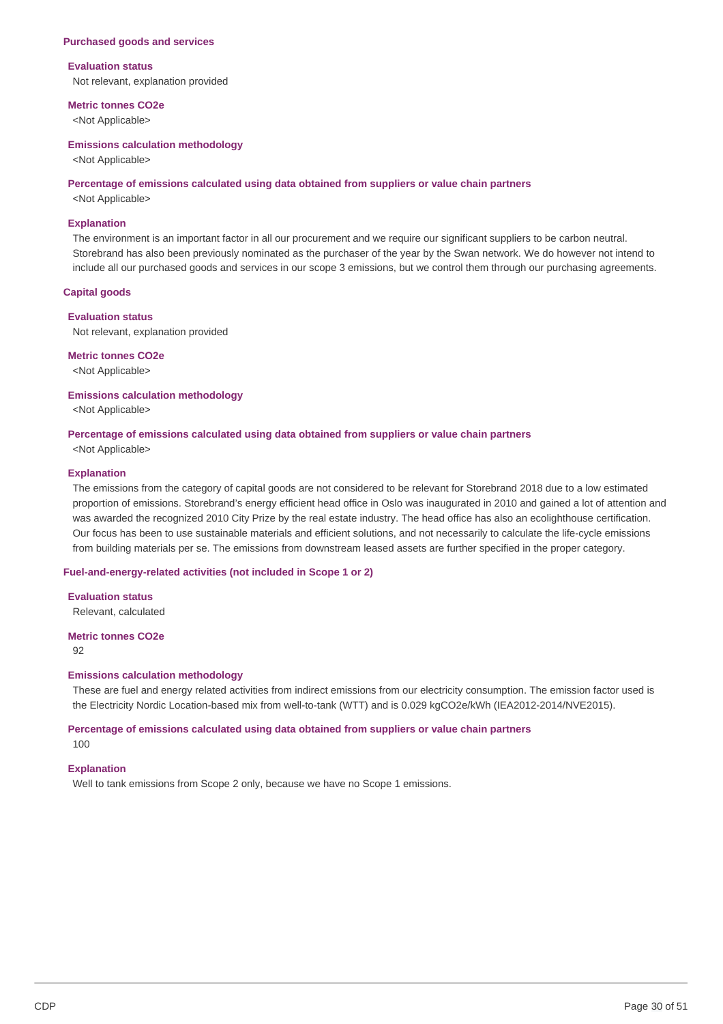#### **Purchased goods and services**

#### **Evaluation status**

Not relevant, explanation provided

#### **Metric tonnes CO2e**

<Not Applicable>

#### **Emissions calculation methodology**

<Not Applicable>

#### **Percentage of emissions calculated using data obtained from suppliers or value chain partners**

<Not Applicable>

#### **Explanation**

The environment is an important factor in all our procurement and we require our significant suppliers to be carbon neutral. Storebrand has also been previously nominated as the purchaser of the year by the Swan network. We do however not intend to include all our purchased goods and services in our scope 3 emissions, but we control them through our purchasing agreements.

#### **Capital goods**

#### **Evaluation status**

Not relevant, explanation provided

**Metric tonnes CO2e**

<Not Applicable>

#### **Emissions calculation methodology**

<Not Applicable>

#### **Percentage of emissions calculated using data obtained from suppliers or value chain partners**

<Not Applicable>

### **Explanation**

The emissions from the category of capital goods are not considered to be relevant for Storebrand 2018 due to a low estimated proportion of emissions. Storebrand's energy efficient head office in Oslo was inaugurated in 2010 and gained a lot of attention and was awarded the recognized 2010 City Prize by the real estate industry. The head office has also an ecolighthouse certification. Our focus has been to use sustainable materials and efficient solutions, and not necessarily to calculate the life-cycle emissions from building materials per se. The emissions from downstream leased assets are further specified in the proper category.

#### **Fuel-and-energy-related activities (not included in Scope 1 or 2)**

**Evaluation status** Relevant, calculated

**Metric tonnes CO2e**

92

#### **Emissions calculation methodology**

These are fuel and energy related activities from indirect emissions from our electricity consumption. The emission factor used is the Electricity Nordic Location-based mix from well-to-tank (WTT) and is 0.029 kgCO2e/kWh (IEA2012-2014/NVE2015).

# **Percentage of emissions calculated using data obtained from suppliers or value chain partners**

100

## **Explanation**

Well to tank emissions from Scope 2 only, because we have no Scope 1 emissions.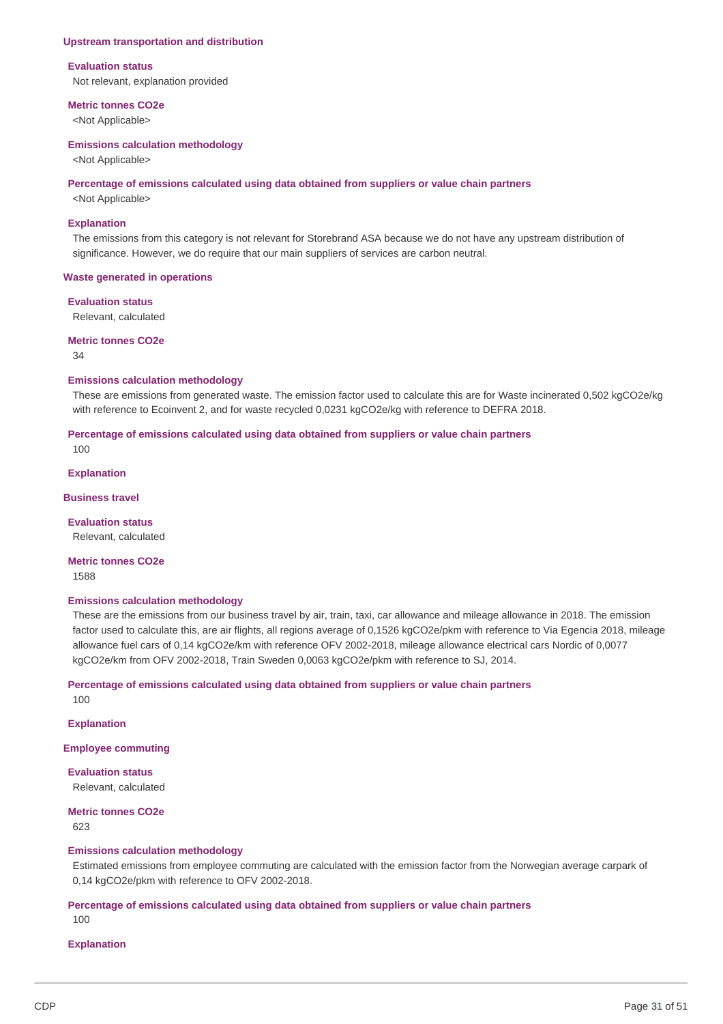#### **Upstream transportation and distribution**

#### **Evaluation status**

Not relevant, explanation provided

#### **Metric tonnes CO2e**

<Not Applicable>

#### **Emissions calculation methodology**

<Not Applicable>

#### **Percentage of emissions calculated using data obtained from suppliers or value chain partners**

<Not Applicable>

#### **Explanation**

The emissions from this category is not relevant for Storebrand ASA because we do not have any upstream distribution of significance. However, we do require that our main suppliers of services are carbon neutral.

### **Waste generated in operations**

#### **Evaluation status**

Relevant, calculated

### **Metric tonnes CO2e**

34

#### **Emissions calculation methodology**

These are emissions from generated waste. The emission factor used to calculate this are for Waste incinerated 0,502 kgCO2e/kg with reference to Ecoinvent 2, and for waste recycled 0,0231 kgCO2e/kg with reference to DEFRA 2018.

## **Percentage of emissions calculated using data obtained from suppliers or value chain partners**

100

### **Explanation**

#### **Business travel**

**Evaluation status** Relevant, calculated

**Metric tonnes CO2e** 1588

#### **Emissions calculation methodology**

These are the emissions from our business travel by air, train, taxi, car allowance and mileage allowance in 2018. The emission factor used to calculate this, are air flights, all regions average of 0,1526 kgCO2e/pkm with reference to Via Egencia 2018, mileage allowance fuel cars of 0,14 kgCO2e/km with reference OFV 2002-2018, mileage allowance electrical cars Nordic of 0,0077 kgCO2e/km from OFV 2002-2018, Train Sweden 0,0063 kgCO2e/pkm with reference to SJ, 2014.

**Percentage of emissions calculated using data obtained from suppliers or value chain partners** 100

**Explanation**

**Employee commuting**

**Evaluation status** Relevant, calculated

**Metric tonnes CO2e** 623

#### **Emissions calculation methodology**

Estimated emissions from employee commuting are calculated with the emission factor from the Norwegian average carpark of 0,14 kgCO2e/pkm with reference to OFV 2002-2018.

### **Percentage of emissions calculated using data obtained from suppliers or value chain partners** 100

#### **Explanation**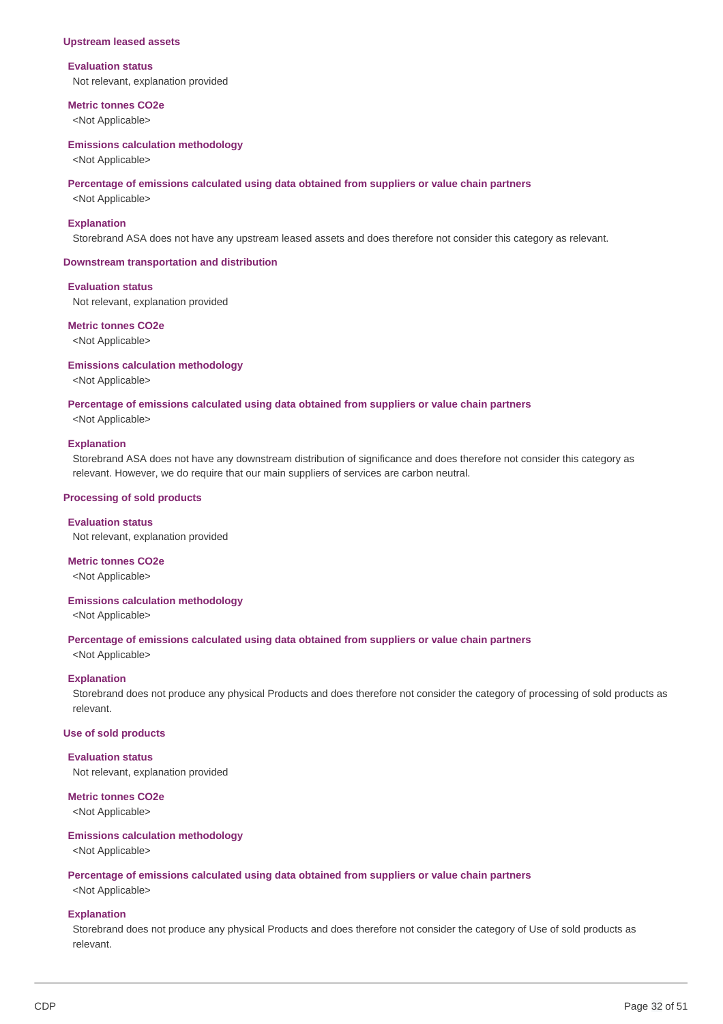#### **Upstream leased assets**

#### **Evaluation status**

Not relevant, explanation provided

#### **Metric tonnes CO2e**

<Not Applicable>

#### **Emissions calculation methodology**

<Not Applicable>

#### **Percentage of emissions calculated using data obtained from suppliers or value chain partners**

<Not Applicable>

#### **Explanation**

Storebrand ASA does not have any upstream leased assets and does therefore not consider this category as relevant.

#### **Downstream transportation and distribution**

#### **Evaluation status**

Not relevant, explanation provided

### **Metric tonnes CO2e**

<Not Applicable>

#### **Emissions calculation methodology**

<Not Applicable>

#### **Percentage of emissions calculated using data obtained from suppliers or value chain partners**

<Not Applicable>

#### **Explanation**

Storebrand ASA does not have any downstream distribution of significance and does therefore not consider this category as relevant. However, we do require that our main suppliers of services are carbon neutral.

#### **Processing of sold products**

**Evaluation status** Not relevant, explanation provided

**Metric tonnes CO2e**

<Not Applicable>

### **Emissions calculation methodology**

<Not Applicable>

#### **Percentage of emissions calculated using data obtained from suppliers or value chain partners**

<Not Applicable>

#### **Explanation**

Storebrand does not produce any physical Products and does therefore not consider the category of processing of sold products as relevant.

#### **Use of sold products**

### **Evaluation status** Not relevant, explanation provided

#### **Metric tonnes CO2e**

<Not Applicable>

#### **Emissions calculation methodology**

<Not Applicable>

### **Percentage of emissions calculated using data obtained from suppliers or value chain partners**

<Not Applicable>

#### **Explanation**

Storebrand does not produce any physical Products and does therefore not consider the category of Use of sold products as relevant.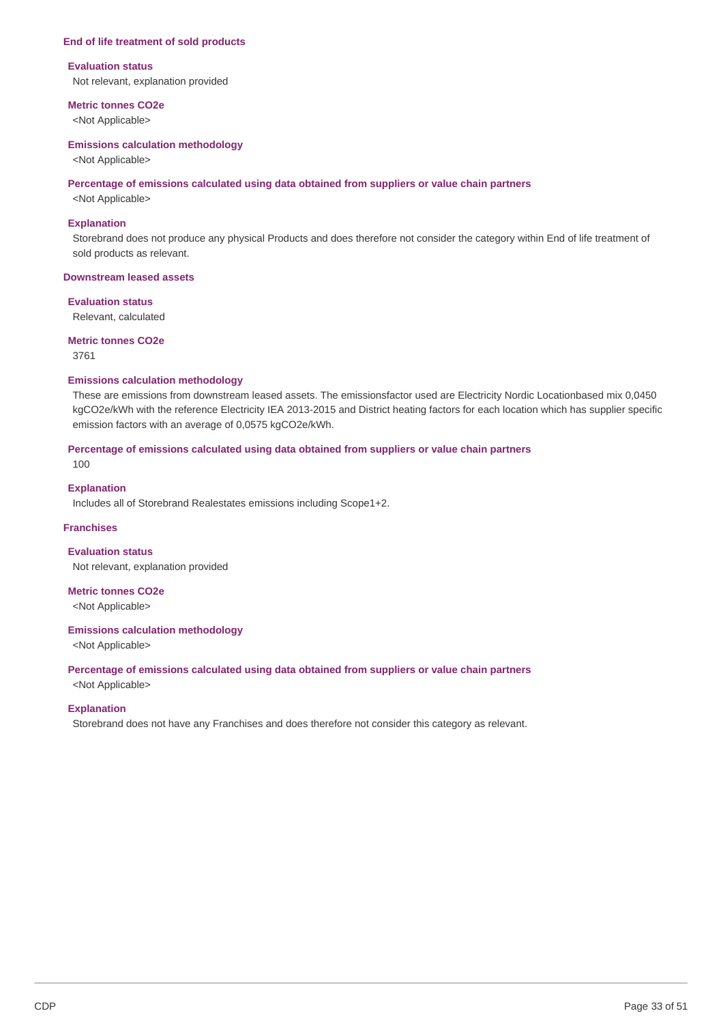#### **End of life treatment of sold products**

#### **Evaluation status**

Not relevant, explanation provided

#### **Metric tonnes CO2e**

<Not Applicable>

#### **Emissions calculation methodology**

<Not Applicable>

#### **Percentage of emissions calculated using data obtained from suppliers or value chain partners**

<Not Applicable>

### **Explanation**

Storebrand does not produce any physical Products and does therefore not consider the category within End of life treatment of sold products as relevant.

## **Downstream leased assets**

### **Evaluation status**

Relevant, calculated

## **Metric tonnes CO2e**

3761

## **Emissions calculation methodology**

These are emissions from downstream leased assets. The emissionsfactor used are Electricity Nordic Locationbased mix 0,0450 kgCO2e/kWh with the reference Electricity IEA 2013-2015 and District heating factors for each location which has supplier specific emission factors with an average of 0,0575 kgCO2e/kWh.

## **Percentage of emissions calculated using data obtained from suppliers or value chain partners**

100

## **Explanation**

Includes all of Storebrand Realestates emissions including Scope1+2.

### **Franchises**

**Evaluation status** Not relevant, explanation provided

**Metric tonnes CO2e** <Not Applicable>

### **Emissions calculation methodology**

<Not Applicable>

## **Percentage of emissions calculated using data obtained from suppliers or value chain partners**

<Not Applicable>

#### **Explanation**

Storebrand does not have any Franchises and does therefore not consider this category as relevant.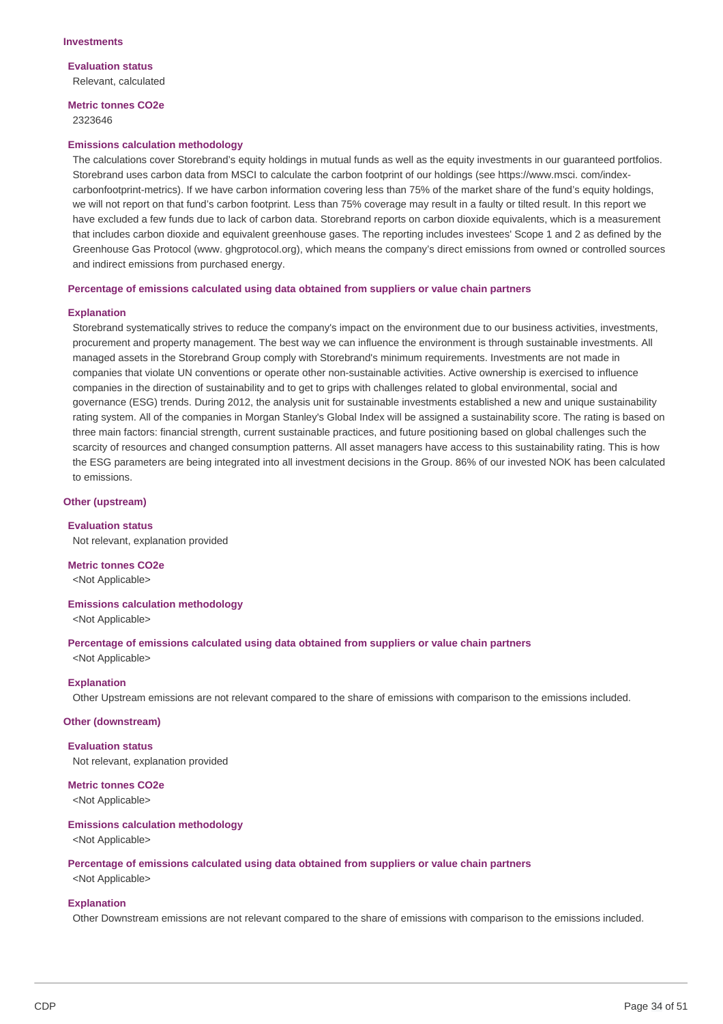**Evaluation status** Relevant, calculated

### **Metric tonnes CO2e** 2323646

#### **Emissions calculation methodology**

The calculations cover Storebrand's equity holdings in mutual funds as well as the equity investments in our guaranteed portfolios. Storebrand uses carbon data from MSCI to calculate the carbon footprint of our holdings (see https://www.msci. com/indexcarbonfootprint-metrics). If we have carbon information covering less than 75% of the market share of the fund's equity holdings, we will not report on that fund's carbon footprint. Less than 75% coverage may result in a faulty or tilted result. In this report we have excluded a few funds due to lack of carbon data. Storebrand reports on carbon dioxide equivalents, which is a measurement that includes carbon dioxide and equivalent greenhouse gases. The reporting includes investees' Scope 1 and 2 as defined by the Greenhouse Gas Protocol (www. ghaprotocol.org), which means the company's direct emissions from owned or controlled sources and indirect emissions from purchased energy.

#### **Percentage of emissions calculated using data obtained from suppliers or value chain partners**

#### **Explanation**

Storebrand systematically strives to reduce the company's impact on the environment due to our business activities, investments, procurement and property management. The best way we can influence the environment is through sustainable investments. All managed assets in the Storebrand Group comply with Storebrand's minimum requirements. Investments are not made in companies that violate UN conventions or operate other non-sustainable activities. Active ownership is exercised to influence companies in the direction of sustainability and to get to grips with challenges related to global environmental, social and governance (ESG) trends. During 2012, the analysis unit for sustainable investments established a new and unique sustainability rating system. All of the companies in Morgan Stanley's Global Index will be assigned a sustainability score. The rating is based on three main factors: financial strength, current sustainable practices, and future positioning based on global challenges such the scarcity of resources and changed consumption patterns. All asset managers have access to this sustainability rating. This is how the ESG parameters are being integrated into all investment decisions in the Group. 86% of our invested NOK has been calculated to emissions.

### **Other (upstream)**

**Evaluation status** Not relevant, explanation provided

**Metric tonnes CO2e** <Not Applicable>

### **Emissions calculation methodology**

<Not Applicable>

**Percentage of emissions calculated using data obtained from suppliers or value chain partners** <Not Applicable>

### **Explanation**

Other Upstream emissions are not relevant compared to the share of emissions with comparison to the emissions included.

## **Other (downstream)**

#### **Evaluation status**

Not relevant, explanation provided

**Metric tonnes CO2e** <Not Applicable>

#### **Emissions calculation methodology**

<Not Applicable>

#### **Percentage of emissions calculated using data obtained from suppliers or value chain partners**

<Not Applicable>

### **Explanation**

Other Downstream emissions are not relevant compared to the share of emissions with comparison to the emissions included.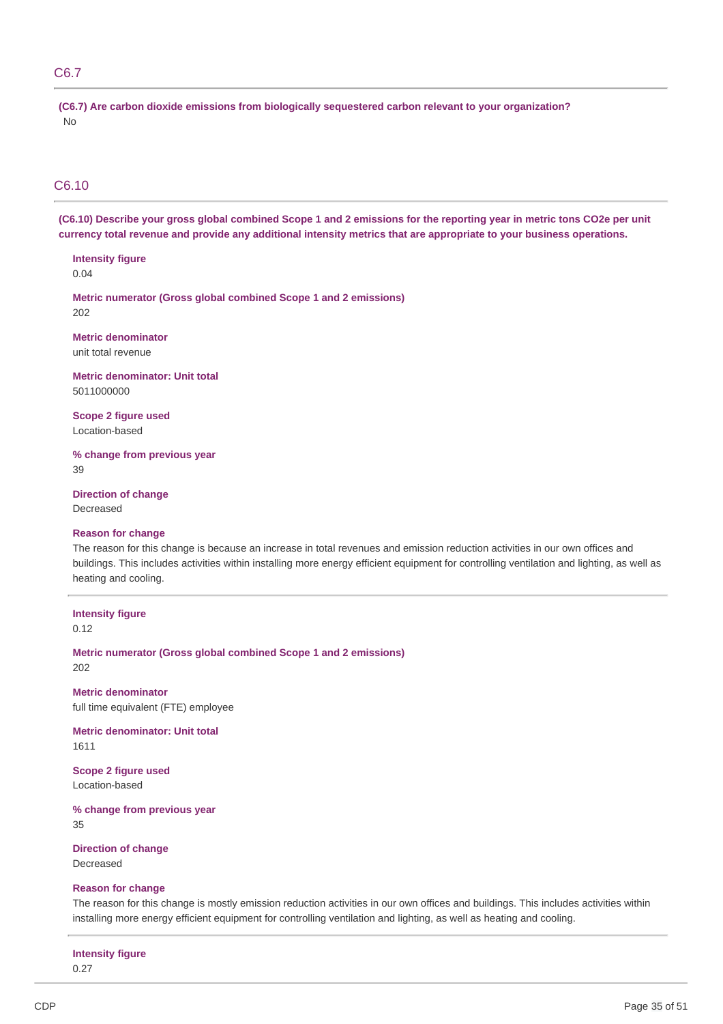## C6.7

**(C6.7) Are carbon dioxide emissions from biologically sequestered carbon relevant to your organization?** No

## C6.10

(C6.10) Describe your gross global combined Scope 1 and 2 emissions for the reporting year in metric tons CO2e per unit currency total revenue and provide any additional intensity metrics that are appropriate to your business operations.

# **Intensity figure**

0.04

**Metric numerator (Gross global combined Scope 1 and 2 emissions)** 202

**Metric denominator** unit total revenue

**Metric denominator: Unit total** 5011000000

**Scope 2 figure used** Location-based

**% change from previous year** 39

**Direction of change** Decreased

### **Reason for change**

The reason for this change is because an increase in total revenues and emission reduction activities in our own offices and buildings. This includes activities within installing more energy efficient equipment for controlling ventilation and lighting, as well as heating and cooling.

# **Intensity figure**

0.12

**Metric numerator (Gross global combined Scope 1 and 2 emissions)** 202

**Metric denominator** full time equivalent (FTE) employee

**Metric denominator: Unit total** 1611

**Scope 2 figure used** Location-based

**% change from previous year** 35

**Direction of change** Decreased

### **Reason for change**

The reason for this change is mostly emission reduction activities in our own offices and buildings. This includes activities within installing more energy efficient equipment for controlling ventilation and lighting, as well as heating and cooling.

**Intensity figure**

0.27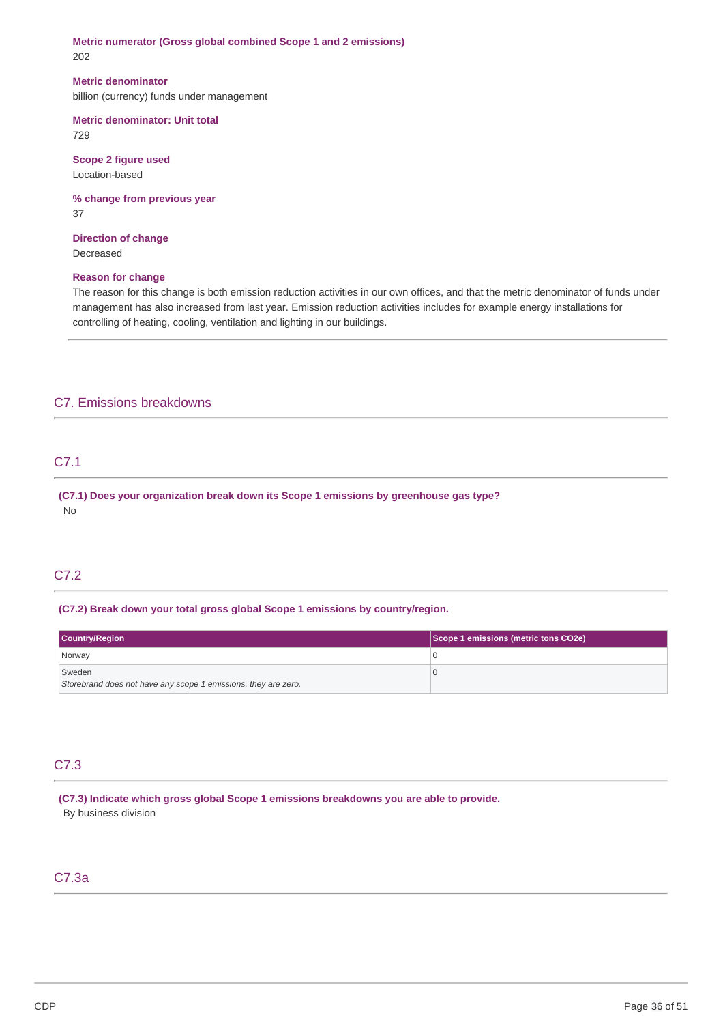**Metric numerator (Gross global combined Scope 1 and 2 emissions)** 202

#### **Metric denominator**

billion (currency) funds under management

# **Metric denominator: Unit total**

729

**Scope 2 figure used** Location-based

**% change from previous year** 37

**Direction of change** Decreased

### **Reason for change**

The reason for this change is both emission reduction activities in our own offices, and that the metric denominator of funds under management has also increased from last year. Emission reduction activities includes for example energy installations for controlling of heating, cooling, ventilation and lighting in our buildings.

## C7. Emissions breakdowns

## C7.1

**(C7.1) Does your organization break down its Scope 1 emissions by greenhouse gas type?** No

## C7.2

### **(C7.2) Break down your total gross global Scope 1 emissions by country/region.**

| Country/Region                                                 | Scope 1 emissions (metric tons CO2e) |
|----------------------------------------------------------------|--------------------------------------|
| Norway                                                         |                                      |
| Sweden                                                         |                                      |
| Storebrand does not have any scope 1 emissions, they are zero. |                                      |

## C7.3

**(C7.3) Indicate which gross global Scope 1 emissions breakdowns you are able to provide.** By business division

## C7.3a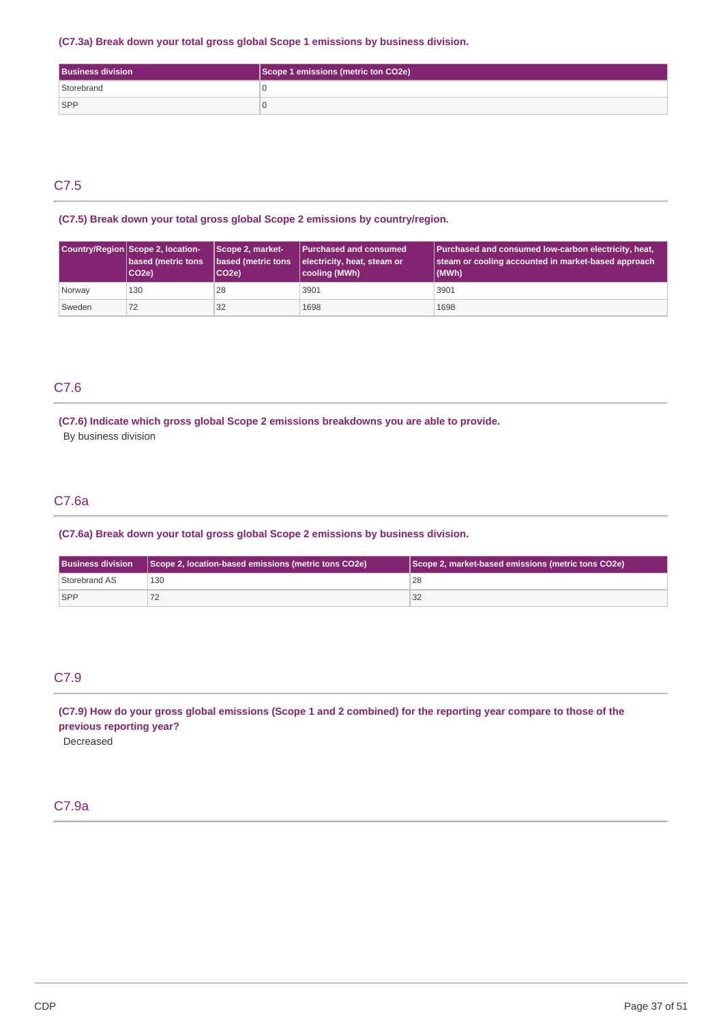## **(C7.3a) Break down your total gross global Scope 1 emissions by business division.**

| <b>Business division</b> | Scope 1 emissions (metric ton CO2e) |
|--------------------------|-------------------------------------|
| Storebrand               |                                     |
| <b>SPP</b>               |                                     |

## C7.5

## **(C7.5) Break down your total gross global Scope 2 emissions by country/region.**

|        | Country/Region Scope 2, location-<br><b>based (metric tons</b><br>CO <sub>2e</sub> ) | Scope 2, market-<br>based (metric tons<br>CO <sub>2e</sub> ) | <b>Purchased and consumed</b><br>electricity, heat, steam or<br>cooling (MWh) | Purchased and consumed low-carbon electricity, heat,<br>steam or cooling accounted in market-based approach<br>(MWh) |
|--------|--------------------------------------------------------------------------------------|--------------------------------------------------------------|-------------------------------------------------------------------------------|----------------------------------------------------------------------------------------------------------------------|
| Norway | 130                                                                                  | 28                                                           | 3901                                                                          | 3901                                                                                                                 |
| Sweden |                                                                                      | 32                                                           | 1698                                                                          | 1698                                                                                                                 |

## C7.6

## **(C7.6) Indicate which gross global Scope 2 emissions breakdowns you are able to provide.** By business division

# C7.6a

## **(C7.6a) Break down your total gross global Scope 2 emissions by business division.**

| Scope 2, location-based emissions (metric tons CO2e)<br><b>Business division</b> |     | Scope 2, market-based emissions (metric tons CO2e) |  |
|----------------------------------------------------------------------------------|-----|----------------------------------------------------|--|
| Storebrand AS                                                                    | 130 | 28                                                 |  |
| <b>SPP</b>                                                                       |     | 32                                                 |  |

## C7.9

(C7.9) How do your gross global emissions (Scope 1 and 2 combined) for the reporting year compare to those of the **previous reporting year?**

Decreased

## C7.9a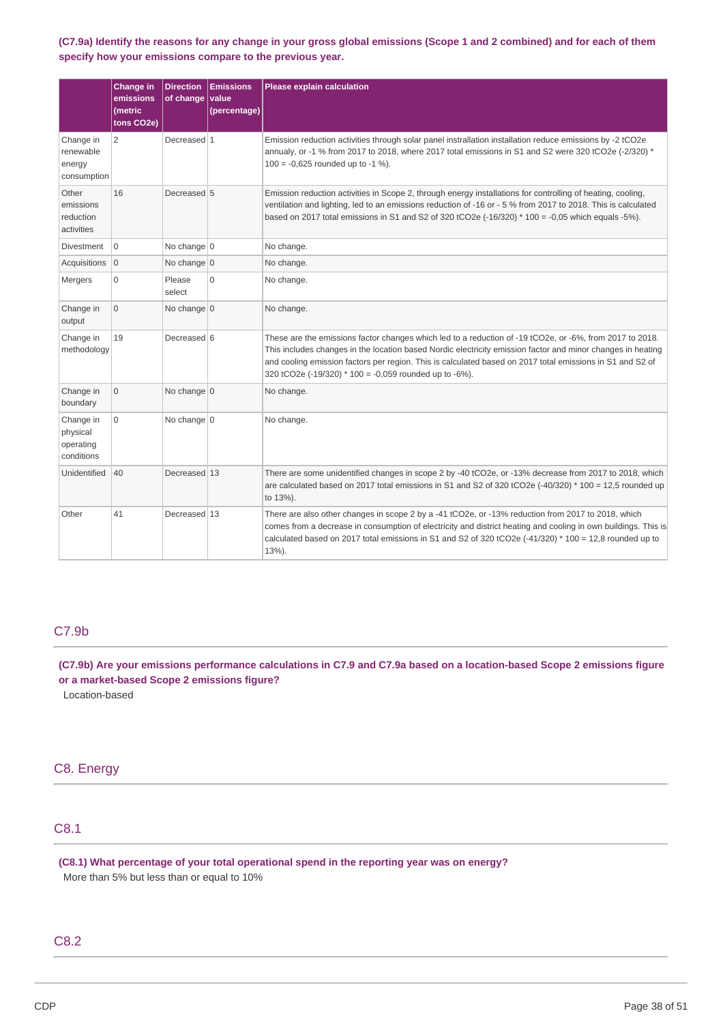## (C7.9a) Identify the reasons for any change in your gross global emissions (Scope 1 and 2 combined) and for each of them **specify how your emissions compare to the previous year.**

|                                                  | <b>Change in</b><br>emissions<br>(metric<br>tons CO2e) | <b>Direction</b><br>of change | <b>Emissions</b><br>value<br>(percentage) | <b>Please explain calculation</b>                                                                                                                                                                                                                                                                                                                                                              |  |
|--------------------------------------------------|--------------------------------------------------------|-------------------------------|-------------------------------------------|------------------------------------------------------------------------------------------------------------------------------------------------------------------------------------------------------------------------------------------------------------------------------------------------------------------------------------------------------------------------------------------------|--|
| Change in<br>renewable<br>energy<br>consumption  | $\overline{2}$                                         | Decreased 1                   |                                           | Emission reduction activities through solar panel instrallation installation reduce emissions by -2 tCO2e<br>annualy, or -1 % from 2017 to 2018, where 2017 total emissions in S1 and S2 were 320 tCO2e (-2/320) *<br>$100 = -0,625$ rounded up to $-1\%$ ).                                                                                                                                   |  |
| Other<br>emissions<br>reduction<br>activities    | 16                                                     | Decreased 5                   |                                           | Emission reduction activities in Scope 2, through energy installations for controlling of heating, cooling,<br>ventilation and lighting, led to an emissions reduction of -16 or - 5 % from 2017 to 2018. This is calculated<br>based on 2017 total emissions in S1 and S2 of 320 tCO2e $(-16/320) * 100 = -0.05$ which equals -5%).                                                           |  |
| <b>Divestment</b>                                | 0                                                      | No change $ 0 $               |                                           | No change.                                                                                                                                                                                                                                                                                                                                                                                     |  |
| Acquisitions                                     | $\mathbf{0}$                                           | No change $ 0 $               |                                           | No change.                                                                                                                                                                                                                                                                                                                                                                                     |  |
| Mergers                                          | 0                                                      | Please<br>select              | $\Omega$                                  | No change.                                                                                                                                                                                                                                                                                                                                                                                     |  |
| Change in<br>output                              | $\overline{0}$                                         | No change 0                   |                                           | No change.                                                                                                                                                                                                                                                                                                                                                                                     |  |
| Change in<br>methodology                         | 19                                                     | Decreased 6                   |                                           | These are the emissions factor changes which led to a reduction of -19 tCO2e, or -6%, from 2017 to 2018.<br>This includes changes in the location based Nordic electricity emission factor and minor changes in heating<br>and cooling emission factors per region. This is calculated based on 2017 total emissions in S1 and S2 of<br>320 tCO2e (-19/320) * 100 = -0,059 rounded up to -6%). |  |
| Change in<br>boundary                            | 0                                                      | No change $ 0 $               |                                           | No change.                                                                                                                                                                                                                                                                                                                                                                                     |  |
| Change in<br>physical<br>operating<br>conditions | 0                                                      | No change $ 0 $               |                                           | No change.                                                                                                                                                                                                                                                                                                                                                                                     |  |
| Unidentified                                     | 40                                                     | Decreased 13                  |                                           | There are some unidentified changes in scope 2 by -40 tCO2e, or -13% decrease from 2017 to 2018, which<br>are calculated based on 2017 total emissions in S1 and S2 of 320 tCO2e (-40/320) $*$ 100 = 12,5 rounded up<br>to 13%).                                                                                                                                                               |  |
| Other                                            | 41                                                     | Decreased 13                  |                                           | There are also other changes in scope 2 by a -41 tCO2e, or -13% reduction from 2017 to 2018, which<br>comes from a decrease in consumption of electricity and district heating and cooling in own buildings. This is<br>calculated based on 2017 total emissions in S1 and S2 of 320 tCO2e $(-41/320) * 100 = 12,8$ rounded up to<br>13%).                                                     |  |

## C7.9b

(C7.9b) Are your emissions performance calculations in C7.9 and C7.9a based on a location-based Scope 2 emissions figure **or a market-based Scope 2 emissions figure?**

Location-based

## C8. Energy

## C8.1

**(C8.1) What percentage of your total operational spend in the reporting year was on energy?** More than 5% but less than or equal to 10%

## C8.2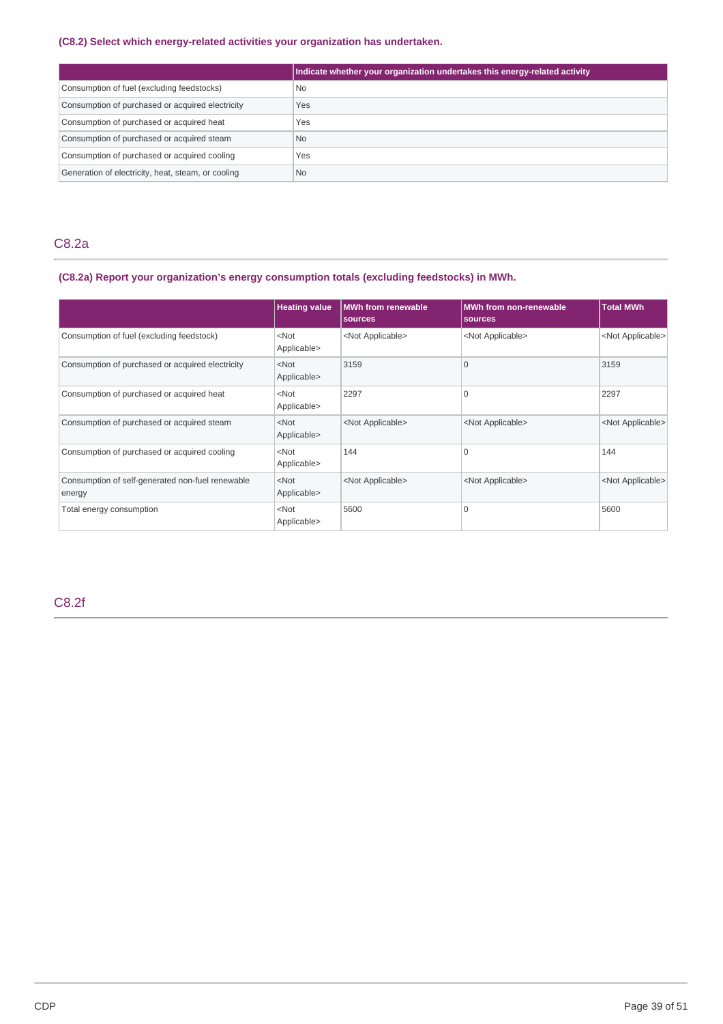## **(C8.2) Select which energy-related activities your organization has undertaken.**

|                                                    | Indicate whether your organization undertakes this energy-related activity |
|----------------------------------------------------|----------------------------------------------------------------------------|
| Consumption of fuel (excluding feedstocks)         | <b>No</b>                                                                  |
| Consumption of purchased or acquired electricity   | Yes                                                                        |
| Consumption of purchased or acquired heat          | Yes                                                                        |
| Consumption of purchased or acquired steam         | <b>No</b>                                                                  |
| Consumption of purchased or acquired cooling       | Yes                                                                        |
| Generation of electricity, heat, steam, or cooling | <b>No</b>                                                                  |

## C8.2a

## **(C8.2a) Report your organization's energy consumption totals (excluding feedstocks) in MWh.**

|                                                            | <b>Heating value</b>   | <b>MWh from renewable</b><br>sources | <b>MWh from non-renewable</b><br>sources | <b>Total MWh</b>          |
|------------------------------------------------------------|------------------------|--------------------------------------|------------------------------------------|---------------------------|
| Consumption of fuel (excluding feedstock)                  | $<$ Not<br>Applicable> | <not applicable=""></not>            | <not applicable=""></not>                | <not applicable=""></not> |
| Consumption of purchased or acquired electricity           | $<$ Not<br>Applicable> | 3159                                 | $\Omega$                                 | 3159                      |
| Consumption of purchased or acquired heat                  | $<$ Not<br>Applicable> | 2297                                 | 0                                        | 2297                      |
| Consumption of purchased or acquired steam                 | $<$ Not<br>Applicable> | <not applicable=""></not>            | <not applicable=""></not>                | <not applicable=""></not> |
| Consumption of purchased or acquired cooling               | $<$ Not<br>Applicable> | 144                                  | 0                                        | 144                       |
| Consumption of self-generated non-fuel renewable<br>energy | $<$ Not<br>Applicable> | <not applicable=""></not>            | <not applicable=""></not>                | <not applicable=""></not> |
| Total energy consumption                                   | $<$ Not<br>Applicable> | 5600                                 | 0                                        | 5600                      |

C8.2f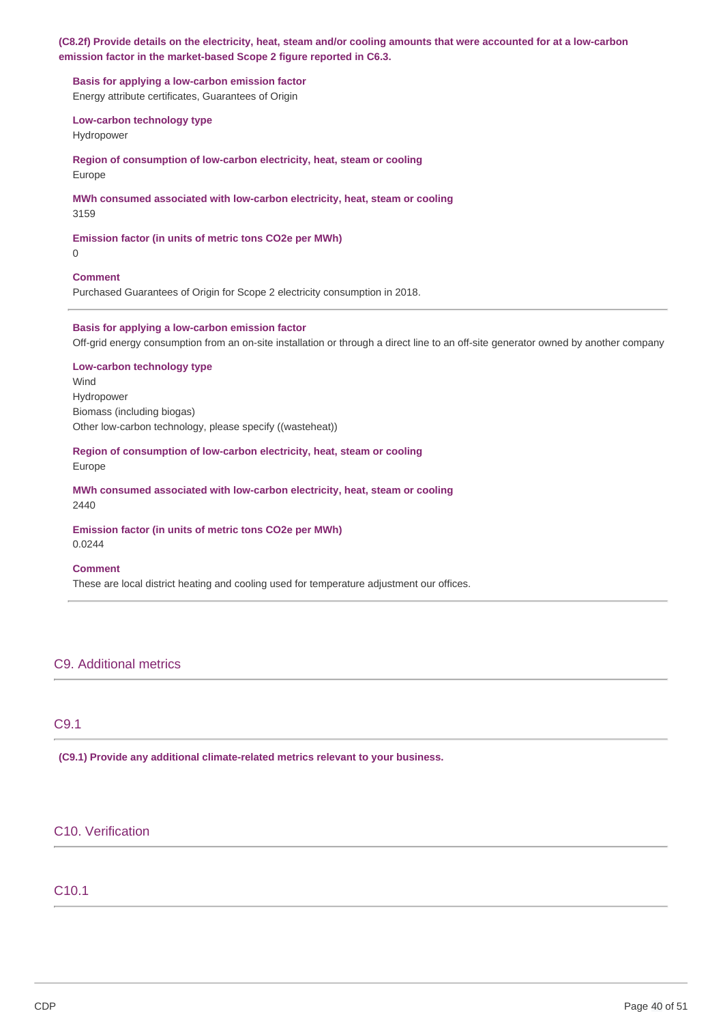### (C8.2f) Provide details on the electricity, heat, steam and/or cooling amounts that were accounted for at a low-carbon **emission factor in the market-based Scope 2 figure reported in C6.3.**

**Basis for applying a low-carbon emission factor** Energy attribute certificates, Guarantees of Origin

**Low-carbon technology type**

Hydropower

**Region of consumption of low-carbon electricity, heat, steam or cooling** Europe

# **MWh consumed associated with low-carbon electricity, heat, steam or cooling**

3159

**Emission factor (in units of metric tons CO2e per MWh)**

0

## **Comment**

Purchased Guarantees of Origin for Scope 2 electricity consumption in 2018.

### **Basis for applying a low-carbon emission factor**

Off-grid energy consumption from an on-site installation or through a direct line to an off-site generator owned by another company

## **Low-carbon technology type**

Wind Hydropower Biomass (including biogas) Other low-carbon technology, please specify ((wasteheat))

## **Region of consumption of low-carbon electricity, heat, steam or cooling** Europe

**MWh consumed associated with low-carbon electricity, heat, steam or cooling** 2440

# **Emission factor (in units of metric tons CO2e per MWh)**

0.0244

## **Comment**

These are local district heating and cooling used for temperature adjustment our offices.

## C9. Additional metrics

## C9.1

**(C9.1) Provide any additional climate-related metrics relevant to your business.**

## C10. Verification

## C10.1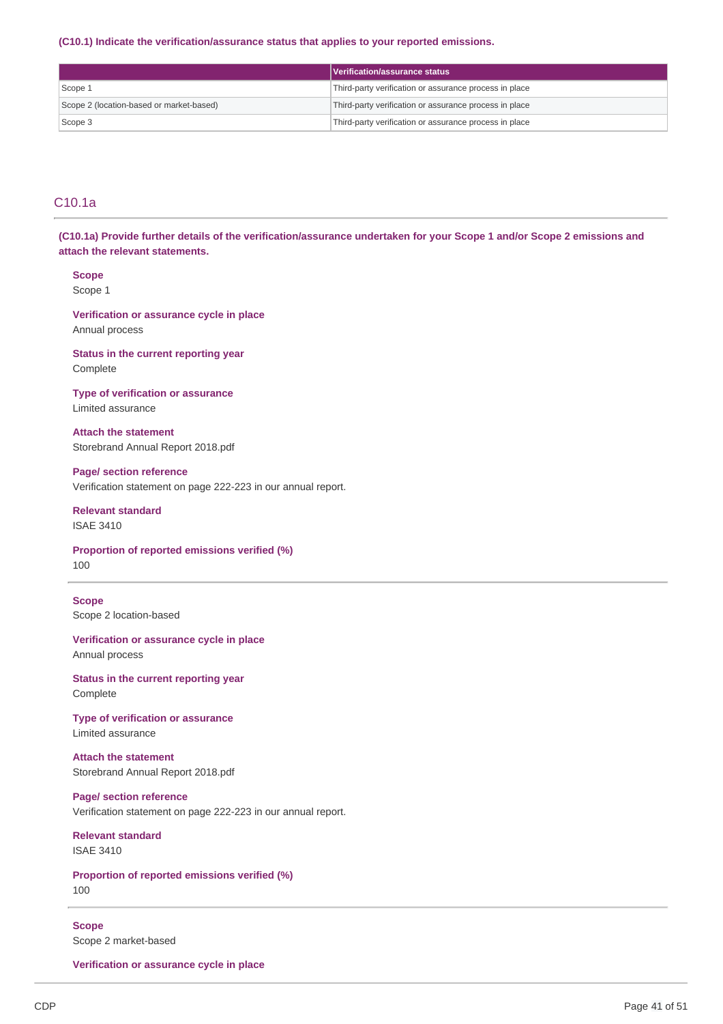#### **(C10.1) Indicate the verification/assurance status that applies to your reported emissions.**

|                                          | Verification/assurance status ;                        |
|------------------------------------------|--------------------------------------------------------|
| Scope 1                                  | Third-party verification or assurance process in place |
| Scope 2 (location-based or market-based) | Third-party verification or assurance process in place |
| Scope 3                                  | Third-party verification or assurance process in place |

## C10.1a

(C10.1a) Provide further details of the verification/assurance undertaken for your Scope 1 and/or Scope 2 emissions and **attach the relevant statements.**

**Scope** Scope 1

**Verification or assurance cycle in place** Annual process

**Status in the current reporting year** Complete

**Type of verification or assurance** Limited assurance

**Attach the statement** Storebrand Annual Report 2018.pdf

**Page/ section reference** Verification statement on page 222-223 in our annual report.

**Relevant standard** ISAE 3410

**Proportion of reported emissions verified (%)** 100

**Scope** Scope 2 location-based

**Verification or assurance cycle in place** Annual process

**Status in the current reporting year** Complete

**Type of verification or assurance** Limited assurance

**Attach the statement** Storebrand Annual Report 2018.pdf

**Page/ section reference** Verification statement on page 222-223 in our annual report.

**Relevant standard** ISAE 3410

**Proportion of reported emissions verified (%)** 100

**Scope** Scope 2 market-based

**Verification or assurance cycle in place**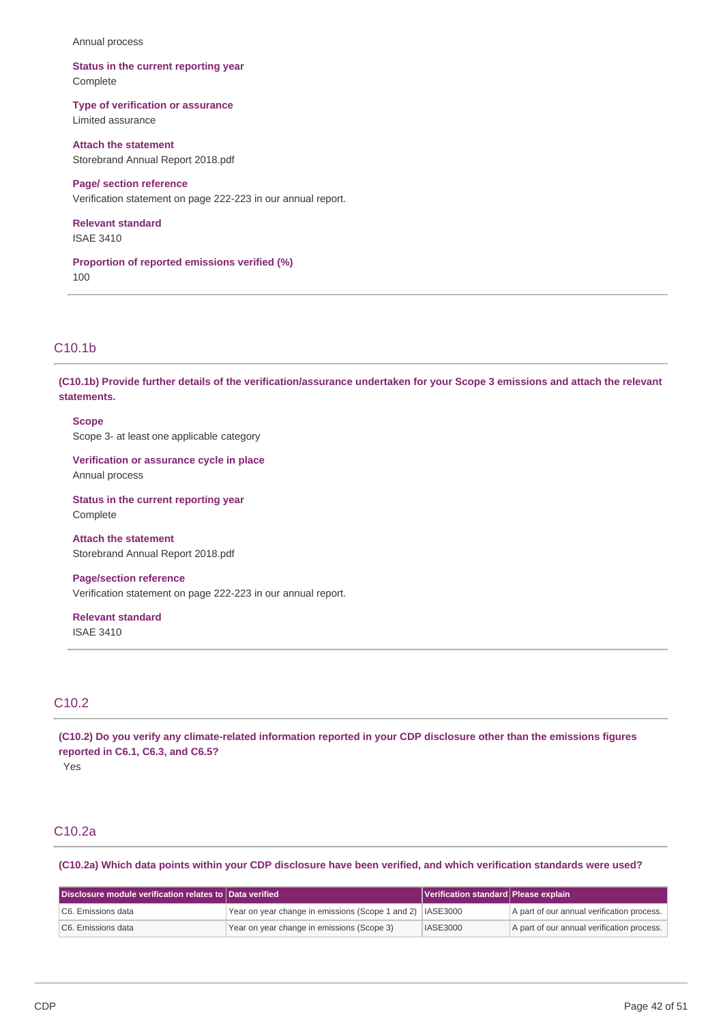#### Annual process

### **Status in the current reporting year** Complete

## **Type of verification or assurance**

Limited assurance

### **Attach the statement** Storebrand Annual Report 2018.pdf

**Page/ section reference** Verification statement on page 222-223 in our annual report.

# **Relevant standard**

ISAE 3410

**Proportion of reported emissions verified (%)** 100

## C10.1b

(C10.1b) Provide further details of the verification/assurance undertaken for your Scope 3 emissions and attach the relevant **statements.**

### **Scope**

Scope 3- at least one applicable category

### **Verification or assurance cycle in place** Annual process

**Status in the current reporting year** Complete

**Attach the statement** Storebrand Annual Report 2018.pdf

### **Page/section reference** Verification statement on page 222-223 in our annual report.

**Relevant standard** ISAE 3410

## C10.2

(C10.2) Do you verify any climate-related information reported in your CDP disclosure other than the emissions figures **reported in C6.1, C6.3, and C6.5?**

Yes

## C10.2a

(C10.2a) Which data points within your CDP disclosure have been verified, and which verification standards were used?

| $\,$ Disclosure module verification relates to $\,$ Data verified $\,$ |                                                             | Verification standard Please explain |                                            |
|------------------------------------------------------------------------|-------------------------------------------------------------|--------------------------------------|--------------------------------------------|
| C6. Emissions data                                                     | Year on year change in emissions (Scope 1 and 2)   IASE3000 |                                      | A part of our annual verification process. |
| C6. Emissions data                                                     | Year on year change in emissions (Scope 3)                  | <b>IASE3000</b>                      | A part of our annual verification process. |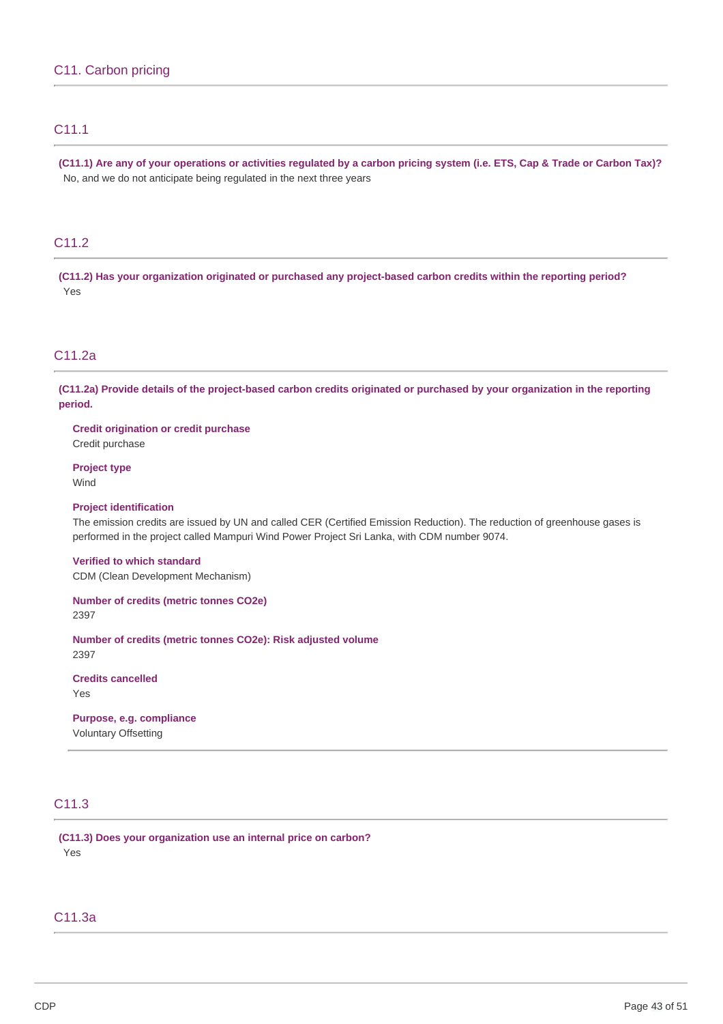## C11.1

(C11.1) Are any of your operations or activities regulated by a carbon pricing system (i.e. ETS, Cap & Trade or Carbon Tax)? No, and we do not anticipate being regulated in the next three years

## C11.2

**(C11.2) Has your organization originated or purchased any project-based carbon credits within the reporting period?** Yes

## C11.2a

(C11.2a) Provide details of the project-based carbon credits originated or purchased by your organization in the reporting **period.**

**Credit origination or credit purchase** Credit purchase

**Project type** Wind

### **Project identification**

The emission credits are issued by UN and called CER (Certified Emission Reduction). The reduction of greenhouse gases is performed in the project called Mampuri Wind Power Project Sri Lanka, with CDM number 9074.

**Verified to which standard** CDM (Clean Development Mechanism)

**Number of credits (metric tonnes CO2e)** 2397

**Number of credits (metric tonnes CO2e): Risk adjusted volume** 2397

**Credits cancelled** Yes

**Purpose, e.g. compliance** Voluntary Offsetting

## C11.3

**(C11.3) Does your organization use an internal price on carbon?** Yes

C11.3a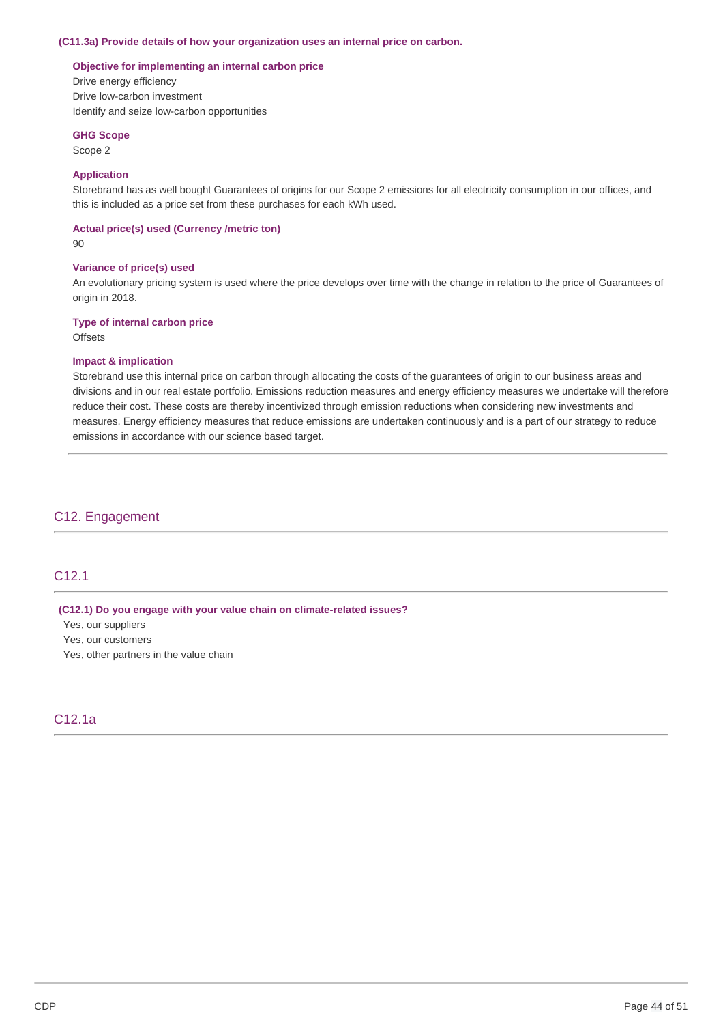#### **(C11.3a) Provide details of how your organization uses an internal price on carbon.**

#### **Objective for implementing an internal carbon price**

Drive energy efficiency Drive low-carbon investment Identify and seize low-carbon opportunities

#### **GHG Scope**

Scope 2

### **Application**

Storebrand has as well bought Guarantees of origins for our Scope 2 emissions for all electricity consumption in our offices, and this is included as a price set from these purchases for each kWh used.

### **Actual price(s) used (Currency /metric ton)**

 $90$ 

#### **Variance of price(s) used**

An evolutionary pricing system is used where the price develops over time with the change in relation to the price of Guarantees of origin in 2018.

#### **Type of internal carbon price**

**Offsets** 

#### **Impact & implication**

Storebrand use this internal price on carbon through allocating the costs of the guarantees of origin to our business areas and divisions and in our real estate portfolio. Emissions reduction measures and energy efficiency measures we undertake will therefore reduce their cost. These costs are thereby incentivized through emission reductions when considering new investments and measures. Energy efficiency measures that reduce emissions are undertaken continuously and is a part of our strategy to reduce emissions in accordance with our science based target.

## C12. Engagement

## C12.1

#### **(C12.1) Do you engage with your value chain on climate-related issues?**

Yes, our suppliers

Yes, our customers

Yes, other partners in the value chain

### C12.1a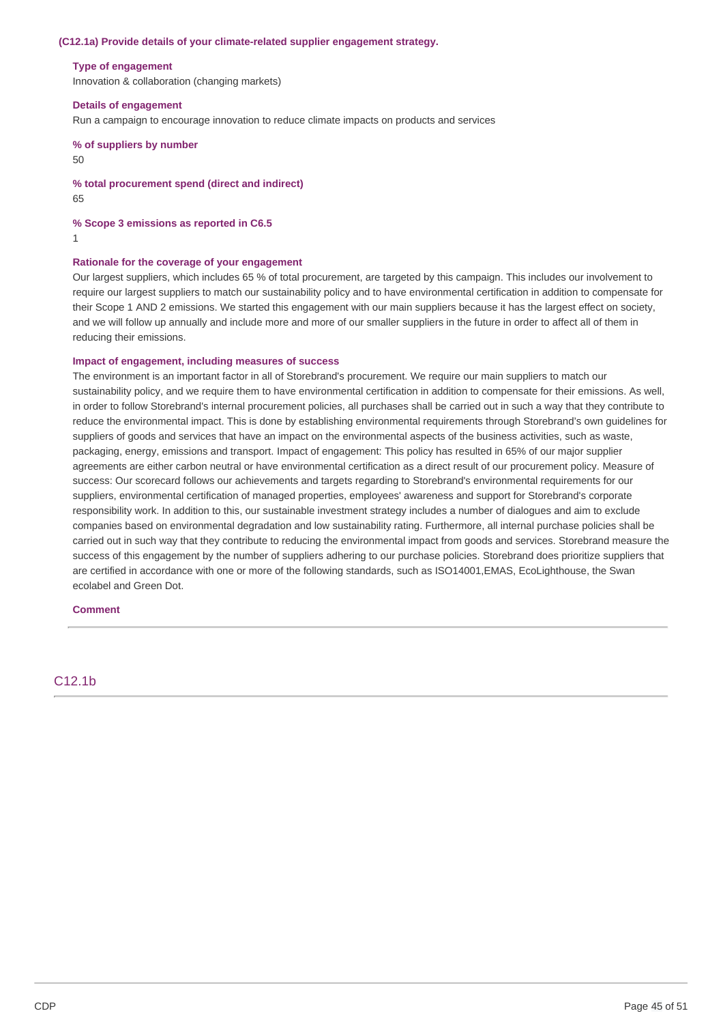#### **(C12.1a) Provide details of your climate-related supplier engagement strategy.**

#### **Type of engagement**

Innovation & collaboration (changing markets)

### **Details of engagement**

Run a campaign to encourage innovation to reduce climate impacts on products and services

**% of suppliers by number** 50

**% total procurement spend (direct and indirect)** 65

**% Scope 3 emissions as reported in C6.5**

1

### **Rationale for the coverage of your engagement**

Our largest suppliers, which includes 65 % of total procurement, are targeted by this campaign. This includes our involvement to require our largest suppliers to match our sustainability policy and to have environmental certification in addition to compensate for their Scope 1 AND 2 emissions. We started this engagement with our main suppliers because it has the largest effect on society, and we will follow up annually and include more and more of our smaller suppliers in the future in order to affect all of them in reducing their emissions.

### **Impact of engagement, including measures of success**

The environment is an important factor in all of Storebrand's procurement. We require our main suppliers to match our sustainability policy, and we require them to have environmental certification in addition to compensate for their emissions. As well, in order to follow Storebrand's internal procurement policies, all purchases shall be carried out in such a way that they contribute to reduce the environmental impact. This is done by establishing environmental requirements through Storebrand's own guidelines for suppliers of goods and services that have an impact on the environmental aspects of the business activities, such as waste, packaging, energy, emissions and transport. Impact of engagement: This policy has resulted in 65% of our major supplier agreements are either carbon neutral or have environmental certification as a direct result of our procurement policy. Measure of success: Our scorecard follows our achievements and targets regarding to Storebrand's environmental requirements for our suppliers, environmental certification of managed properties, employees' awareness and support for Storebrand's corporate responsibility work. In addition to this, our sustainable investment strategy includes a number of dialogues and aim to exclude companies based on environmental degradation and low sustainability rating. Furthermore, all internal purchase policies shall be carried out in such way that they contribute to reducing the environmental impact from goods and services. Storebrand measure the success of this engagement by the number of suppliers adhering to our purchase policies. Storebrand does prioritize suppliers that are certified in accordance with one or more of the following standards, such as ISO14001,EMAS, EcoLighthouse, the Swan ecolabel and Green Dot.

### **Comment**

## C12.1b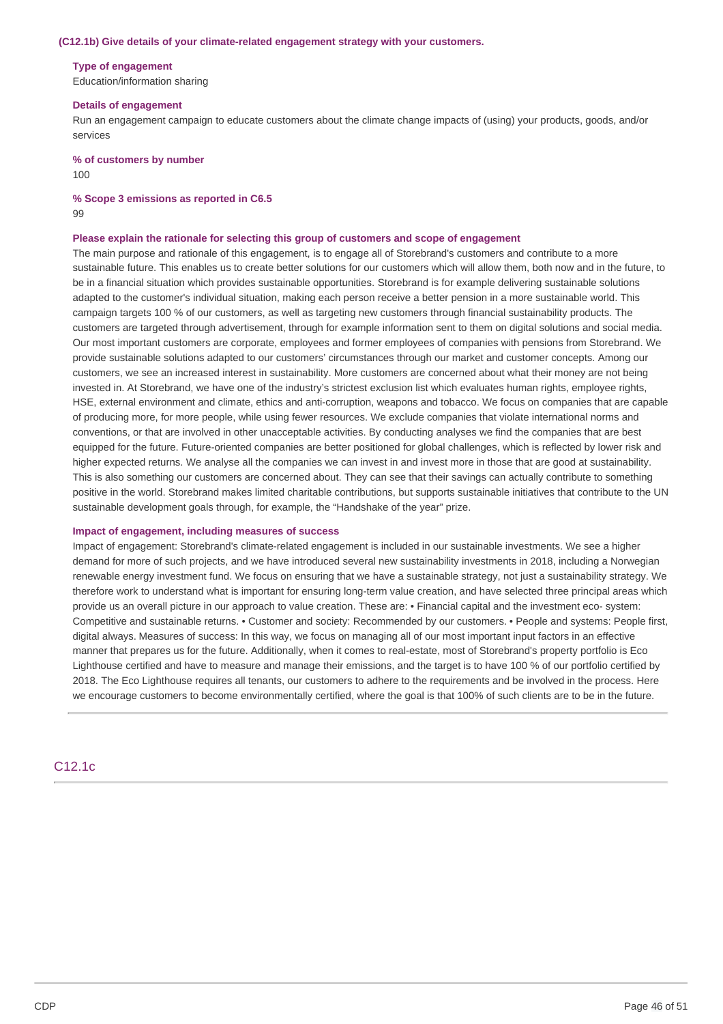#### **(C12.1b) Give details of your climate-related engagement strategy with your customers.**

#### **Type of engagement**

Education/information sharing

#### **Details of engagement**

Run an engagement campaign to educate customers about the climate change impacts of (using) your products, goods, and/or services

**% of customers by number**

100

#### **% Scope 3 emissions as reported in C6.5**

99

#### **Please explain the rationale for selecting this group of customers and scope of engagement**

The main purpose and rationale of this engagement, is to engage all of Storebrand's customers and contribute to a more sustainable future. This enables us to create better solutions for our customers which will allow them, both now and in the future, to be in a financial situation which provides sustainable opportunities. Storebrand is for example delivering sustainable solutions adapted to the customer's individual situation, making each person receive a better pension in a more sustainable world. This campaign targets 100 % of our customers, as well as targeting new customers through financial sustainability products. The customers are targeted through advertisement, through for example information sent to them on digital solutions and social media. Our most important customers are corporate, employees and former employees of companies with pensions from Storebrand. We provide sustainable solutions adapted to our customers' circumstances through our market and customer concepts. Among our customers, we see an increased interest in sustainability. More customers are concerned about what their money are not being invested in. At Storebrand, we have one of the industry's strictest exclusion list which evaluates human rights, employee rights, HSE, external environment and climate, ethics and anti-corruption, weapons and tobacco. We focus on companies that are capable of producing more, for more people, while using fewer resources. We exclude companies that violate international norms and conventions, or that are involved in other unacceptable activities. By conducting analyses we find the companies that are best equipped for the future. Future-oriented companies are better positioned for global challenges, which is reflected by lower risk and higher expected returns. We analyse all the companies we can invest in and invest more in those that are good at sustainability. This is also something our customers are concerned about. They can see that their savings can actually contribute to something positive in the world. Storebrand makes limited charitable contributions, but supports sustainable initiatives that contribute to the UN sustainable development goals through, for example, the "Handshake of the year" prize.

#### **Impact of engagement, including measures of success**

Impact of engagement: Storebrand's climate-related engagement is included in our sustainable investments. We see a higher demand for more of such projects, and we have introduced several new sustainability investments in 2018, including a Norwegian renewable energy investment fund. We focus on ensuring that we have a sustainable strategy, not just a sustainability strategy. We therefore work to understand what is important for ensuring long-term value creation, and have selected three principal areas which provide us an overall picture in our approach to value creation. These are: • Financial capital and the investment eco- system: Competitive and sustainable returns. • Customer and society: Recommended by our customers. • People and systems: People first, digital always. Measures of success: In this way, we focus on managing all of our most important input factors in an effective manner that prepares us for the future. Additionally, when it comes to real-estate, most of Storebrand's property portfolio is Eco Lighthouse certified and have to measure and manage their emissions, and the target is to have 100 % of our portfolio certified by 2018. The Eco Lighthouse requires all tenants, our customers to adhere to the requirements and be involved in the process. Here we encourage customers to become environmentally certified, where the goal is that 100% of such clients are to be in the future.

## C12.1c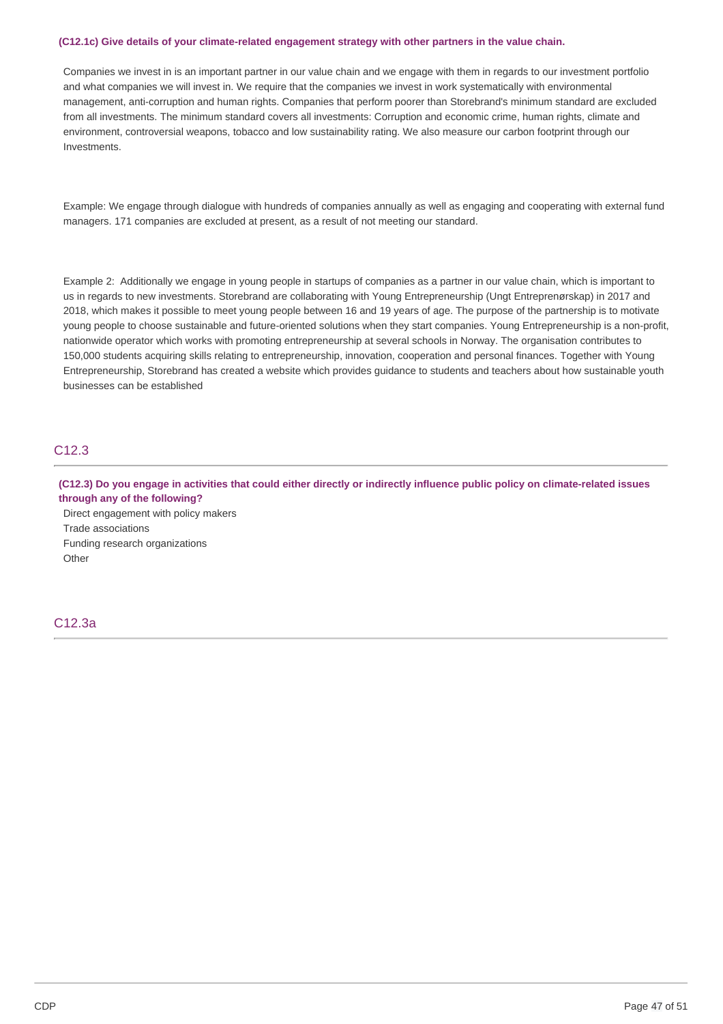#### **(C12.1c) Give details of your climate-related engagement strategy with other partners in the value chain.**

Companies we invest in is an important partner in our value chain and we engage with them in regards to our investment portfolio and what companies we will invest in. We require that the companies we invest in work systematically with environmental management, anti-corruption and human rights. Companies that perform poorer than Storebrand's minimum standard are excluded from all investments. The minimum standard covers all investments: Corruption and economic crime, human rights, climate and environment, controversial weapons, tobacco and low sustainability rating. We also measure our carbon footprint through our Investments.

Example: We engage through dialogue with hundreds of companies annually as well as engaging and cooperating with external fund managers. 171 companies are excluded at present, as a result of not meeting our standard.

Example 2: Additionally we engage in young people in startups of companies as a partner in our value chain, which is important to us in regards to new investments. Storebrand are collaborating with Young Entrepreneurship (Ungt Entreprenørskap) in 2017 and 2018, which makes it possible to meet young people between 16 and 19 years of age. The purpose of the partnership is to motivate young people to choose sustainable and future-oriented solutions when they start companies. Young Entrepreneurship is a non-profit, nationwide operator which works with promoting entrepreneurship at several schools in Norway. The organisation contributes to 150,000 students acquiring skills relating to entrepreneurship, innovation, cooperation and personal finances. Together with Young Entrepreneurship, Storebrand has created a website which provides guidance to students and teachers about how sustainable youth businesses can be established

## C12.3

(C12.3) Do you engage in activities that could either directly or indirectly influence public policy on climate-related issues **through any of the following?**

Direct engagement with policy makers Trade associations Funding research organizations **Other** 

## C12.3a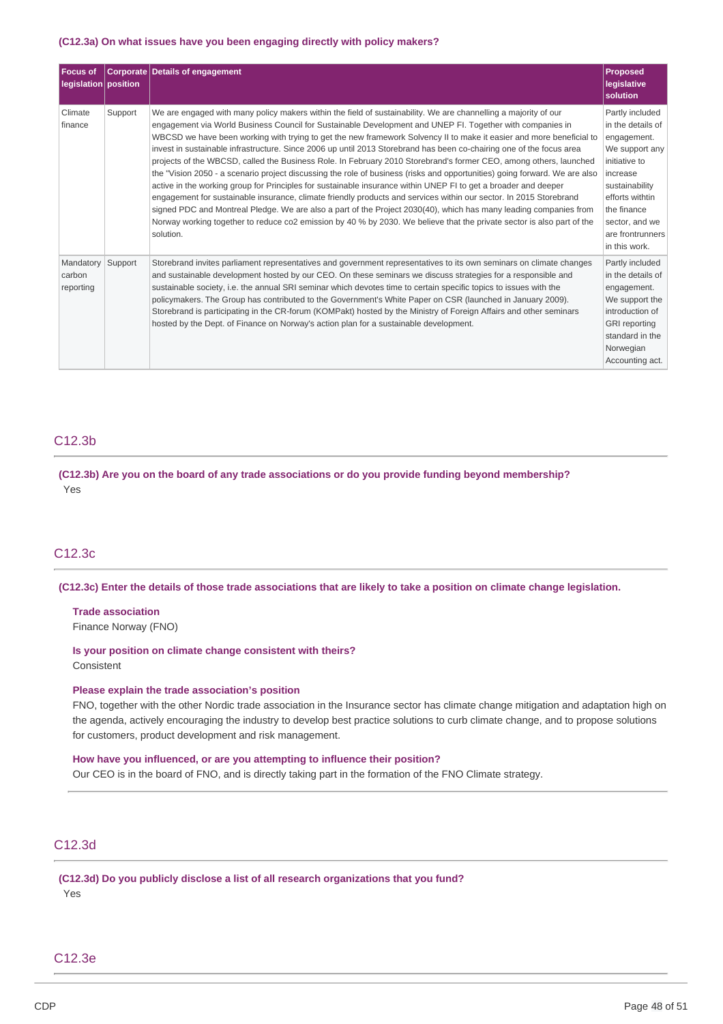#### **(C12.3a) On what issues have you been engaging directly with policy makers?**

| <b>Focus of</b><br>legislation position |         | <b>Corporate Details of engagement</b>                                                                                                                                                                                                                                                                                                                                                                                                                                                                                                                                                                                                                                                                                                                                                                                                                                                                                                                                                                                                                                                                                                                                                                                               | <b>Proposed</b><br>legislative<br>solution                                                                                                                                                                    |
|-----------------------------------------|---------|--------------------------------------------------------------------------------------------------------------------------------------------------------------------------------------------------------------------------------------------------------------------------------------------------------------------------------------------------------------------------------------------------------------------------------------------------------------------------------------------------------------------------------------------------------------------------------------------------------------------------------------------------------------------------------------------------------------------------------------------------------------------------------------------------------------------------------------------------------------------------------------------------------------------------------------------------------------------------------------------------------------------------------------------------------------------------------------------------------------------------------------------------------------------------------------------------------------------------------------|---------------------------------------------------------------------------------------------------------------------------------------------------------------------------------------------------------------|
| Climate<br>finance                      | Support | We are engaged with many policy makers within the field of sustainability. We are channelling a majority of our<br>engagement via World Business Council for Sustainable Development and UNEP FI. Together with companies in<br>WBCSD we have been working with trying to get the new framework Solvency II to make it easier and more beneficial to<br>invest in sustainable infrastructure. Since 2006 up until 2013 Storebrand has been co-chairing one of the focus area<br>projects of the WBCSD, called the Business Role. In February 2010 Storebrand's former CEO, among others, launched<br>the "Vision 2050 - a scenario project discussing the role of business (risks and opportunities) going forward. We are also<br>active in the working group for Principles for sustainable insurance within UNEP FI to get a broader and deeper<br>engagement for sustainable insurance, climate friendly products and services within our sector. In 2015 Storebrand<br>signed PDC and Montreal Pledge. We are also a part of the Project 2030(40), which has many leading companies from<br>Norway working together to reduce co2 emission by 40 % by 2030. We believe that the private sector is also part of the<br>solution. | Partly included<br>in the details of<br>engagement.<br>We support any<br>initiative to<br>increase<br>sustainability<br>efforts withtin<br>the finance<br>sector, and we<br>are frontrunners<br>in this work. |
| Mandatory<br>carbon<br>reporting        | Support | Storebrand invites parliament representatives and government representatives to its own seminars on climate changes<br>and sustainable development hosted by our CEO. On these seminars we discuss strategies for a responsible and<br>sustainable society, i.e. the annual SRI seminar which devotes time to certain specific topics to issues with the<br>policymakers. The Group has contributed to the Government's White Paper on CSR (launched in January 2009).<br>Storebrand is participating in the CR-forum (KOMPakt) hosted by the Ministry of Foreign Affairs and other seminars<br>hosted by the Dept. of Finance on Norway's action plan for a sustainable development.                                                                                                                                                                                                                                                                                                                                                                                                                                                                                                                                                | Partly included<br>in the details of<br>engagement.<br>We support the<br>introduction of<br><b>GRI</b> reporting<br>standard in the<br>Norwegian<br>Accounting act.                                           |

## C12.3b

**(C12.3b) Are you on the board of any trade associations or do you provide funding beyond membership?** Yes

## C12.3c

(C12.3c) Enter the details of those trade associations that are likely to take a position on climate change legislation.

**Trade association** Finance Norway (FNO)

**Is your position on climate change consistent with theirs?** Consistent

#### **Please explain the trade association's position**

FNO, together with the other Nordic trade association in the Insurance sector has climate change mitigation and adaptation high on the agenda, actively encouraging the industry to develop best practice solutions to curb climate change, and to propose solutions for customers, product development and risk management.

**How have you influenced, or are you attempting to influence their position?** Our CEO is in the board of FNO, and is directly taking part in the formation of the FNO Climate strategy.

## C12.3d

**(C12.3d) Do you publicly disclose a list of all research organizations that you fund?** Yes

### C12.3e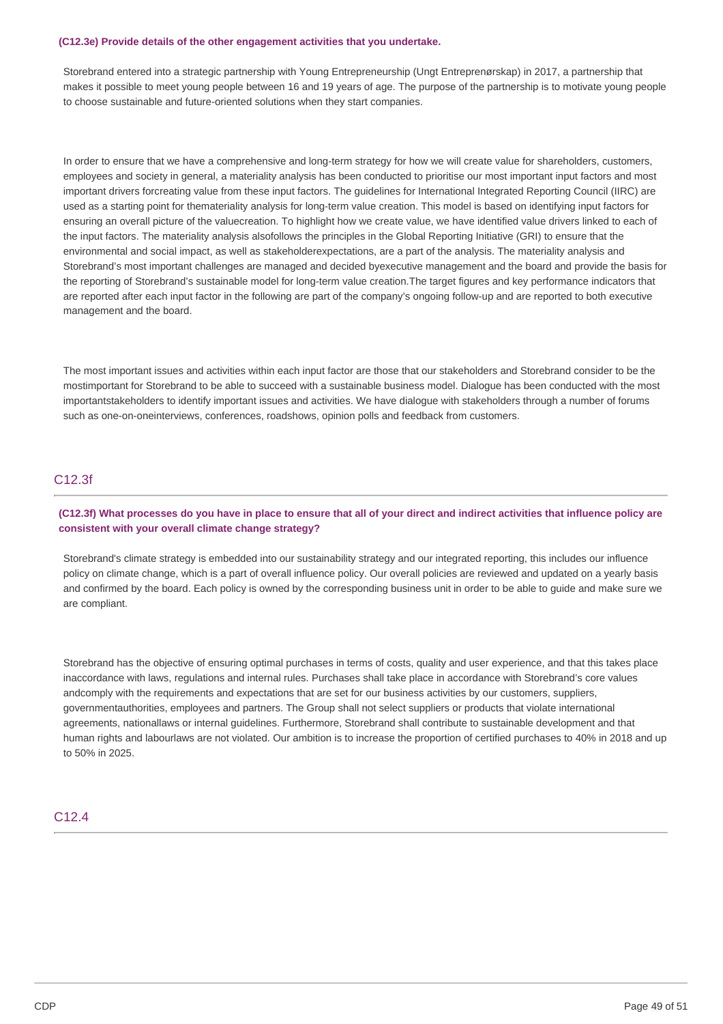#### **(C12.3e) Provide details of the other engagement activities that you undertake.**

Storebrand entered into a strategic partnership with Young Entrepreneurship (Ungt Entreprenørskap) in 2017, a partnership that makes it possible to meet young people between 16 and 19 years of age. The purpose of the partnership is to motivate young people to choose sustainable and future-oriented solutions when they start companies.

In order to ensure that we have a comprehensive and long-term strategy for how we will create value for shareholders, customers, employees and society in general, a materiality analysis has been conducted to prioritise our most important input factors and most important drivers forcreating value from these input factors. The guidelines for International Integrated Reporting Council (IIRC) are used as a starting point for themateriality analysis for long-term value creation. This model is based on identifying input factors for ensuring an overall picture of the valuecreation. To highlight how we create value, we have identified value drivers linked to each of the input factors. The materiality analysis alsofollows the principles in the Global Reporting Initiative (GRI) to ensure that the environmental and social impact, as well as stakeholderexpectations, are a part of the analysis. The materiality analysis and Storebrand's most important challenges are managed and decided byexecutive management and the board and provide the basis for the reporting of Storebrand's sustainable model for long-term value creation.The target figures and key performance indicators that are reported after each input factor in the following are part of the company's ongoing follow-up and are reported to both executive management and the board.

The most important issues and activities within each input factor are those that our stakeholders and Storebrand consider to be the mostimportant for Storebrand to be able to succeed with a sustainable business model. Dialogue has been conducted with the most importantstakeholders to identify important issues and activities. We have dialogue with stakeholders through a number of forums such as one-on-oneinterviews, conferences, roadshows, opinion polls and feedback from customers.

## C12.3f

## (C12.3f) What processes do you have in place to ensure that all of your direct and indirect activities that influence policy are **consistent with your overall climate change strategy?**

Storebrand's climate strategy is embedded into our sustainability strategy and our integrated reporting, this includes our influence policy on climate change, which is a part of overall influence policy. Our overall policies are reviewed and updated on a yearly basis and confirmed by the board. Each policy is owned by the corresponding business unit in order to be able to guide and make sure we are compliant.

Storebrand has the objective of ensuring optimal purchases in terms of costs, quality and user experience, and that this takes place inaccordance with laws, regulations and internal rules. Purchases shall take place in accordance with Storebrand's core values andcomply with the requirements and expectations that are set for our business activities by our customers, suppliers, governmentauthorities, employees and partners. The Group shall not select suppliers or products that violate international agreements, nationallaws or internal guidelines. Furthermore, Storebrand shall contribute to sustainable development and that human rights and labourlaws are not violated. Our ambition is to increase the proportion of certified purchases to 40% in 2018 and up to 50% in 2025.

## C<sub>12</sub> 4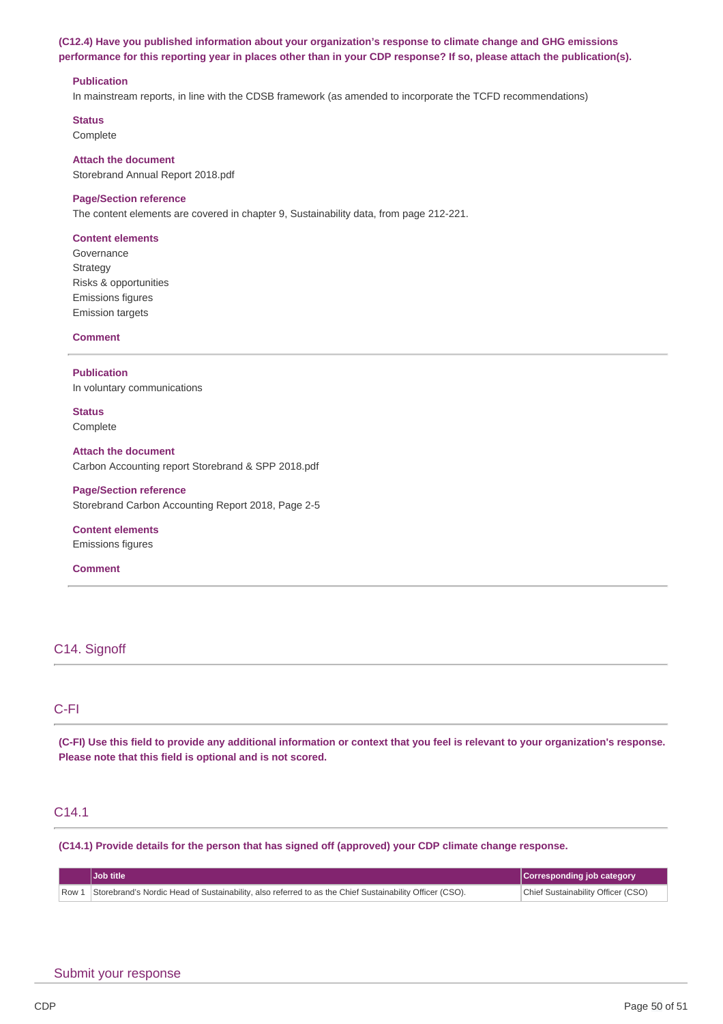## **(C12.4) Have you published information about your organization's response to climate change and GHG emissions** performance for this reporting year in places other than in your CDP response? If so, please attach the publication(s).

#### **Publication**

In mainstream reports, in line with the CDSB framework (as amended to incorporate the TCFD recommendations)

**Status**

Complete

#### **Attach the document**

Storebrand Annual Report 2018.pdf

#### **Page/Section reference**

The content elements are covered in chapter 9, Sustainability data, from page 212-221.

#### **Content elements**

Governance Strategy Risks & opportunities Emissions figures Emission targets

**Comment**

### **Publication**

In voluntary communications

**Status** Complete

## **Attach the document**

Carbon Accounting report Storebrand & SPP 2018.pdf

### **Page/Section reference**

Storebrand Carbon Accounting Report 2018, Page 2-5

## **Content elements**

Emissions figures

#### **Comment**

## C14. Signoff

## C-FI

(C-FI) Use this field to provide any additional information or context that you feel is relevant to your organization's response. **Please note that this field is optional and is not scored.**

## C14.1

**(C14.1) Provide details for the person that has signed off (approved) your CDP climate change response.**

| Job title                                                                                                     | Corresponding job category         |
|---------------------------------------------------------------------------------------------------------------|------------------------------------|
| Row 1 Storebrand's Nordic Head of Sustainability, also referred to as the Chief Sustainability Officer (CSO). | Chief Sustainability Officer (CSO) |

## Submit your response